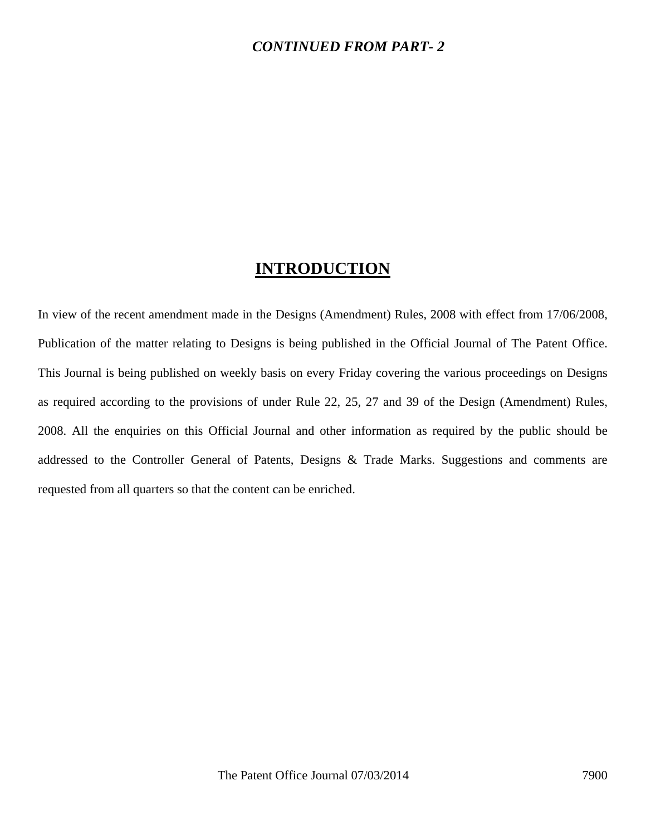### *CONTINUED FROM PART- 2*

## **INTRODUCTION**

In view of the recent amendment made in the Designs (Amendment) Rules, 2008 with effect from 17/06/2008, Publication of the matter relating to Designs is being published in the Official Journal of The Patent Office. This Journal is being published on weekly basis on every Friday covering the various proceedings on Designs as required according to the provisions of under Rule 22, 25, 27 and 39 of the Design (Amendment) Rules, 2008. All the enquiries on this Official Journal and other information as required by the public should be addressed to the Controller General of Patents, Designs & Trade Marks. Suggestions and comments are requested from all quarters so that the content can be enriched.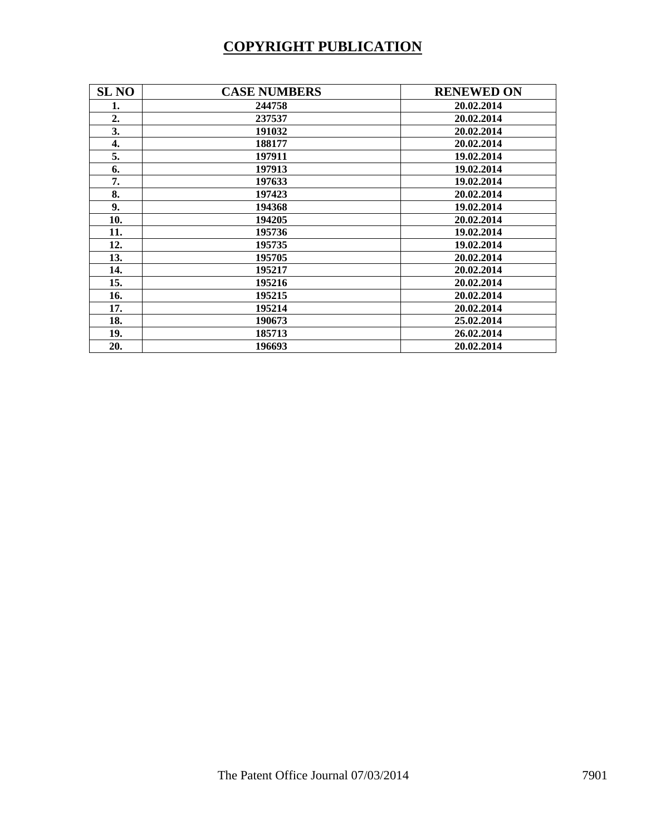# **COPYRIGHT PUBLICATION**

| <b>SL NO</b> | <b>CASE NUMBERS</b> | <b>RENEWED ON</b> |
|--------------|---------------------|-------------------|
| 1.           | 244758              | 20.02.2014        |
| 2.           | 237537              | 20.02.2014        |
| 3.           | 191032              | 20.02.2014        |
| 4.           | 188177              | 20.02.2014        |
| 5.           | 197911              | 19.02.2014        |
| 6.           | 197913              | 19.02.2014        |
| 7.           | 197633              | 19.02.2014        |
| 8.           | 197423              | 20.02.2014        |
| 9.           | 194368              | 19.02.2014        |
| 10.          | 194205              | 20.02.2014        |
| 11.          | 195736              | 19.02.2014        |
| 12.          | 195735              | 19.02.2014        |
| 13.          | 195705              | 20.02.2014        |
| 14.          | 195217              | 20.02.2014        |
| 15.          | 195216              | 20.02.2014        |
| 16.          | 195215              | 20.02.2014        |
| 17.          | 195214              | 20.02.2014        |
| 18.          | 190673              | 25.02.2014        |
| 19.          | 185713              | 26.02.2014        |
| 20.          | 196693              | 20.02.2014        |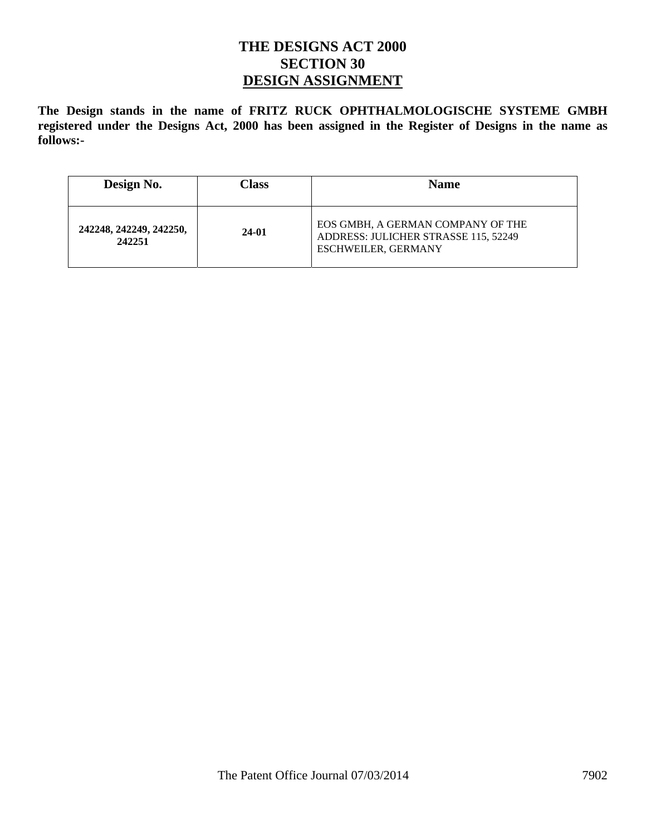## **THE DESIGNS ACT 2000 SECTION 30 DESIGN ASSIGNMENT**

**The Design stands in the name of FRITZ RUCK OPHTHALMOLOGISCHE SYSTEME GMBH registered under the Designs Act, 2000 has been assigned in the Register of Designs in the name as follows:-** 

| Design No.                        | Class | <b>Name</b>                                                                                             |
|-----------------------------------|-------|---------------------------------------------------------------------------------------------------------|
| 242248, 242249, 242250,<br>242251 | 24-01 | EOS GMBH, A GERMAN COMPANY OF THE<br>ADDRESS: JULICHER STRASSE 115, 52249<br><b>ESCHWEILER, GERMANY</b> |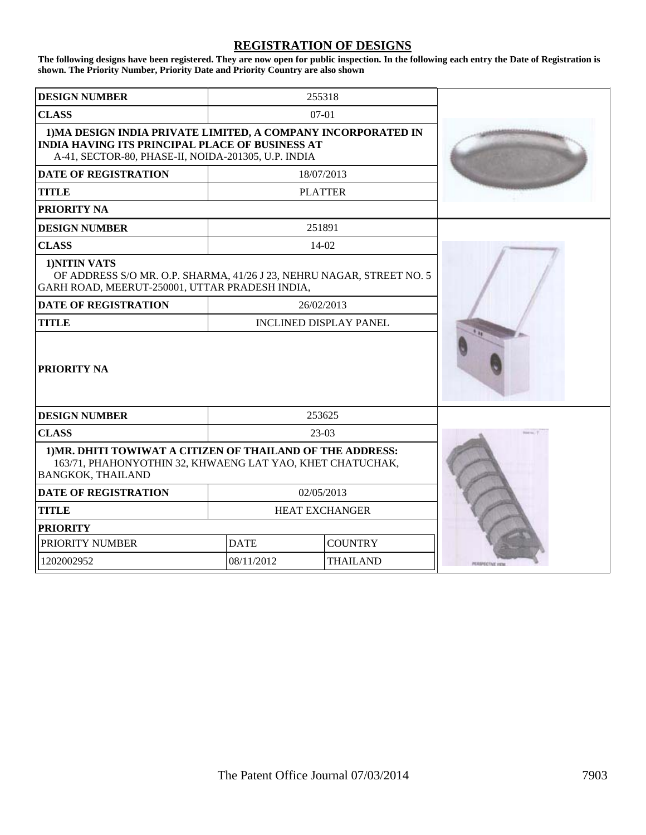#### **REGISTRATION OF DESIGNS**

**The following designs have been registered. They are now open for public inspection. In the following each entry the Date of Registration is shown. The Priority Number, Priority Date and Priority Country are also shown**

| <b>DESIGN NUMBER</b>                                                                                                                                                           |                       | 255318          |  |
|--------------------------------------------------------------------------------------------------------------------------------------------------------------------------------|-----------------------|-----------------|--|
| <b>CLASS</b>                                                                                                                                                                   | $07-01$               |                 |  |
| 1) MA DESIGN INDIA PRIVATE LIMITED, A COMPANY INCORPORATED IN<br><b>INDIA HAVING ITS PRINCIPAL PLACE OF BUSINESS AT</b><br>A-41, SECTOR-80, PHASE-II, NOIDA-201305, U.P. INDIA |                       |                 |  |
| <b>DATE OF REGISTRATION</b>                                                                                                                                                    |                       | 18/07/2013      |  |
| TITLE                                                                                                                                                                          |                       | <b>PLATTER</b>  |  |
| <b>PRIORITY NA</b>                                                                                                                                                             |                       |                 |  |
| <b>DESIGN NUMBER</b>                                                                                                                                                           |                       | 251891          |  |
| <b>CLASS</b>                                                                                                                                                                   |                       | 14-02           |  |
| 1)NITIN VATS<br>OF ADDRESS S/O MR. O.P. SHARMA, 41/26 J 23, NEHRU NAGAR, STREET NO. 5<br>GARH ROAD, MEERUT-250001, UTTAR PRADESH INDIA,                                        |                       |                 |  |
| <b>DATE OF REGISTRATION</b><br>26/02/2013                                                                                                                                      |                       |                 |  |
| <b>TITLE</b><br><b>INCLINED DISPLAY PANEL</b>                                                                                                                                  |                       |                 |  |
| <b>PRIORITY NA</b>                                                                                                                                                             |                       |                 |  |
| <b>DESIGN NUMBER</b>                                                                                                                                                           |                       | 253625          |  |
| <b>CLASS</b>                                                                                                                                                                   |                       | $23-03$         |  |
| 1) MR. DHITI TOWIWAT A CITIZEN OF THAILAND OF THE ADDRESS:<br>163/71, PHAHONYOTHIN 32, KHWAENG LAT YAO, KHET CHATUCHAK,<br><b>BANGKOK, THAILAND</b>                            |                       |                 |  |
| <b>DATE OF REGISTRATION</b>                                                                                                                                                    |                       | 02/05/2013      |  |
| <b>TITLE</b>                                                                                                                                                                   | <b>HEAT EXCHANGER</b> |                 |  |
| <b>PRIORITY</b>                                                                                                                                                                |                       |                 |  |
| PRIORITY NUMBER                                                                                                                                                                | <b>DATE</b>           | <b>COUNTRY</b>  |  |
| 1202002952                                                                                                                                                                     | 08/11/2012            | <b>THAILAND</b> |  |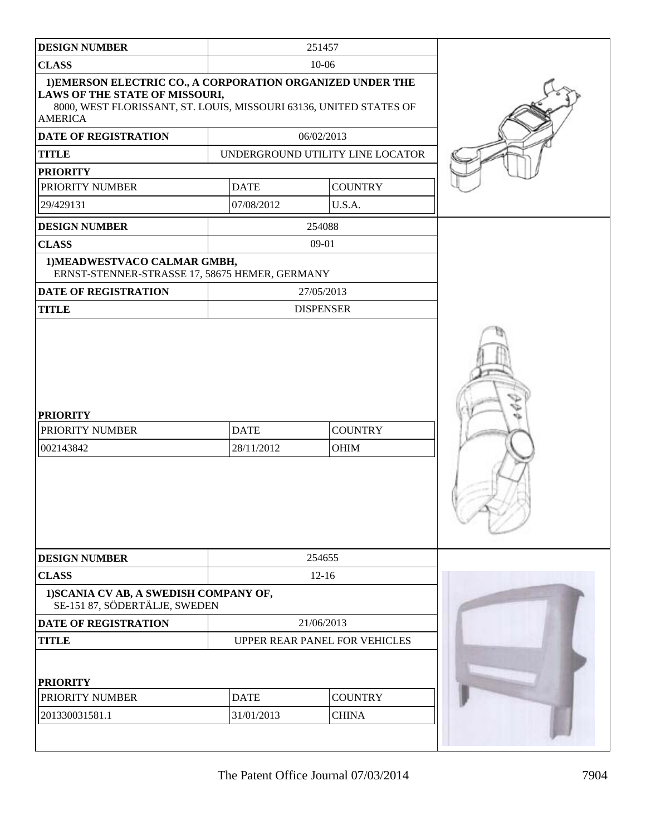| <b>DESIGN NUMBER</b>                                                                                                                                                                        |                           | 251457                           |  |
|---------------------------------------------------------------------------------------------------------------------------------------------------------------------------------------------|---------------------------|----------------------------------|--|
| <b>CLASS</b>                                                                                                                                                                                |                           | $10 - 06$                        |  |
| 1) EMERSON ELECTRIC CO., A CORPORATION ORGANIZED UNDER THE<br><b>LAWS OF THE STATE OF MISSOURI,</b><br>8000, WEST FLORISSANT, ST. LOUIS, MISSOURI 63136, UNITED STATES OF<br><b>AMERICA</b> |                           |                                  |  |
| DATE OF REGISTRATION                                                                                                                                                                        |                           | 06/02/2013                       |  |
| <b>TITLE</b>                                                                                                                                                                                |                           | UNDERGROUND UTILITY LINE LOCATOR |  |
| <b>PRIORITY</b>                                                                                                                                                                             |                           |                                  |  |
| PRIORITY NUMBER                                                                                                                                                                             | <b>DATE</b>               | <b>COUNTRY</b>                   |  |
| 29/429131                                                                                                                                                                                   | 07/08/2012                | U.S.A.                           |  |
| <b>DESIGN NUMBER</b>                                                                                                                                                                        |                           | 254088                           |  |
| <b>CLASS</b>                                                                                                                                                                                |                           | 09-01                            |  |
| 1) MEADWESTVACO CALMAR GMBH,<br>ERNST-STENNER-STRASSE 17, 58675 HEMER, GERMANY                                                                                                              |                           |                                  |  |
| <b>DATE OF REGISTRATION</b>                                                                                                                                                                 |                           | 27/05/2013                       |  |
| <b>TITLE</b>                                                                                                                                                                                |                           | <b>DISPENSER</b>                 |  |
| <b>PRIORITY</b><br>PRIORITY NUMBER<br>002143842                                                                                                                                             | <b>DATE</b><br>28/11/2012 | <b>COUNTRY</b><br><b>OHIM</b>    |  |
| <b>DESIGN NUMBER</b>                                                                                                                                                                        |                           | 254655                           |  |
| <b>CLASS</b>                                                                                                                                                                                |                           | $12 - 16$                        |  |
| 1) SCANIA CV AB, A SWEDISH COMPANY OF,<br>SE-151 87, SÖDERTÄLJE, SWEDEN                                                                                                                     |                           |                                  |  |
| DATE OF REGISTRATION                                                                                                                                                                        | 21/06/2013                |                                  |  |
| <b>TITLE</b>                                                                                                                                                                                |                           | UPPER REAR PANEL FOR VEHICLES    |  |
| <b>PRIORITY</b>                                                                                                                                                                             |                           |                                  |  |
| PRIORITY NUMBER                                                                                                                                                                             | <b>DATE</b>               | <b>COUNTRY</b>                   |  |
| 201330031581.1                                                                                                                                                                              | 31/01/2013                | <b>CHINA</b>                     |  |
|                                                                                                                                                                                             |                           |                                  |  |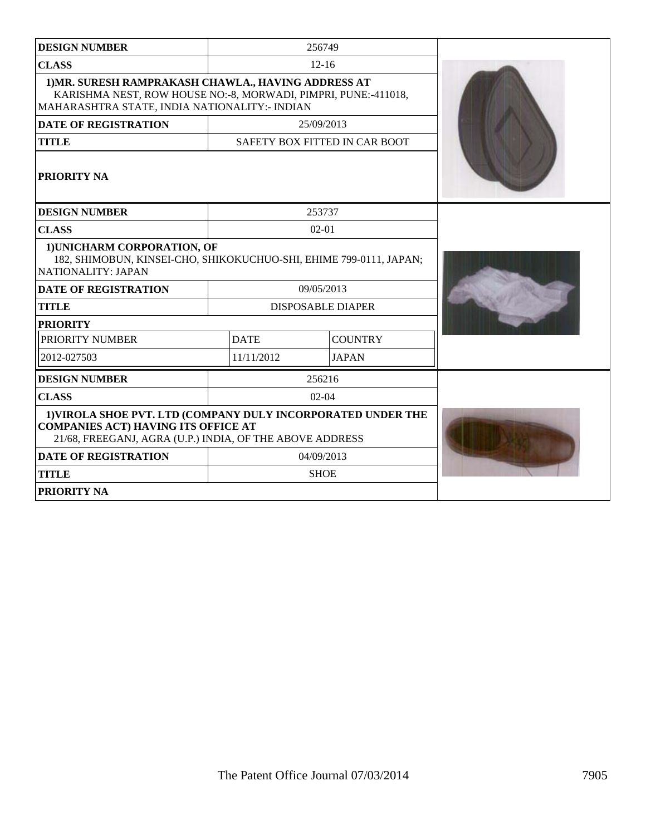| <b>DESIGN NUMBER</b>                                                                                                                                                   |             | 256749                        |  |
|------------------------------------------------------------------------------------------------------------------------------------------------------------------------|-------------|-------------------------------|--|
| <b>CLASS</b>                                                                                                                                                           |             | $12 - 16$                     |  |
| 1) MR. SURESH RAMPRAKASH CHAWLA., HAVING ADDRESS AT<br>KARISHMA NEST, ROW HOUSE NO:-8, MORWADI, PIMPRI, PUNE:-411018,<br>MAHARASHTRA STATE, INDIA NATIONALITY:- INDIAN |             |                               |  |
| <b>DATE OF REGISTRATION</b>                                                                                                                                            |             | 25/09/2013                    |  |
| <b>TITLE</b>                                                                                                                                                           |             | SAFETY BOX FITTED IN CAR BOOT |  |
| <b>PRIORITY NA</b>                                                                                                                                                     |             |                               |  |
| <b>DESIGN NUMBER</b>                                                                                                                                                   |             | 253737                        |  |
| <b>CLASS</b>                                                                                                                                                           |             | $02 - 01$                     |  |
| 1) UNICHARM CORPORATION, OF<br>182, SHIMOBUN, KINSEI-CHO, SHIKOKUCHUO-SHI, EHIME 799-0111, JAPAN;<br>NATIONALITY: JAPAN                                                |             |                               |  |
| <b>DATE OF REGISTRATION</b>                                                                                                                                            |             | 09/05/2013                    |  |
| <b>TITLE</b>                                                                                                                                                           |             | DISPOSABLE DIAPER             |  |
| <b>PRIORITY</b>                                                                                                                                                        |             |                               |  |
| PRIORITY NUMBER                                                                                                                                                        | <b>DATE</b> | <b>COUNTRY</b>                |  |
| 2012-027503                                                                                                                                                            | 11/11/2012  | <b>JAPAN</b>                  |  |
| <b>DESIGN NUMBER</b>                                                                                                                                                   |             | 256216                        |  |
| <b>CLASS</b>                                                                                                                                                           |             | $02 - 04$                     |  |
| 1) VIROLA SHOE PVT. LTD (COMPANY DULY INCORPORATED UNDER THE<br><b>COMPANIES ACT) HAVING ITS OFFICE AT</b><br>21/68, FREEGANJ, AGRA (U.P.) INDIA, OF THE ABOVE ADDRESS |             |                               |  |
| <b>DATE OF REGISTRATION</b>                                                                                                                                            | 04/09/2013  |                               |  |
| <b>TITLE</b>                                                                                                                                                           |             | <b>SHOE</b>                   |  |
| <b>PRIORITY NA</b>                                                                                                                                                     |             |                               |  |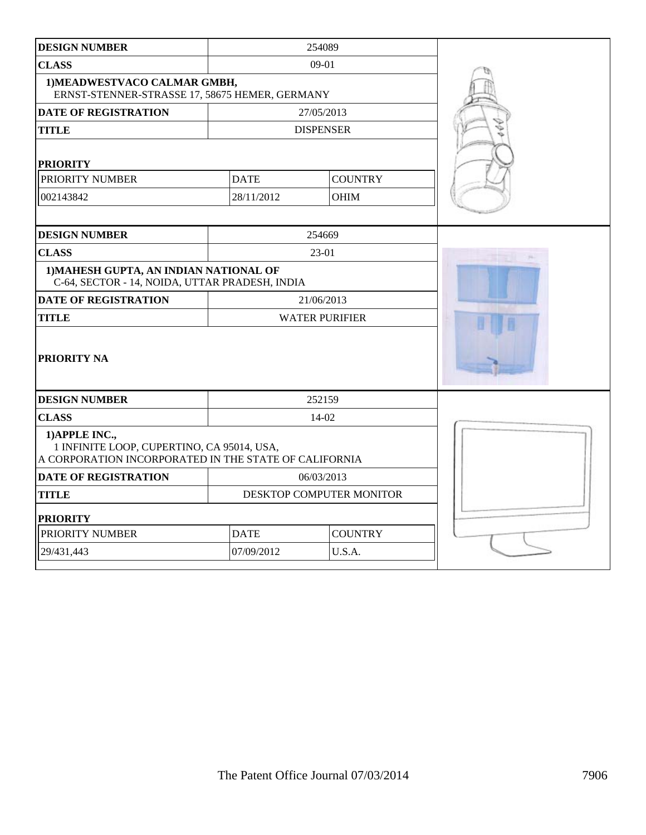| <b>DESIGN NUMBER</b>                                                                                                  |             | 254089                   |  |
|-----------------------------------------------------------------------------------------------------------------------|-------------|--------------------------|--|
| <b>CLASS</b>                                                                                                          |             | 09-01                    |  |
| 1) MEADWESTVACO CALMAR GMBH,<br>ERNST-STENNER-STRASSE 17, 58675 HEMER, GERMANY                                        |             |                          |  |
| <b>DATE OF REGISTRATION</b>                                                                                           |             | 27/05/2013               |  |
| <b>TITLE</b>                                                                                                          |             | <b>DISPENSER</b>         |  |
| <b>PRIORITY</b>                                                                                                       |             |                          |  |
| PRIORITY NUMBER                                                                                                       | <b>DATE</b> | <b>COUNTRY</b>           |  |
| 002143842                                                                                                             | 28/11/2012  | <b>OHIM</b>              |  |
|                                                                                                                       |             |                          |  |
| <b>DESIGN NUMBER</b>                                                                                                  |             | 254669                   |  |
| <b>CLASS</b>                                                                                                          |             | 23-01                    |  |
| 1) MAHESH GUPTA, AN INDIAN NATIONAL OF<br>C-64, SECTOR - 14, NOIDA, UTTAR PRADESH, INDIA                              |             |                          |  |
| <b>DATE OF REGISTRATION</b>                                                                                           |             | 21/06/2013               |  |
| <b>TITLE</b>                                                                                                          |             | <b>WATER PURIFIER</b>    |  |
| <b>PRIORITY NA</b>                                                                                                    |             |                          |  |
| <b>DESIGN NUMBER</b>                                                                                                  |             | 252159                   |  |
| <b>CLASS</b>                                                                                                          |             | 14-02                    |  |
| 1) APPLE INC.,<br>1 INFINITE LOOP, CUPERTINO, CA 95014, USA,<br>A CORPORATION INCORPORATED IN THE STATE OF CALIFORNIA |             |                          |  |
| <b>DATE OF REGISTRATION</b>                                                                                           |             | 06/03/2013               |  |
| <b>TITLE</b>                                                                                                          |             | DESKTOP COMPUTER MONITOR |  |
| <b>PRIORITY</b>                                                                                                       |             |                          |  |
| PRIORITY NUMBER                                                                                                       | <b>DATE</b> | <b>COUNTRY</b>           |  |
| 29/431,443                                                                                                            | 07/09/2012  | U.S.A.                   |  |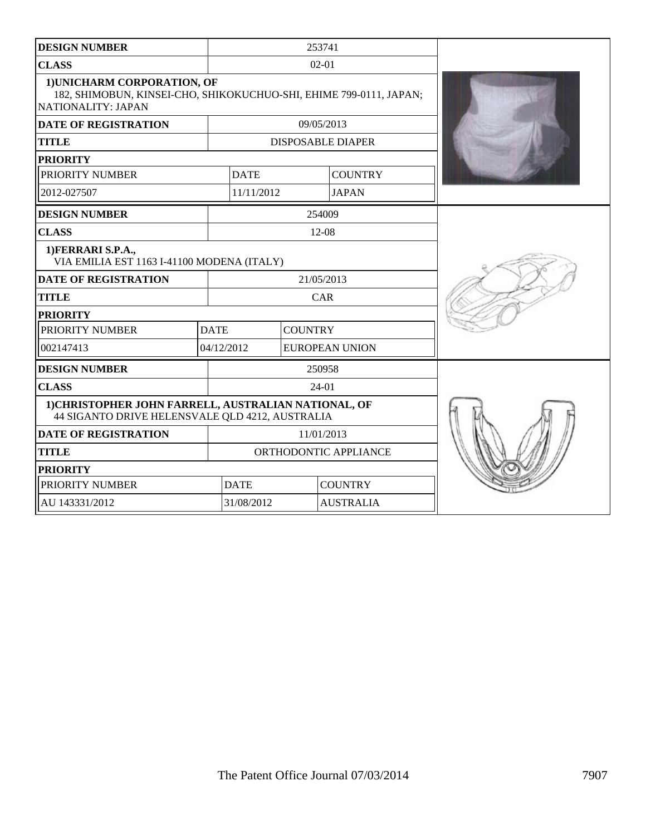| <b>DESIGN NUMBER</b>                                                                                                    | 253741                |                |                          |  |
|-------------------------------------------------------------------------------------------------------------------------|-----------------------|----------------|--------------------------|--|
| <b>CLASS</b>                                                                                                            |                       | $02 - 01$      |                          |  |
| 1) UNICHARM CORPORATION, OF<br>182, SHIMOBUN, KINSEI-CHO, SHIKOKUCHUO-SHI, EHIME 799-0111, JAPAN;<br>NATIONALITY: JAPAN |                       |                |                          |  |
| <b>DATE OF REGISTRATION</b>                                                                                             |                       | 09/05/2013     |                          |  |
| <b>TITLE</b>                                                                                                            |                       |                | <b>DISPOSABLE DIAPER</b> |  |
| <b>PRIORITY</b>                                                                                                         |                       |                |                          |  |
| PRIORITY NUMBER                                                                                                         | <b>DATE</b>           |                | <b>COUNTRY</b>           |  |
| 2012-027507                                                                                                             | 11/11/2012            |                | <b>JAPAN</b>             |  |
| <b>DESIGN NUMBER</b>                                                                                                    |                       | 254009         |                          |  |
| <b>CLASS</b>                                                                                                            |                       | $12-08$        |                          |  |
| 1) FERRARI S.P.A.,<br>VIA EMILIA EST 1163 I-41100 MODENA (ITALY)                                                        |                       |                |                          |  |
| <b>DATE OF REGISTRATION</b>                                                                                             | 21/05/2013            |                |                          |  |
| <b>TITLE</b>                                                                                                            |                       | CAR            |                          |  |
| <b>PRIORITY</b>                                                                                                         |                       |                |                          |  |
| PRIORITY NUMBER                                                                                                         | <b>DATE</b>           | <b>COUNTRY</b> |                          |  |
| 002147413                                                                                                               | 04/12/2012            |                | <b>EUROPEAN UNION</b>    |  |
| <b>DESIGN NUMBER</b>                                                                                                    |                       | 250958         |                          |  |
| <b>CLASS</b>                                                                                                            |                       | $24-01$        |                          |  |
| 1) CHRISTOPHER JOHN FARRELL, AUSTRALIAN NATIONAL, OF<br>44 SIGANTO DRIVE HELENSVALE QLD 4212, AUSTRALIA                 |                       |                |                          |  |
| <b>DATE OF REGISTRATION</b><br>11/01/2013                                                                               |                       |                |                          |  |
| <b>TITLE</b>                                                                                                            | ORTHODONTIC APPLIANCE |                |                          |  |
| <b>PRIORITY</b>                                                                                                         |                       |                |                          |  |
| PRIORITY NUMBER                                                                                                         | <b>DATE</b>           |                | <b>COUNTRY</b>           |  |
| AU 143331/2012                                                                                                          | 31/08/2012            |                | <b>AUSTRALIA</b>         |  |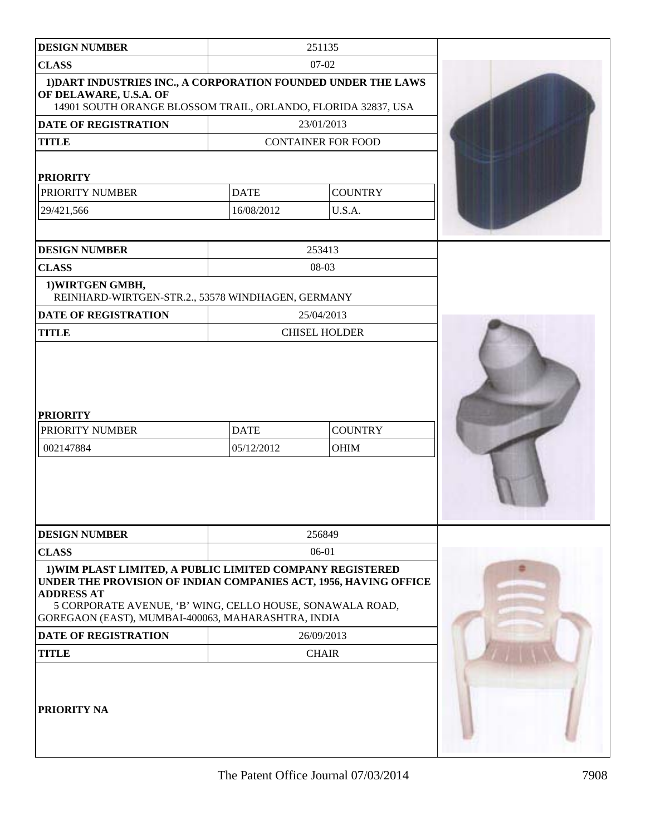| <b>DESIGN NUMBER</b>                                                                                                                                                                                                                                                  |                           | 251135                        |  |
|-----------------------------------------------------------------------------------------------------------------------------------------------------------------------------------------------------------------------------------------------------------------------|---------------------------|-------------------------------|--|
| <b>CLASS</b>                                                                                                                                                                                                                                                          |                           |                               |  |
| 1) DART INDUSTRIES INC., A CORPORATION FOUNDED UNDER THE LAWS<br>OF DELAWARE, U.S.A. OF<br>14901 SOUTH ORANGE BLOSSOM TRAIL, ORLANDO, FLORIDA 32837, USA                                                                                                              |                           |                               |  |
| DATE OF REGISTRATION                                                                                                                                                                                                                                                  |                           | 23/01/2013                    |  |
| <b>TITLE</b>                                                                                                                                                                                                                                                          |                           | <b>CONTAINER FOR FOOD</b>     |  |
|                                                                                                                                                                                                                                                                       |                           |                               |  |
| <b>PRIORITY</b>                                                                                                                                                                                                                                                       |                           |                               |  |
| PRIORITY NUMBER                                                                                                                                                                                                                                                       | <b>DATE</b>               | <b>COUNTRY</b>                |  |
| 29/421,566                                                                                                                                                                                                                                                            | 16/08/2012                | U.S.A.                        |  |
|                                                                                                                                                                                                                                                                       |                           |                               |  |
| <b>DESIGN NUMBER</b>                                                                                                                                                                                                                                                  |                           | 253413                        |  |
| <b>CLASS</b>                                                                                                                                                                                                                                                          |                           | 08-03                         |  |
| 1) WIRTGEN GMBH,<br>REINHARD-WIRTGEN-STR.2., 53578 WINDHAGEN, GERMANY                                                                                                                                                                                                 |                           |                               |  |
| <b>DATE OF REGISTRATION</b>                                                                                                                                                                                                                                           |                           | 25/04/2013                    |  |
| <b>TITLE</b>                                                                                                                                                                                                                                                          |                           | <b>CHISEL HOLDER</b>          |  |
| <b>PRIORITY</b><br>PRIORITY NUMBER<br>002147884                                                                                                                                                                                                                       | <b>DATE</b><br>05/12/2012 | <b>COUNTRY</b><br><b>OHIM</b> |  |
| <b>DESIGN NUMBER</b>                                                                                                                                                                                                                                                  |                           | 256849                        |  |
| <b>CLASS</b>                                                                                                                                                                                                                                                          |                           | 06-01                         |  |
| 1) WIM PLAST LIMITED, A PUBLIC LIMITED COMPANY REGISTERED<br>UNDER THE PROVISION OF INDIAN COMPANIES ACT, 1956, HAVING OFFICE<br><b>ADDRESS AT</b><br>5 CORPORATE AVENUE, 'B' WING, CELLO HOUSE, SONAWALA ROAD,<br>GOREGAON (EAST), MUMBAI-400063, MAHARASHTRA, INDIA |                           |                               |  |
| DATE OF REGISTRATION                                                                                                                                                                                                                                                  | 26/09/2013                |                               |  |
| <b>TITLE</b><br><b>CHAIR</b>                                                                                                                                                                                                                                          |                           |                               |  |
| <b>PRIORITY NA</b>                                                                                                                                                                                                                                                    |                           |                               |  |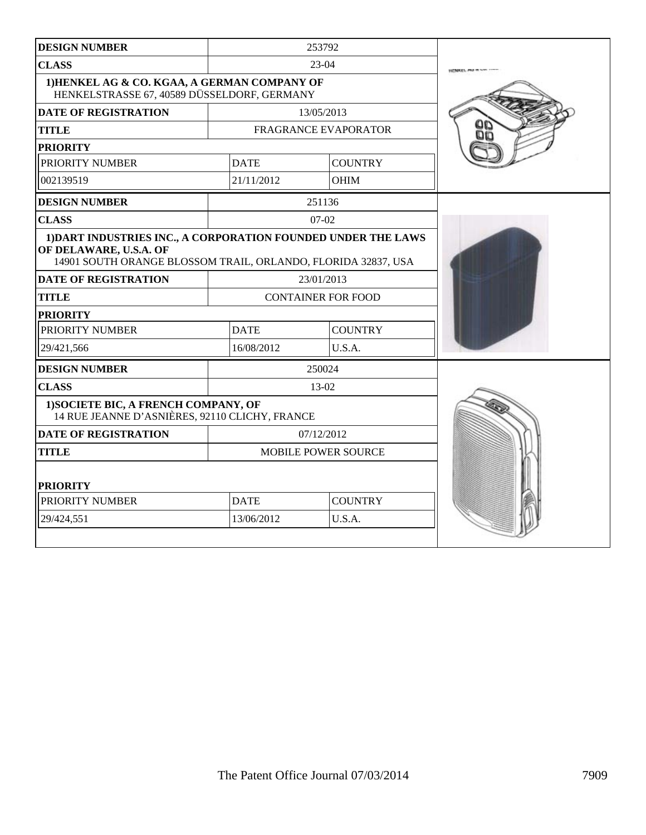| <b>DESIGN NUMBER</b>                                                                                                                                     |             | 253792                      |  |
|----------------------------------------------------------------------------------------------------------------------------------------------------------|-------------|-----------------------------|--|
| <b>CLASS</b>                                                                                                                                             |             | $23-04$                     |  |
| 1) HENKEL AG & CO. KGAA, A GERMAN COMPANY OF<br>HENKELSTRASSE 67, 40589 DÜSSELDORF, GERMANY                                                              |             |                             |  |
| <b>DATE OF REGISTRATION</b>                                                                                                                              |             | 13/05/2013                  |  |
| <b>TITLE</b>                                                                                                                                             |             | <b>FRAGRANCE EVAPORATOR</b> |  |
| <b>PRIORITY</b>                                                                                                                                          |             |                             |  |
| PRIORITY NUMBER                                                                                                                                          | <b>DATE</b> | <b>COUNTRY</b>              |  |
| 002139519                                                                                                                                                | 21/11/2012  | <b>OHIM</b>                 |  |
| <b>DESIGN NUMBER</b>                                                                                                                                     |             | 251136                      |  |
| <b>CLASS</b>                                                                                                                                             |             | $07 - 02$                   |  |
| 1) DART INDUSTRIES INC., A CORPORATION FOUNDED UNDER THE LAWS<br>OF DELAWARE, U.S.A. OF<br>14901 SOUTH ORANGE BLOSSOM TRAIL, ORLANDO, FLORIDA 32837, USA |             |                             |  |
| <b>DATE OF REGISTRATION</b>                                                                                                                              |             | 23/01/2013                  |  |
| <b>TITLE</b>                                                                                                                                             |             | <b>CONTAINER FOR FOOD</b>   |  |
| <b>PRIORITY</b>                                                                                                                                          |             |                             |  |
| PRIORITY NUMBER                                                                                                                                          | <b>DATE</b> | <b>COUNTRY</b>              |  |
| 29/421,566                                                                                                                                               | 16/08/2012  | U.S.A.                      |  |
| <b>DESIGN NUMBER</b>                                                                                                                                     |             | 250024                      |  |
| <b>CLASS</b>                                                                                                                                             |             | 13-02                       |  |
| 1) SOCIETE BIC, A FRENCH COMPANY, OF<br>14 RUE JEANNE D'ASNIÈRES, 92110 CLICHY, FRANCE                                                                   |             |                             |  |
| <b>DATE OF REGISTRATION</b>                                                                                                                              |             | 07/12/2012                  |  |
| <b>TITLE</b>                                                                                                                                             |             | <b>MOBILE POWER SOURCE</b>  |  |
| <b>PRIORITY</b>                                                                                                                                          |             |                             |  |
| PRIORITY NUMBER                                                                                                                                          | <b>DATE</b> | <b>COUNTRY</b>              |  |
| 29/424,551                                                                                                                                               | 13/06/2012  | U.S.A.                      |  |
|                                                                                                                                                          |             |                             |  |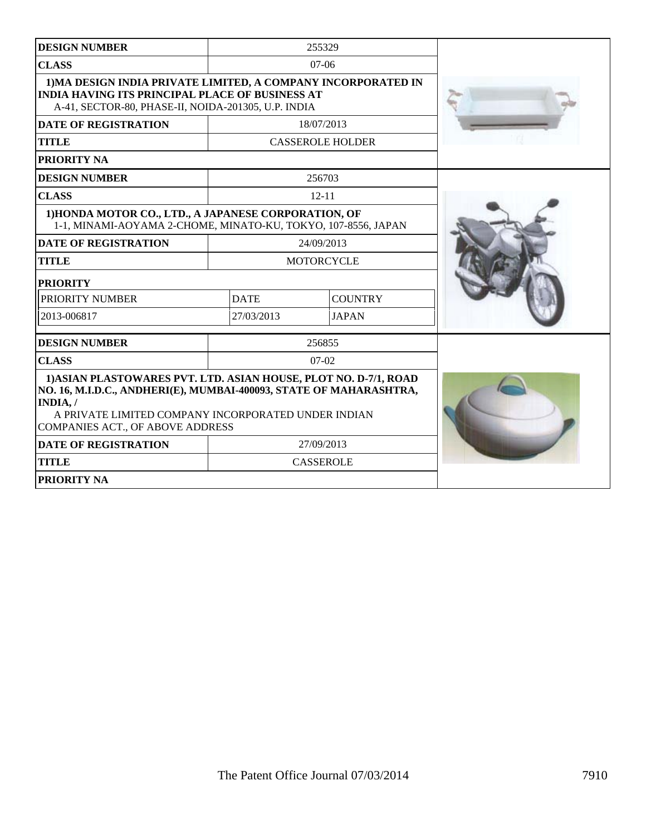| <b>DESIGN NUMBER</b>                                                                                                                                                                                                                                |             | 255329                  |  |
|-----------------------------------------------------------------------------------------------------------------------------------------------------------------------------------------------------------------------------------------------------|-------------|-------------------------|--|
| <b>CLASS</b>                                                                                                                                                                                                                                        |             | $07-06$                 |  |
| 1) MA DESIGN INDIA PRIVATE LIMITED, A COMPANY INCORPORATED IN<br><b>INDIA HAVING ITS PRINCIPAL PLACE OF BUSINESS AT</b><br>A-41, SECTOR-80, PHASE-II, NOIDA-201305, U.P. INDIA                                                                      |             |                         |  |
| <b>DATE OF REGISTRATION</b>                                                                                                                                                                                                                         |             | 18/07/2013              |  |
| <b>TITLE</b>                                                                                                                                                                                                                                        |             | <b>CASSEROLE HOLDER</b> |  |
| PRIORITY NA                                                                                                                                                                                                                                         |             |                         |  |
| <b>DESIGN NUMBER</b>                                                                                                                                                                                                                                |             | 256703                  |  |
| <b>CLASS</b>                                                                                                                                                                                                                                        |             | $12 - 11$               |  |
| 1) HONDA MOTOR CO., LTD., A JAPANESE CORPORATION, OF<br>1-1, MINAMI-AOYAMA 2-CHOME, MINATO-KU, TOKYO, 107-8556, JAPAN                                                                                                                               |             |                         |  |
| <b>DATE OF REGISTRATION</b>                                                                                                                                                                                                                         |             | 24/09/2013              |  |
| <b>TITLE</b>                                                                                                                                                                                                                                        |             | <b>MOTORCYCLE</b>       |  |
| <b>PRIORITY</b>                                                                                                                                                                                                                                     |             |                         |  |
| PRIORITY NUMBER                                                                                                                                                                                                                                     | <b>DATE</b> | <b>COUNTRY</b>          |  |
| 2013-006817                                                                                                                                                                                                                                         | 27/03/2013  | <b>JAPAN</b>            |  |
| <b>DESIGN NUMBER</b>                                                                                                                                                                                                                                |             | 256855                  |  |
| <b>CLASS</b>                                                                                                                                                                                                                                        |             | 07-02                   |  |
| 1) ASIAN PLASTOWARES PVT. LTD. ASIAN HOUSE, PLOT NO. D-7/1, ROAD<br>NO. 16, M.I.D.C., ANDHERI(E), MUMBAI-400093, STATE OF MAHARASHTRA,<br>INDIA,/<br>A PRIVATE LIMITED COMPANY INCORPORATED UNDER INDIAN<br><b>COMPANIES ACT., OF ABOVE ADDRESS</b> |             |                         |  |
| <b>DATE OF REGISTRATION</b>                                                                                                                                                                                                                         |             | 27/09/2013              |  |
| <b>TITLE</b>                                                                                                                                                                                                                                        |             | <b>CASSEROLE</b>        |  |
| <b>PRIORITY NA</b>                                                                                                                                                                                                                                  |             |                         |  |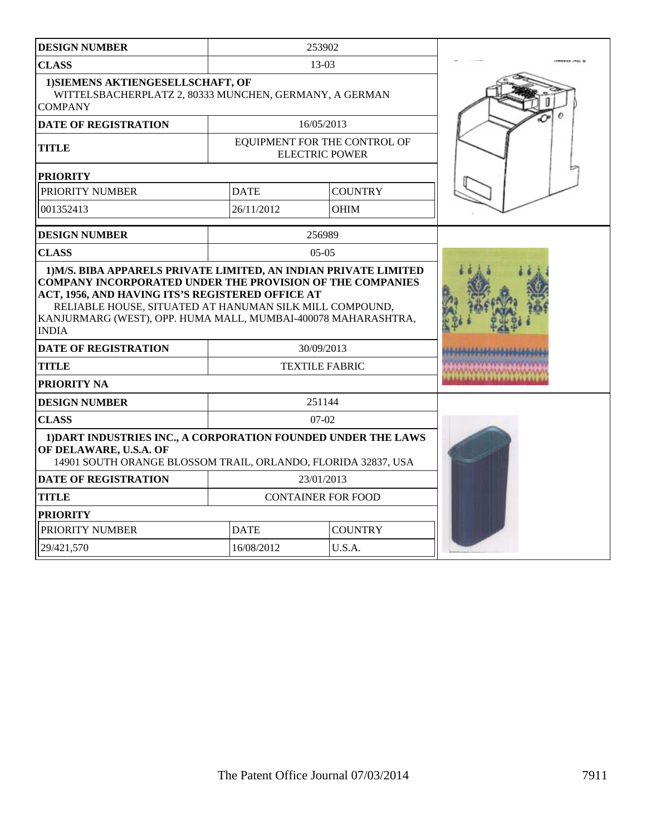| <b>DESIGN NUMBER</b>                                                                                                                                                                                                                                      |                           | 253902                                                |  |
|-----------------------------------------------------------------------------------------------------------------------------------------------------------------------------------------------------------------------------------------------------------|---------------------------|-------------------------------------------------------|--|
| <b>CLASS</b>                                                                                                                                                                                                                                              |                           | $13-03$                                               |  |
| 1) SIEMENS AKTIENGESELLSCHAFT, OF<br>WITTELSBACHERPLATZ 2, 80333 MUNCHEN, GERMANY, A GERMAN<br><b>COMPANY</b>                                                                                                                                             |                           |                                                       |  |
| <b>DATE OF REGISTRATION</b>                                                                                                                                                                                                                               |                           | 16/05/2013                                            |  |
| <b>TITLE</b>                                                                                                                                                                                                                                              |                           | EQUIPMENT FOR THE CONTROL OF<br><b>ELECTRIC POWER</b> |  |
| <b>PRIORITY</b>                                                                                                                                                                                                                                           |                           |                                                       |  |
| PRIORITY NUMBER                                                                                                                                                                                                                                           | <b>DATE</b>               | <b>COUNTRY</b>                                        |  |
| 001352413                                                                                                                                                                                                                                                 | 26/11/2012                | <b>OHIM</b>                                           |  |
| <b>DESIGN NUMBER</b>                                                                                                                                                                                                                                      |                           | 256989                                                |  |
| <b>CLASS</b>                                                                                                                                                                                                                                              |                           | $05-05$                                               |  |
| COMPANY INCORPORATED UNDER THE PROVISION OF THE COMPANIES<br>ACT, 1956, AND HAVING ITS'S REGISTERED OFFICE AT<br>RELIABLE HOUSE, SITUATED AT HANUMAN SILK MILL COMPOUND,<br>KANJURMARG (WEST), OPP. HUMA MALL, MUMBAI-400078 MAHARASHTRA,<br><b>INDIA</b> |                           |                                                       |  |
| <b>DATE OF REGISTRATION</b>                                                                                                                                                                                                                               |                           | 30/09/2013                                            |  |
| <b>TITLE</b>                                                                                                                                                                                                                                              |                           | <b>TEXTILE FABRIC</b>                                 |  |
| PRIORITY NA                                                                                                                                                                                                                                               |                           |                                                       |  |
| <b>DESIGN NUMBER</b>                                                                                                                                                                                                                                      |                           | 251144                                                |  |
| <b>CLASS</b>                                                                                                                                                                                                                                              |                           | $07-02$                                               |  |
| 1) DART INDUSTRIES INC., A CORPORATION FOUNDED UNDER THE LAWS<br>OF DELAWARE, U.S.A. OF<br>14901 SOUTH ORANGE BLOSSOM TRAIL, ORLANDO, FLORIDA 32837, USA                                                                                                  |                           |                                                       |  |
| <b>DATE OF REGISTRATION</b>                                                                                                                                                                                                                               |                           | 23/01/2013                                            |  |
| <b>TITLE</b>                                                                                                                                                                                                                                              | <b>CONTAINER FOR FOOD</b> |                                                       |  |
| <b>PRIORITY</b>                                                                                                                                                                                                                                           |                           |                                                       |  |
| PRIORITY NUMBER<br><b>DATE</b><br><b>COUNTRY</b>                                                                                                                                                                                                          |                           |                                                       |  |
| 29/421.570                                                                                                                                                                                                                                                | 16/08/2012                |                                                       |  |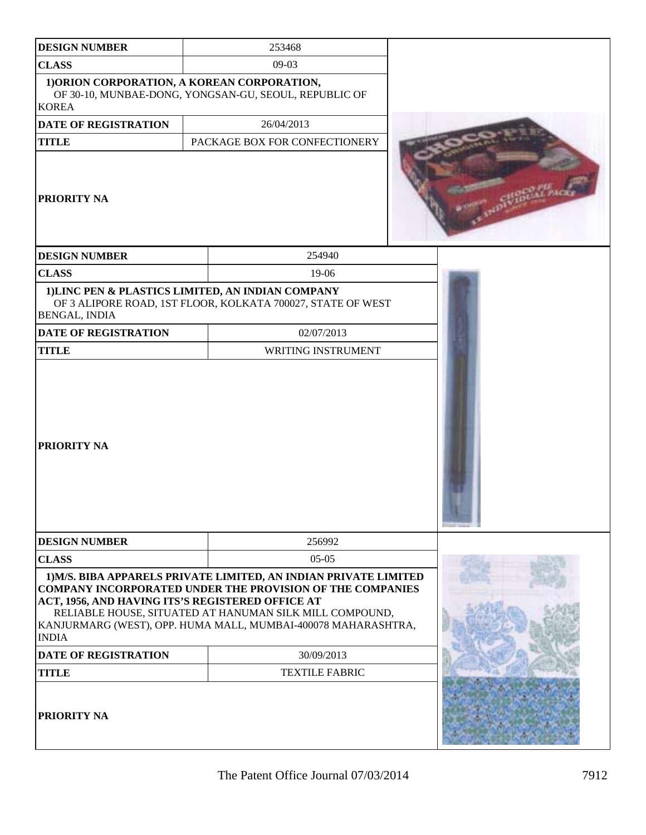| <b>DESIGN NUMBER</b>                                             | 253468                                                                                                                                                                                                                                                           |  |
|------------------------------------------------------------------|------------------------------------------------------------------------------------------------------------------------------------------------------------------------------------------------------------------------------------------------------------------|--|
| <b>CLASS</b>                                                     |                                                                                                                                                                                                                                                                  |  |
| 1) ORION CORPORATION, A KOREAN CORPORATION,<br><b>KOREA</b>      | OF 30-10, MUNBAE-DONG, YONGSAN-GU, SEOUL, REPUBLIC OF                                                                                                                                                                                                            |  |
| <b>DATE OF REGISTRATION</b>                                      | 26/04/2013                                                                                                                                                                                                                                                       |  |
| <b>TITLE</b>                                                     | PACKAGE BOX FOR CONFECTIONERY                                                                                                                                                                                                                                    |  |
| <b>PRIORITY NA</b>                                               |                                                                                                                                                                                                                                                                  |  |
| <b>DESIGN NUMBER</b>                                             | 254940                                                                                                                                                                                                                                                           |  |
| <b>CLASS</b>                                                     | $19-06$                                                                                                                                                                                                                                                          |  |
| BENGAL, INDIA                                                    | 1) LINC PEN & PLASTICS LIMITED, AN INDIAN COMPANY<br>OF 3 ALIPORE ROAD, 1ST FLOOR, KOLKATA 700027, STATE OF WEST                                                                                                                                                 |  |
| <b>DATE OF REGISTRATION</b>                                      | 02/07/2013                                                                                                                                                                                                                                                       |  |
| <b>TITLE</b>                                                     | WRITING INSTRUMENT                                                                                                                                                                                                                                               |  |
| <b>PRIORITY NA</b>                                               |                                                                                                                                                                                                                                                                  |  |
| <b>DESIGN NUMBER</b>                                             | 256992                                                                                                                                                                                                                                                           |  |
| <b>CLASS</b>                                                     | $05-05$                                                                                                                                                                                                                                                          |  |
| ACT, 1956, AND HAVING ITS'S REGISTERED OFFICE AT<br><b>INDIA</b> | 1) M/S. BIBA APPARELS PRIVATE LIMITED, AN INDIAN PRIVATE LIMITED<br><b>COMPANY INCORPORATED UNDER THE PROVISION OF THE COMPANIES</b><br>RELIABLE HOUSE, SITUATED AT HANUMAN SILK MILL COMPOUND,<br>KANJURMARG (WEST), OPP. HUMA MALL, MUMBAI-400078 MAHARASHTRA, |  |
| <b>DATE OF REGISTRATION</b>                                      |                                                                                                                                                                                                                                                                  |  |
| <b>TITLE</b>                                                     | <b>TEXTILE FABRIC</b>                                                                                                                                                                                                                                            |  |
| <b>PRIORITY NA</b>                                               |                                                                                                                                                                                                                                                                  |  |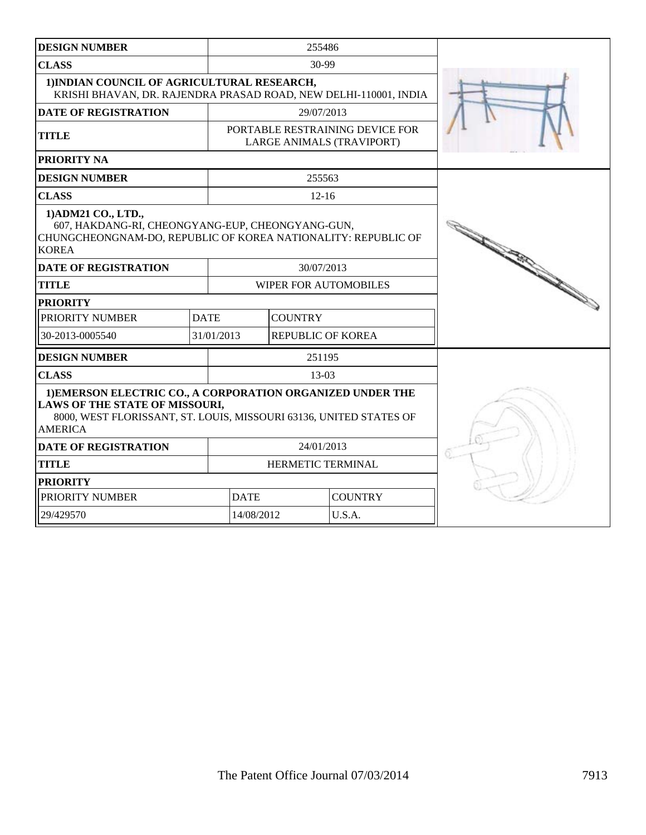| <b>DESIGN NUMBER</b>                                                                                                                                                                        |             | 255486                                                       |                          |                |  |
|---------------------------------------------------------------------------------------------------------------------------------------------------------------------------------------------|-------------|--------------------------------------------------------------|--------------------------|----------------|--|
| <b>CLASS</b>                                                                                                                                                                                |             | 30-99                                                        |                          |                |  |
| 1) INDIAN COUNCIL OF AGRICULTURAL RESEARCH,<br>KRISHI BHAVAN, DR. RAJENDRA PRASAD ROAD, NEW DELHI-110001, INDIA                                                                             |             |                                                              |                          |                |  |
| <b>DATE OF REGISTRATION</b>                                                                                                                                                                 |             | 29/07/2013                                                   |                          |                |  |
| <b>TITLE</b>                                                                                                                                                                                |             | PORTABLE RESTRAINING DEVICE FOR<br>LARGE ANIMALS (TRAVIPORT) |                          |                |  |
| <b>PRIORITY NA</b>                                                                                                                                                                          |             |                                                              |                          |                |  |
| <b>DESIGN NUMBER</b>                                                                                                                                                                        |             |                                                              | 255563                   |                |  |
| <b>CLASS</b>                                                                                                                                                                                |             |                                                              | $12 - 16$                |                |  |
| 1) ADM21 CO., LTD.,<br>607, HAKDANG-RI, CHEONGYANG-EUP, CHEONGYANG-GUN,<br>CHUNGCHEONGNAM-DO, REPUBLIC OF KOREA NATIONALITY: REPUBLIC OF<br><b>KOREA</b>                                    |             |                                                              |                          |                |  |
| <b>DATE OF REGISTRATION</b>                                                                                                                                                                 |             | 30/07/2013                                                   |                          |                |  |
| <b>TITLE</b>                                                                                                                                                                                |             | WIPER FOR AUTOMOBILES                                        |                          |                |  |
| <b>PRIORITY</b>                                                                                                                                                                             |             |                                                              |                          |                |  |
| PRIORITY NUMBER                                                                                                                                                                             | <b>DATE</b> |                                                              | <b>COUNTRY</b>           |                |  |
| 30-2013-0005540                                                                                                                                                                             | 31/01/2013  |                                                              | <b>REPUBLIC OF KOREA</b> |                |  |
| <b>DESIGN NUMBER</b>                                                                                                                                                                        |             | 251195                                                       |                          |                |  |
| <b>CLASS</b>                                                                                                                                                                                |             |                                                              | $13-03$                  |                |  |
| 1) EMERSON ELECTRIC CO., A CORPORATION ORGANIZED UNDER THE<br><b>LAWS OF THE STATE OF MISSOURI,</b><br>8000, WEST FLORISSANT, ST. LOUIS, MISSOURI 63136, UNITED STATES OF<br><b>AMERICA</b> |             |                                                              |                          |                |  |
| <b>DATE OF REGISTRATION</b>                                                                                                                                                                 |             | 24/01/2013                                                   |                          |                |  |
| <b>TITLE</b><br>HERMETIC TERMINAL                                                                                                                                                           |             |                                                              |                          |                |  |
| <b>PRIORITY</b>                                                                                                                                                                             |             |                                                              |                          |                |  |
| PRIORITY NUMBER                                                                                                                                                                             |             | <b>DATE</b>                                                  |                          | <b>COUNTRY</b> |  |
| 29/429570                                                                                                                                                                                   |             | 14/08/2012                                                   |                          | U.S.A.         |  |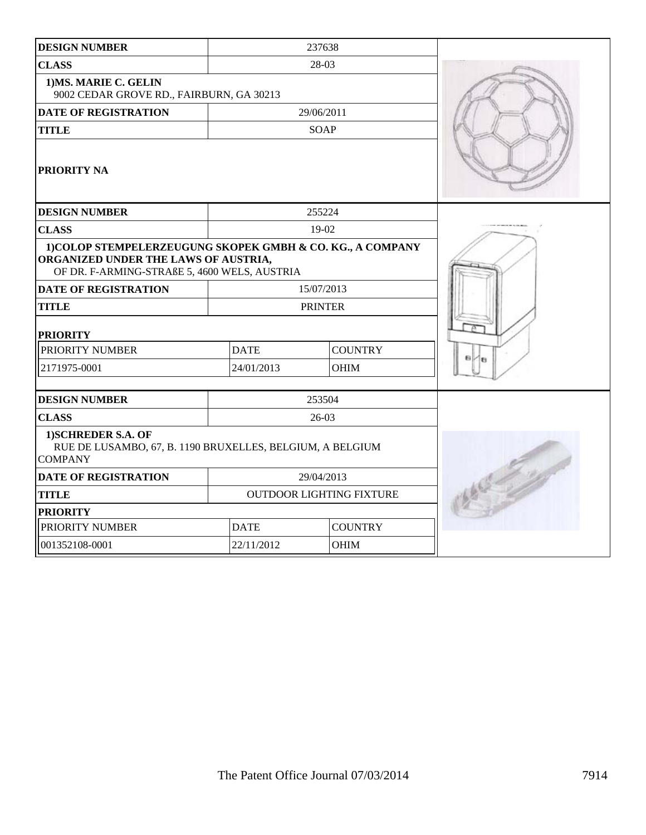| <b>DESIGN NUMBER</b>                                                                                                                               |                                 | 237638         |  |
|----------------------------------------------------------------------------------------------------------------------------------------------------|---------------------------------|----------------|--|
| <b>CLASS</b>                                                                                                                                       |                                 | 28-03          |  |
| 1) MS. MARIE C. GELIN<br>9002 CEDAR GROVE RD., FAIRBURN, GA 30213                                                                                  |                                 |                |  |
| <b>DATE OF REGISTRATION</b>                                                                                                                        |                                 | 29/06/2011     |  |
| <b>TITLE</b>                                                                                                                                       |                                 | <b>SOAP</b>    |  |
| <b>PRIORITY NA</b>                                                                                                                                 |                                 |                |  |
| <b>DESIGN NUMBER</b>                                                                                                                               |                                 | 255224         |  |
| <b>CLASS</b>                                                                                                                                       |                                 | 19-02          |  |
| 1) COLOP STEMPELERZEUGUNG SKOPEK GMBH & CO. KG., A COMPANY<br>ORGANIZED UNDER THE LAWS OF AUSTRIA,<br>OF DR. F-ARMING-STRAßE 5, 4600 WELS, AUSTRIA |                                 |                |  |
| <b>DATE OF REGISTRATION</b>                                                                                                                        | 15/07/2013                      |                |  |
| <b>TITLE</b>                                                                                                                                       |                                 | <b>PRINTER</b> |  |
| <b>PRIORITY</b>                                                                                                                                    |                                 |                |  |
| PRIORITY NUMBER                                                                                                                                    | <b>DATE</b>                     | <b>COUNTRY</b> |  |
| 2171975-0001                                                                                                                                       | 24/01/2013                      | <b>OHIM</b>    |  |
|                                                                                                                                                    |                                 |                |  |
| <b>DESIGN NUMBER</b>                                                                                                                               |                                 | 253504         |  |
| <b>CLASS</b>                                                                                                                                       |                                 | $26-03$        |  |
| 1) SCHREDER S.A. OF<br>RUE DE LUSAMBO, 67, B. 1190 BRUXELLES, BELGIUM, A BELGIUM<br><b>COMPANY</b>                                                 |                                 |                |  |
| <b>DATE OF REGISTRATION</b>                                                                                                                        |                                 | 29/04/2013     |  |
| <b>TITLE</b>                                                                                                                                       | <b>OUTDOOR LIGHTING FIXTURE</b> |                |  |
| <b>PRIORITY</b>                                                                                                                                    |                                 |                |  |
| PRIORITY NUMBER                                                                                                                                    | <b>DATE</b>                     | <b>COUNTRY</b> |  |
| 001352108-0001                                                                                                                                     | 22/11/2012                      | <b>OHIM</b>    |  |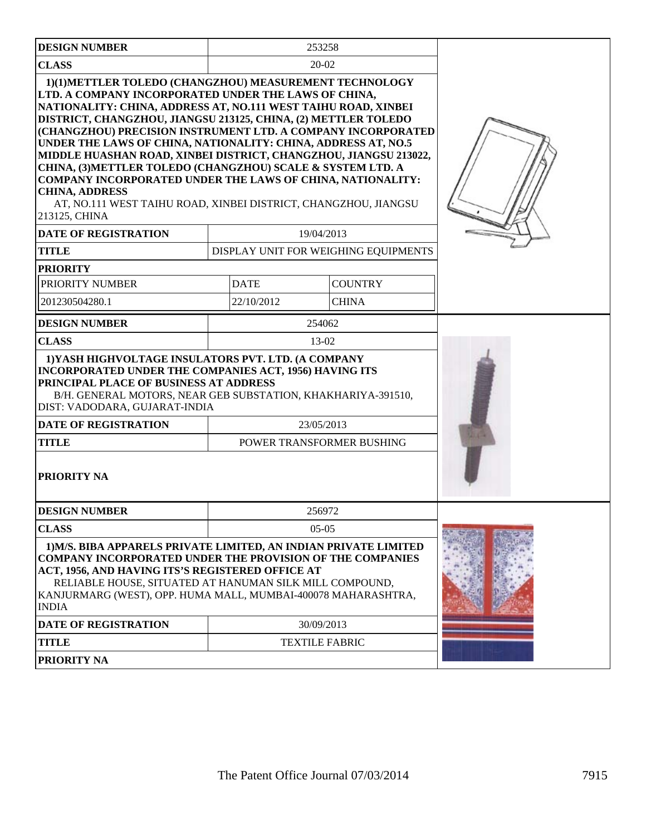| <b>DESIGN NUMBER</b>                                                                                                                                                                                                                                                                                                                                                                                                                                                                                                                                                                                                                                                                                     | 253258                               |                |  |
|----------------------------------------------------------------------------------------------------------------------------------------------------------------------------------------------------------------------------------------------------------------------------------------------------------------------------------------------------------------------------------------------------------------------------------------------------------------------------------------------------------------------------------------------------------------------------------------------------------------------------------------------------------------------------------------------------------|--------------------------------------|----------------|--|
| <b>CLASS</b>                                                                                                                                                                                                                                                                                                                                                                                                                                                                                                                                                                                                                                                                                             | 20-02                                |                |  |
| 1)(1)METTLER TOLEDO (CHANGZHOU) MEASUREMENT TECHNOLOGY<br>LTD. A COMPANY INCORPORATED UNDER THE LAWS OF CHINA,<br>NATIONALITY: CHINA, ADDRESS AT, NO.111 WEST TAIHU ROAD, XINBEI<br>DISTRICT, CHANGZHOU, JIANGSU 213125, CHINA, (2) METTLER TOLEDO<br>(CHANGZHOU) PRECISION INSTRUMENT LTD. A COMPANY INCORPORATED<br>UNDER THE LAWS OF CHINA, NATIONALITY: CHINA, ADDRESS AT, NO.5<br>MIDDLE HUASHAN ROAD, XINBEI DISTRICT, CHANGZHOU, JIANGSU 213022,<br>CHINA, (3) METTLER TOLEDO (CHANGZHOU) SCALE & SYSTEM LTD. A<br><b>COMPANY INCORPORATED UNDER THE LAWS OF CHINA, NATIONALITY:</b><br><b>CHINA, ADDRESS</b><br>AT, NO.111 WEST TAIHU ROAD, XINBEI DISTRICT, CHANGZHOU, JIANGSU<br>213125, CHINA |                                      |                |  |
| <b>DATE OF REGISTRATION</b>                                                                                                                                                                                                                                                                                                                                                                                                                                                                                                                                                                                                                                                                              | 19/04/2013                           |                |  |
| <b>TITLE</b>                                                                                                                                                                                                                                                                                                                                                                                                                                                                                                                                                                                                                                                                                             | DISPLAY UNIT FOR WEIGHING EQUIPMENTS |                |  |
| <b>PRIORITY</b>                                                                                                                                                                                                                                                                                                                                                                                                                                                                                                                                                                                                                                                                                          |                                      |                |  |
| PRIORITY NUMBER                                                                                                                                                                                                                                                                                                                                                                                                                                                                                                                                                                                                                                                                                          | <b>DATE</b>                          | <b>COUNTRY</b> |  |
| 201230504280.1                                                                                                                                                                                                                                                                                                                                                                                                                                                                                                                                                                                                                                                                                           | 22/10/2012                           | <b>CHINA</b>   |  |
| <b>DESIGN NUMBER</b>                                                                                                                                                                                                                                                                                                                                                                                                                                                                                                                                                                                                                                                                                     | 254062                               |                |  |
| <b>CLASS</b>                                                                                                                                                                                                                                                                                                                                                                                                                                                                                                                                                                                                                                                                                             | 13-02                                |                |  |
| 1) YASH HIGHVOLTAGE INSULATORS PVT. LTD. (A COMPANY<br>INCORPORATED UNDER THE COMPANIES ACT, 1956) HAVING ITS<br>PRINCIPAL PLACE OF BUSINESS AT ADDRESS<br>B/H. GENERAL MOTORS, NEAR GEB SUBSTATION, KHAKHARIYA-391510,<br>DIST: VADODARA, GUJARAT-INDIA                                                                                                                                                                                                                                                                                                                                                                                                                                                 |                                      |                |  |
| <b>DATE OF REGISTRATION</b>                                                                                                                                                                                                                                                                                                                                                                                                                                                                                                                                                                                                                                                                              | 23/05/2013                           |                |  |
| <b>TITLE</b>                                                                                                                                                                                                                                                                                                                                                                                                                                                                                                                                                                                                                                                                                             | POWER TRANSFORMER BUSHING            |                |  |
| <b>PRIORITY NA</b>                                                                                                                                                                                                                                                                                                                                                                                                                                                                                                                                                                                                                                                                                       |                                      |                |  |
| <b>DESIGN NUMBER</b>                                                                                                                                                                                                                                                                                                                                                                                                                                                                                                                                                                                                                                                                                     | 256972                               |                |  |
| <b>CLASS</b>                                                                                                                                                                                                                                                                                                                                                                                                                                                                                                                                                                                                                                                                                             | $05-05$                              |                |  |
| 1) M/S. BIBA APPARELS PRIVATE LIMITED, AN INDIAN PRIVATE LIMITED<br><b>COMPANY INCORPORATED UNDER THE PROVISION OF THE COMPANIES</b><br>ACT, 1956, AND HAVING ITS'S REGISTERED OFFICE AT<br>RELIABLE HOUSE, SITUATED AT HANUMAN SILK MILL COMPOUND,<br>KANJURMARG (WEST), OPP. HUMA MALL, MUMBAI-400078 MAHARASHTRA,<br><b>INDIA</b>                                                                                                                                                                                                                                                                                                                                                                     |                                      |                |  |
| DATE OF REGISTRATION                                                                                                                                                                                                                                                                                                                                                                                                                                                                                                                                                                                                                                                                                     | 30/09/2013                           |                |  |
| <b>TITLE</b>                                                                                                                                                                                                                                                                                                                                                                                                                                                                                                                                                                                                                                                                                             | <b>TEXTILE FABRIC</b>                |                |  |
| PRIORITY NA                                                                                                                                                                                                                                                                                                                                                                                                                                                                                                                                                                                                                                                                                              |                                      |                |  |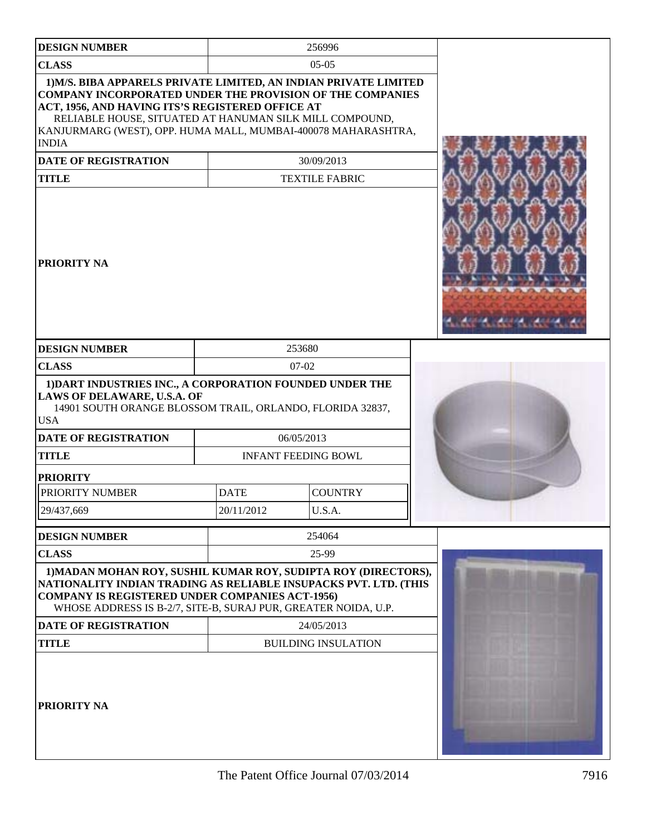| <b>DESIGN NUMBER</b>                                                                                                                                                                                                                                                                                                                 |                           | 256996                                                               |  |
|--------------------------------------------------------------------------------------------------------------------------------------------------------------------------------------------------------------------------------------------------------------------------------------------------------------------------------------|---------------------------|----------------------------------------------------------------------|--|
| <b>CLASS</b>                                                                                                                                                                                                                                                                                                                         |                           | $05-05$                                                              |  |
| 1) M/S. BIBA APPARELS PRIVATE LIMITED, AN INDIAN PRIVATE LIMITED<br><b>COMPANY INCORPORATED UNDER THE PROVISION OF THE COMPANIES</b><br>ACT, 1956, AND HAVING ITS'S REGISTERED OFFICE AT<br>RELIABLE HOUSE, SITUATED AT HANUMAN SILK MILL COMPOUND,<br>KANJURMARG (WEST), OPP. HUMA MALL, MUMBAI-400078 MAHARASHTRA,<br><b>INDIA</b> |                           |                                                                      |  |
| <b>DATE OF REGISTRATION</b>                                                                                                                                                                                                                                                                                                          |                           | 30/09/2013                                                           |  |
| <b>TITLE</b>                                                                                                                                                                                                                                                                                                                         |                           | <b>TEXTILE FABRIC</b>                                                |  |
| <b>PRIORITY NA</b>                                                                                                                                                                                                                                                                                                                   |                           |                                                                      |  |
| <b>DESIGN NUMBER</b>                                                                                                                                                                                                                                                                                                                 |                           | 253680                                                               |  |
| <b>CLASS</b>                                                                                                                                                                                                                                                                                                                         | $07-02$                   |                                                                      |  |
| 1) DART INDUSTRIES INC., A CORPORATION FOUNDED UNDER THE<br><b>LAWS OF DELAWARE, U.S.A. OF</b><br>14901 SOUTH ORANGE BLOSSOM TRAIL, ORLANDO, FLORIDA 32837,<br><b>USA</b><br><b>DATE OF REGISTRATION</b><br><b>TITLE</b><br><b>PRIORITY</b><br>PRIORITY NUMBER<br>29/437,669                                                         | <b>DATE</b><br>20/11/2012 | 06/05/2013<br><b>INFANT FEEDING BOWL</b><br><b>COUNTRY</b><br>U.S.A. |  |
|                                                                                                                                                                                                                                                                                                                                      |                           |                                                                      |  |
| <b>DESIGN NUMBER</b>                                                                                                                                                                                                                                                                                                                 |                           | 254064                                                               |  |
| <b>CLASS</b><br>1) MADAN MOHAN ROY, SUSHIL KUMAR ROY, SUDIPTA ROY (DIRECTORS),<br>NATIONALITY INDIAN TRADING AS RELIABLE INSUPACKS PVT. LTD. (THIS<br><b>COMPANY IS REGISTERED UNDER COMPANIES ACT-1956)</b><br>WHOSE ADDRESS IS B-2/7, SITE-B, SURAJ PUR, GREATER NOIDA, U.P.                                                       |                           | 25-99                                                                |  |
| <b>DATE OF REGISTRATION</b>                                                                                                                                                                                                                                                                                                          | 24/05/2013                |                                                                      |  |
| <b>TITLE</b>                                                                                                                                                                                                                                                                                                                         |                           | <b>BUILDING INSULATION</b>                                           |  |
| <b>PRIORITY NA</b>                                                                                                                                                                                                                                                                                                                   |                           |                                                                      |  |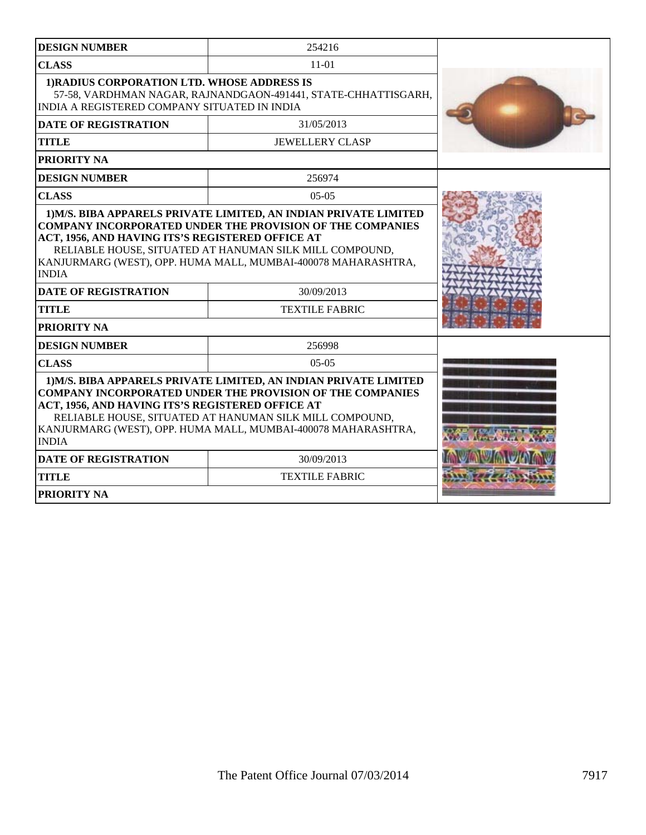| <b>DESIGN NUMBER</b>                                                                                                                                                                                                                                                                                                                 | 254216                                                         |  |
|--------------------------------------------------------------------------------------------------------------------------------------------------------------------------------------------------------------------------------------------------------------------------------------------------------------------------------------|----------------------------------------------------------------|--|
| <b>CLASS</b>                                                                                                                                                                                                                                                                                                                         | $11-01$                                                        |  |
| 1) RADIUS CORPORATION LTD. WHOSE ADDRESS IS<br>INDIA A REGISTERED COMPANY SITUATED IN INDIA                                                                                                                                                                                                                                          | 57-58, VARDHMAN NAGAR, RAJNANDGAON-491441, STATE-CHHATTISGARH, |  |
| <b>DATE OF REGISTRATION</b>                                                                                                                                                                                                                                                                                                          | 31/05/2013                                                     |  |
| <b>TITLE</b>                                                                                                                                                                                                                                                                                                                         | <b>JEWELLERY CLASP</b>                                         |  |
| <b>PRIORITY NA</b>                                                                                                                                                                                                                                                                                                                   |                                                                |  |
| <b>DESIGN NUMBER</b>                                                                                                                                                                                                                                                                                                                 | 256974                                                         |  |
| <b>CLASS</b>                                                                                                                                                                                                                                                                                                                         | $05-05$                                                        |  |
| <b>COMPANY INCORPORATED UNDER THE PROVISION OF THE COMPANIES</b><br>ACT, 1956, AND HAVING ITS'S REGISTERED OFFICE AT<br>RELIABLE HOUSE, SITUATED AT HANUMAN SILK MILL COMPOUND,<br>KANJURMARG (WEST), OPP. HUMA MALL, MUMBAI-400078 MAHARASHTRA,<br><b>INDIA</b>                                                                     |                                                                |  |
| <b>DATE OF REGISTRATION</b>                                                                                                                                                                                                                                                                                                          | 30/09/2013                                                     |  |
| <b>TITLE</b>                                                                                                                                                                                                                                                                                                                         | <b>TEXTILE FABRIC</b>                                          |  |
| <b>PRIORITY NA</b>                                                                                                                                                                                                                                                                                                                   |                                                                |  |
| <b>DESIGN NUMBER</b>                                                                                                                                                                                                                                                                                                                 | 256998                                                         |  |
| <b>CLASS</b>                                                                                                                                                                                                                                                                                                                         | $0.5 - 0.5$                                                    |  |
| 1) M/S. BIBA APPARELS PRIVATE LIMITED, AN INDIAN PRIVATE LIMITED<br><b>COMPANY INCORPORATED UNDER THE PROVISION OF THE COMPANIES</b><br>ACT, 1956, AND HAVING ITS'S REGISTERED OFFICE AT<br>RELIABLE HOUSE, SITUATED AT HANUMAN SILK MILL COMPOUND,<br>KANJURMARG (WEST), OPP. HUMA MALL, MUMBAI-400078 MAHARASHTRA,<br><b>INDIA</b> |                                                                |  |
| <b>DATE OF REGISTRATION</b>                                                                                                                                                                                                                                                                                                          | 30/09/2013                                                     |  |
| <b>TITLE</b>                                                                                                                                                                                                                                                                                                                         | <b>TEXTILE FABRIC</b>                                          |  |
| <b>PRIORITY NA</b>                                                                                                                                                                                                                                                                                                                   |                                                                |  |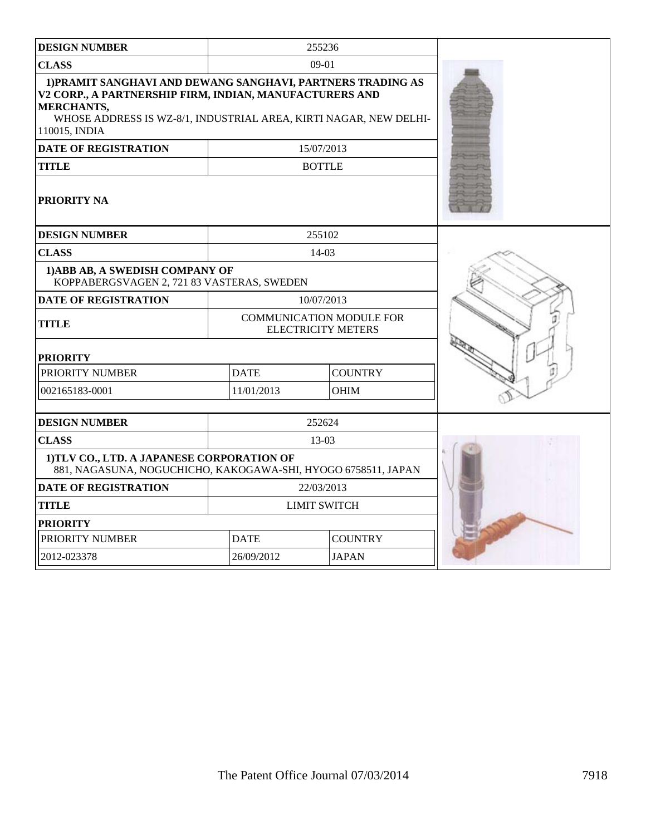| <b>DESIGN NUMBER</b>                                                                                                                                                                                                       | 255236                                                       |                |  |
|----------------------------------------------------------------------------------------------------------------------------------------------------------------------------------------------------------------------------|--------------------------------------------------------------|----------------|--|
| <b>CLASS</b>                                                                                                                                                                                                               |                                                              | $09-01$        |  |
| 1) PRAMIT SANGHAVI AND DEWANG SANGHAVI, PARTNERS TRADING AS<br>V2 CORP., A PARTNERSHIP FIRM, INDIAN, MANUFACTURERS AND<br>MERCHANTS,<br>WHOSE ADDRESS IS WZ-8/1, INDUSTRIAL AREA, KIRTI NAGAR, NEW DELHI-<br>110015, INDIA |                                                              |                |  |
| <b>DATE OF REGISTRATION</b>                                                                                                                                                                                                |                                                              | 15/07/2013     |  |
| <b>TITLE</b>                                                                                                                                                                                                               |                                                              | <b>BOTTLE</b>  |  |
| PRIORITY NA                                                                                                                                                                                                                |                                                              |                |  |
| <b>DESIGN NUMBER</b>                                                                                                                                                                                                       |                                                              | 255102         |  |
| <b>CLASS</b>                                                                                                                                                                                                               |                                                              | $14-03$        |  |
| 1) ABB AB, A SWEDISH COMPANY OF<br>KOPPABERGSVAGEN 2, 721 83 VASTERAS, SWEDEN                                                                                                                                              |                                                              |                |  |
| DATE OF REGISTRATION                                                                                                                                                                                                       |                                                              | 10/07/2013     |  |
| TITLE                                                                                                                                                                                                                      | <b>COMMUNICATION MODULE FOR</b><br><b>ELECTRICITY METERS</b> |                |  |
| <b>PRIORITY</b>                                                                                                                                                                                                            |                                                              |                |  |
| PRIORITY NUMBER                                                                                                                                                                                                            | <b>DATE</b><br><b>COUNTRY</b>                                |                |  |
| 002165183-0001                                                                                                                                                                                                             | 11/01/2013                                                   | <b>OHIM</b>    |  |
| <b>DESIGN NUMBER</b>                                                                                                                                                                                                       |                                                              | 252624         |  |
| <b>CLASS</b>                                                                                                                                                                                                               |                                                              | $13-03$        |  |
| 1)TLV CO., LTD. A JAPANESE CORPORATION OF<br>881, NAGASUNA, NOGUCHICHO, KAKOGAWA-SHI, HYOGO 6758511, JAPAN                                                                                                                 |                                                              |                |  |
| <b>DATE OF REGISTRATION</b>                                                                                                                                                                                                |                                                              | 22/03/2013     |  |
| <b>TITLE</b>                                                                                                                                                                                                               | <b>LIMIT SWITCH</b>                                          |                |  |
| <b>PRIORITY</b>                                                                                                                                                                                                            |                                                              |                |  |
| PRIORITY NUMBER                                                                                                                                                                                                            | <b>DATE</b>                                                  | <b>COUNTRY</b> |  |
| 2012-023378                                                                                                                                                                                                                | 26/09/2012                                                   | <b>JAPAN</b>   |  |
|                                                                                                                                                                                                                            |                                                              |                |  |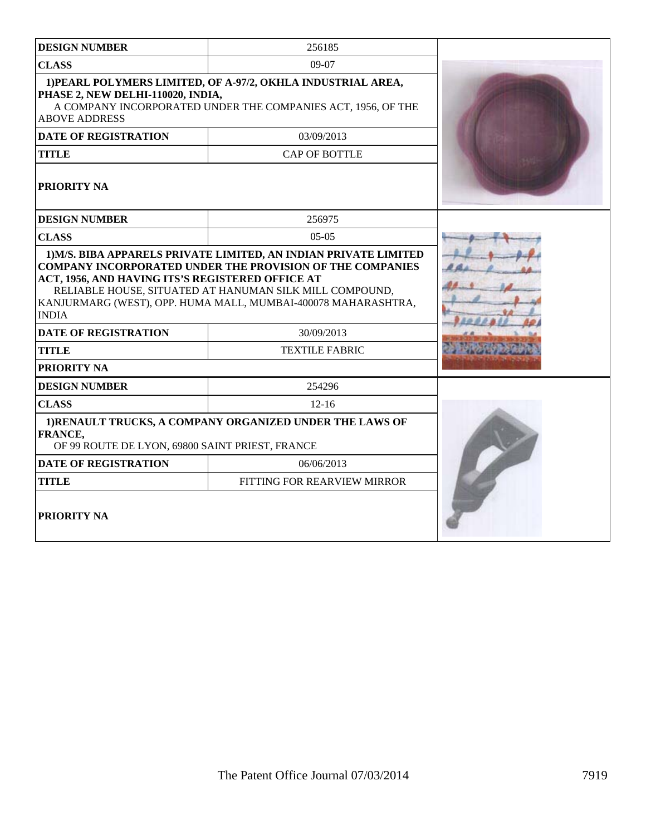| <b>DESIGN NUMBER</b>                                                                                                                                                                                                                                             | 256185                      |  |
|------------------------------------------------------------------------------------------------------------------------------------------------------------------------------------------------------------------------------------------------------------------|-----------------------------|--|
| <b>CLASS</b>                                                                                                                                                                                                                                                     | 09-07                       |  |
| 1) PEARL POLYMERS LIMITED, OF A-97/2, OKHLA INDUSTRIAL AREA,<br>PHASE 2, NEW DELHI-110020, INDIA,<br>A COMPANY INCORPORATED UNDER THE COMPANIES ACT, 1956, OF THE<br><b>ABOVE ADDRESS</b>                                                                        |                             |  |
| <b>DATE OF REGISTRATION</b>                                                                                                                                                                                                                                      | 03/09/2013                  |  |
| <b>TITLE</b>                                                                                                                                                                                                                                                     | <b>CAP OF BOTTLE</b>        |  |
| PRIORITY NA                                                                                                                                                                                                                                                      |                             |  |
| <b>DESIGN NUMBER</b>                                                                                                                                                                                                                                             | 256975                      |  |
| <b>CLASS</b>                                                                                                                                                                                                                                                     | $0.5 - 0.5$                 |  |
| <b>COMPANY INCORPORATED UNDER THE PROVISION OF THE COMPANIES</b><br>ACT, 1956, AND HAVING ITS'S REGISTERED OFFICE AT<br>RELIABLE HOUSE, SITUATED AT HANUMAN SILK MILL COMPOUND,<br>KANJURMARG (WEST), OPP. HUMA MALL, MUMBAI-400078 MAHARASHTRA,<br><b>INDIA</b> |                             |  |
| <b>DATE OF REGISTRATION</b>                                                                                                                                                                                                                                      | 30/09/2013                  |  |
| <b>TITLE</b>                                                                                                                                                                                                                                                     | <b>TEXTILE FABRIC</b>       |  |
| PRIORITY NA                                                                                                                                                                                                                                                      |                             |  |
| <b>DESIGN NUMBER</b>                                                                                                                                                                                                                                             | 254296                      |  |
| <b>CLASS</b>                                                                                                                                                                                                                                                     | $12 - 16$                   |  |
| 1) RENAULT TRUCKS, A COMPANY ORGANIZED UNDER THE LAWS OF<br>FRANCE,<br>OF 99 ROUTE DE LYON, 69800 SAINT PRIEST, FRANCE                                                                                                                                           |                             |  |
| <b>DATE OF REGISTRATION</b>                                                                                                                                                                                                                                      | 06/06/2013                  |  |
| <b>TITLE</b>                                                                                                                                                                                                                                                     | FITTING FOR REARVIEW MIRROR |  |
| <b>PRIORITY NA</b>                                                                                                                                                                                                                                               |                             |  |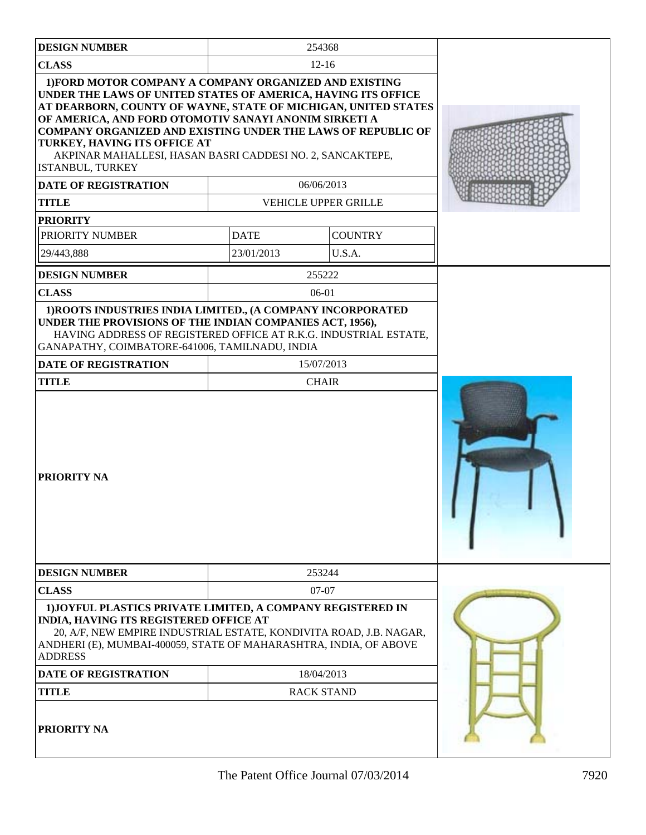| <b>DESIGN NUMBER</b>                                                                                                                                                                                                                                                                                                                                                                                                                       |             | 254368               |  |
|--------------------------------------------------------------------------------------------------------------------------------------------------------------------------------------------------------------------------------------------------------------------------------------------------------------------------------------------------------------------------------------------------------------------------------------------|-------------|----------------------|--|
| <b>CLASS</b>                                                                                                                                                                                                                                                                                                                                                                                                                               |             | $12 - 16$            |  |
| 1) FORD MOTOR COMPANY A COMPANY ORGANIZED AND EXISTING<br>UNDER THE LAWS OF UNITED STATES OF AMERICA, HAVING ITS OFFICE<br>AT DEARBORN, COUNTY OF WAYNE, STATE OF MICHIGAN, UNITED STATES<br>OF AMERICA, AND FORD OTOMOTIV SANAYI ANONIM SIRKETI A<br><b>COMPANY ORGANIZED AND EXISTING UNDER THE LAWS OF REPUBLIC OF</b><br>TURKEY, HAVING ITS OFFICE AT<br>AKPINAR MAHALLESI, HASAN BASRI CADDESI NO. 2, SANCAKTEPE,<br>ISTANBUL, TURKEY |             |                      |  |
| <b>DATE OF REGISTRATION</b>                                                                                                                                                                                                                                                                                                                                                                                                                |             | 06/06/2013           |  |
| <b>TITLE</b>                                                                                                                                                                                                                                                                                                                                                                                                                               |             | VEHICLE UPPER GRILLE |  |
| <b>PRIORITY</b>                                                                                                                                                                                                                                                                                                                                                                                                                            |             |                      |  |
| PRIORITY NUMBER                                                                                                                                                                                                                                                                                                                                                                                                                            | <b>DATE</b> | <b>COUNTRY</b>       |  |
| 29/443,888                                                                                                                                                                                                                                                                                                                                                                                                                                 | 23/01/2013  | U.S.A.               |  |
| <b>DESIGN NUMBER</b>                                                                                                                                                                                                                                                                                                                                                                                                                       |             | 255222               |  |
| <b>CLASS</b>                                                                                                                                                                                                                                                                                                                                                                                                                               |             | 06-01                |  |
| 1) ROOTS INDUSTRIES INDIA LIMITED., (A COMPANY INCORPORATED<br>UNDER THE PROVISIONS OF THE INDIAN COMPANIES ACT, 1956),<br>HAVING ADDRESS OF REGISTERED OFFICE AT R.K.G. INDUSTRIAL ESTATE,<br>GANAPATHY, COIMBATORE-641006, TAMILNADU, INDIA                                                                                                                                                                                              |             |                      |  |
| DATE OF REGISTRATION                                                                                                                                                                                                                                                                                                                                                                                                                       |             | 15/07/2013           |  |
| <b>TITLE</b>                                                                                                                                                                                                                                                                                                                                                                                                                               |             | <b>CHAIR</b>         |  |
| <b>PRIORITY NA</b>                                                                                                                                                                                                                                                                                                                                                                                                                         |             |                      |  |
| <b>DESIGN NUMBER</b>                                                                                                                                                                                                                                                                                                                                                                                                                       |             | 253244               |  |
| <b>CLASS</b>                                                                                                                                                                                                                                                                                                                                                                                                                               |             | $07-07$              |  |
| 1) JOYFUL PLASTICS PRIVATE LIMITED, A COMPANY REGISTERED IN<br>INDIA, HAVING ITS REGISTERED OFFICE AT<br>20, A/F, NEW EMPIRE INDUSTRIAL ESTATE, KONDIVITA ROAD, J.B. NAGAR,<br>ANDHERI (E), MUMBAI-400059, STATE OF MAHARASHTRA, INDIA, OF ABOVE<br><b>ADDRESS</b><br>18/04/2013<br>DATE OF REGISTRATION<br><b>RACK STAND</b><br>TITLE                                                                                                     |             |                      |  |
| PRIORITY NA                                                                                                                                                                                                                                                                                                                                                                                                                                |             |                      |  |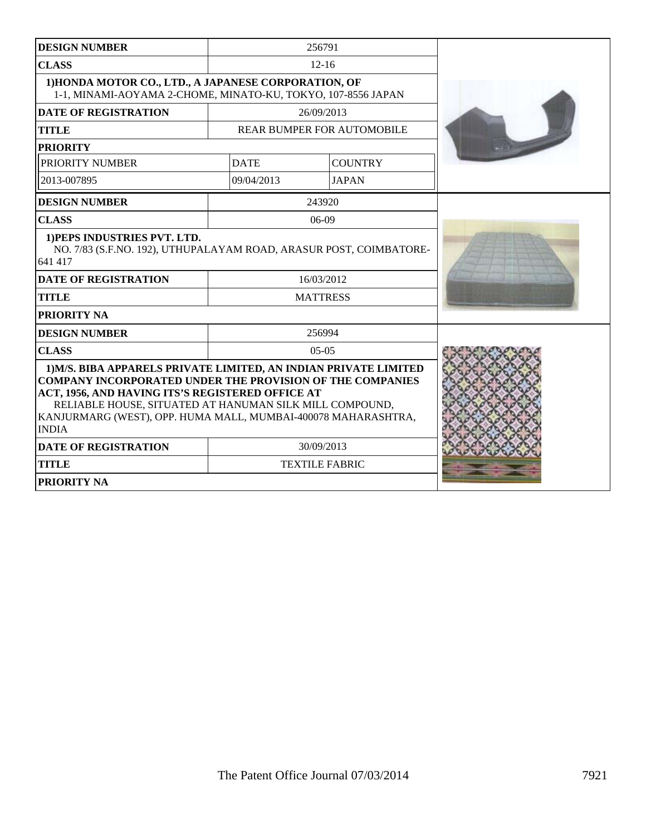| <b>DESIGN NUMBER</b>                                                                                                                                                                                                                                                                                                                 |                 | 256791                            |  |
|--------------------------------------------------------------------------------------------------------------------------------------------------------------------------------------------------------------------------------------------------------------------------------------------------------------------------------------|-----------------|-----------------------------------|--|
| <b>CLASS</b>                                                                                                                                                                                                                                                                                                                         |                 | $12 - 16$                         |  |
| 1) HONDA MOTOR CO., LTD., A JAPANESE CORPORATION, OF<br>1-1, MINAMI-AOYAMA 2-CHOME, MINATO-KU, TOKYO, 107-8556 JAPAN                                                                                                                                                                                                                 |                 |                                   |  |
| <b>DATE OF REGISTRATION</b>                                                                                                                                                                                                                                                                                                          |                 | 26/09/2013                        |  |
| <b>TITLE</b>                                                                                                                                                                                                                                                                                                                         |                 | <b>REAR BUMPER FOR AUTOMOBILE</b> |  |
| <b>PRIORITY</b>                                                                                                                                                                                                                                                                                                                      |                 |                                   |  |
| PRIORITY NUMBER                                                                                                                                                                                                                                                                                                                      | <b>DATE</b>     | <b>COUNTRY</b>                    |  |
| 2013-007895                                                                                                                                                                                                                                                                                                                          | 09/04/2013      | <b>JAPAN</b>                      |  |
| <b>DESIGN NUMBER</b>                                                                                                                                                                                                                                                                                                                 |                 | 243920                            |  |
| <b>CLASS</b>                                                                                                                                                                                                                                                                                                                         |                 | $06-09$                           |  |
| 1) PEPS INDUSTRIES PVT. LTD.<br>NO. 7/83 (S.F.NO. 192), UTHUPALAYAM ROAD, ARASUR POST, COIMBATORE-<br>641 417                                                                                                                                                                                                                        |                 |                                   |  |
| <b>DATE OF REGISTRATION</b>                                                                                                                                                                                                                                                                                                          | 16/03/2012      |                                   |  |
| <b>TITLE</b>                                                                                                                                                                                                                                                                                                                         | <b>MATTRESS</b> |                                   |  |
| PRIORITY NA                                                                                                                                                                                                                                                                                                                          |                 |                                   |  |
| <b>DESIGN NUMBER</b>                                                                                                                                                                                                                                                                                                                 |                 | 256994                            |  |
| <b>CLASS</b>                                                                                                                                                                                                                                                                                                                         |                 | $05-05$                           |  |
| 1) M/S. BIBA APPARELS PRIVATE LIMITED, AN INDIAN PRIVATE LIMITED<br><b>COMPANY INCORPORATED UNDER THE PROVISION OF THE COMPANIES</b><br>ACT, 1956, AND HAVING ITS'S REGISTERED OFFICE AT<br>RELIABLE HOUSE, SITUATED AT HANUMAN SILK MILL COMPOUND,<br>KANJURMARG (WEST), OPP. HUMA MALL, MUMBAI-400078 MAHARASHTRA,<br><b>INDIA</b> |                 |                                   |  |
| <b>DATE OF REGISTRATION</b>                                                                                                                                                                                                                                                                                                          |                 | 30/09/2013                        |  |
| <b>TITLE</b>                                                                                                                                                                                                                                                                                                                         |                 | <b>TEXTILE FABRIC</b>             |  |
| PRIORITY NA                                                                                                                                                                                                                                                                                                                          |                 |                                   |  |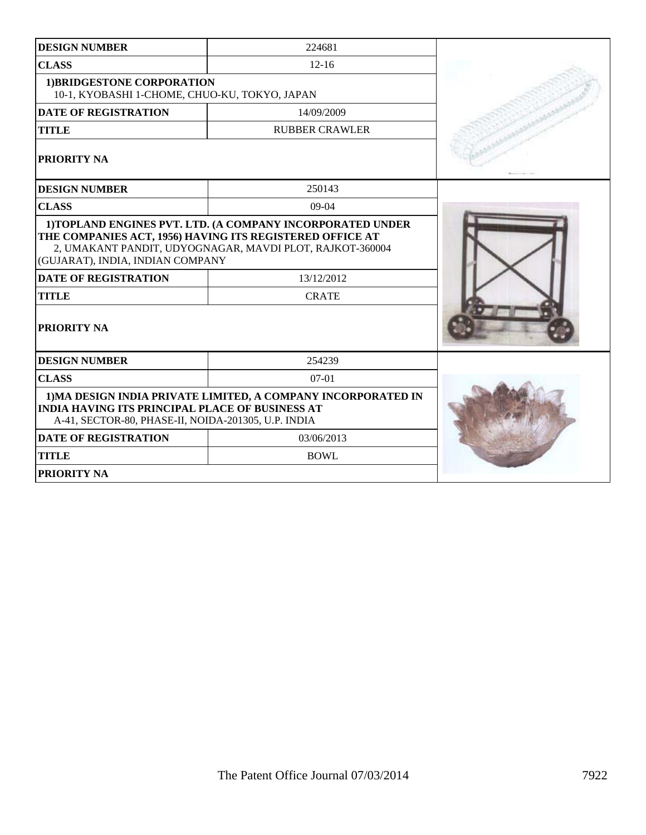| <b>DESIGN NUMBER</b>                                                                                                                                                           | 224681                                                                                                                                             |  |
|--------------------------------------------------------------------------------------------------------------------------------------------------------------------------------|----------------------------------------------------------------------------------------------------------------------------------------------------|--|
| <b>CLASS</b>                                                                                                                                                                   | $12 - 16$                                                                                                                                          |  |
| 1) BRIDGESTONE CORPORATION<br>10-1, KYOBASHI 1-CHOME, CHUO-KU, TOKYO, JAPAN                                                                                                    |                                                                                                                                                    |  |
| <b>DATE OF REGISTRATION</b>                                                                                                                                                    | 14/09/2009                                                                                                                                         |  |
| <b>TITLE</b>                                                                                                                                                                   | <b>RUBBER CRAWLER</b>                                                                                                                              |  |
| PRIORITY NA                                                                                                                                                                    |                                                                                                                                                    |  |
| <b>DESIGN NUMBER</b>                                                                                                                                                           | 250143                                                                                                                                             |  |
| <b>CLASS</b>                                                                                                                                                                   | 09-04                                                                                                                                              |  |
| (GUJARAT), INDIA, INDIAN COMPANY<br><b>DATE OF REGISTRATION</b><br><b>TITLE</b><br>PRIORITY NA                                                                                 | THE COMPANIES ACT, 1956) HAVING ITS REGISTERED OFFICE AT<br>2, UMAKANT PANDIT, UDYOGNAGAR, MAVDI PLOT, RAJKOT-360004<br>13/12/2012<br><b>CRATE</b> |  |
| <b>DESIGN NUMBER</b>                                                                                                                                                           | 254239                                                                                                                                             |  |
| <b>CLASS</b>                                                                                                                                                                   | $07-01$                                                                                                                                            |  |
| 1) MA DESIGN INDIA PRIVATE LIMITED, A COMPANY INCORPORATED IN<br><b>INDIA HAVING ITS PRINCIPAL PLACE OF BUSINESS AT</b><br>A-41, SECTOR-80, PHASE-II, NOIDA-201305, U.P. INDIA |                                                                                                                                                    |  |
| <b>DATE OF REGISTRATION</b>                                                                                                                                                    | 03/06/2013                                                                                                                                         |  |
| <b>TITLE</b>                                                                                                                                                                   | <b>BOWL</b>                                                                                                                                        |  |
| PRIORITY NA                                                                                                                                                                    |                                                                                                                                                    |  |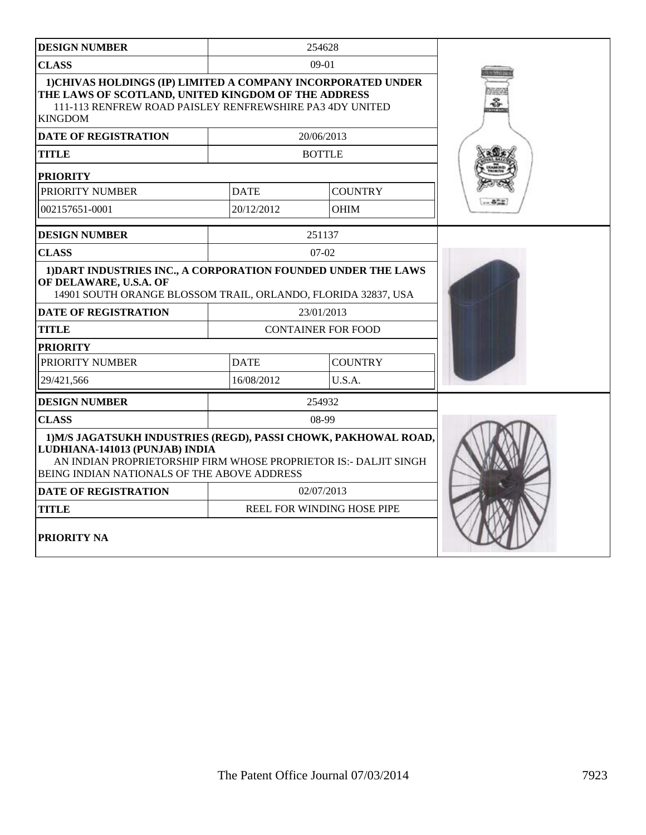| <b>DESIGN NUMBER</b>                                                                                                                                                                                                 |             | 254628                     |  |
|----------------------------------------------------------------------------------------------------------------------------------------------------------------------------------------------------------------------|-------------|----------------------------|--|
| <b>CLASS</b>                                                                                                                                                                                                         |             | $09-01$                    |  |
| 1) CHIVAS HOLDINGS (IP) LIMITED A COMPANY INCORPORATED UNDER<br>THE LAWS OF SCOTLAND, UNITED KINGDOM OF THE ADDRESS<br>111-113 RENFREW ROAD PAISLEY RENFREWSHIRE PA3 4DY UNITED<br><b>KINGDOM</b>                    |             |                            |  |
| <b>DATE OF REGISTRATION</b>                                                                                                                                                                                          |             | 20/06/2013                 |  |
| TITLE                                                                                                                                                                                                                |             | <b>BOTTLE</b>              |  |
| <b>PRIORITY</b>                                                                                                                                                                                                      |             |                            |  |
| PRIORITY NUMBER                                                                                                                                                                                                      | <b>DATE</b> | <b>COUNTRY</b>             |  |
| 002157651-0001                                                                                                                                                                                                       | 20/12/2012  | <b>OHIM</b>                |  |
| <b>DESIGN NUMBER</b>                                                                                                                                                                                                 |             | 251137                     |  |
| <b>CLASS</b>                                                                                                                                                                                                         |             | $07-02$                    |  |
| 1) DART INDUSTRIES INC., A CORPORATION FOUNDED UNDER THE LAWS<br>OF DELAWARE, U.S.A. OF<br>14901 SOUTH ORANGE BLOSSOM TRAIL, ORLANDO, FLORIDA 32837, USA                                                             |             |                            |  |
| <b>DATE OF REGISTRATION</b>                                                                                                                                                                                          | 23/01/2013  |                            |  |
| <b>TITLE</b>                                                                                                                                                                                                         |             | <b>CONTAINER FOR FOOD</b>  |  |
| <b>PRIORITY</b><br>PRIORITY NUMBER<br><b>DATE</b><br><b>COUNTRY</b>                                                                                                                                                  |             |                            |  |
| 29/421,566                                                                                                                                                                                                           |             |                            |  |
|                                                                                                                                                                                                                      | 16/08/2012  | U.S.A.                     |  |
| <b>DESIGN NUMBER</b>                                                                                                                                                                                                 |             | 254932                     |  |
| <b>CLASS</b>                                                                                                                                                                                                         |             | 08-99                      |  |
| 1) M/S JAGATSUKH INDUSTRIES (REGD), PASSI CHOWK, PAKHOWAL ROAD,<br>LUDHIANA-141013 (PUNJAB) INDIA<br>AN INDIAN PROPRIETORSHIP FIRM WHOSE PROPRIETOR IS:- DALJIT SINGH<br>BEING INDIAN NATIONALS OF THE ABOVE ADDRESS |             |                            |  |
| DATE OF REGISTRATION                                                                                                                                                                                                 | 02/07/2013  |                            |  |
| <b>TITLE</b>                                                                                                                                                                                                         |             | REEL FOR WINDING HOSE PIPE |  |
| PRIORITY NA                                                                                                                                                                                                          |             |                            |  |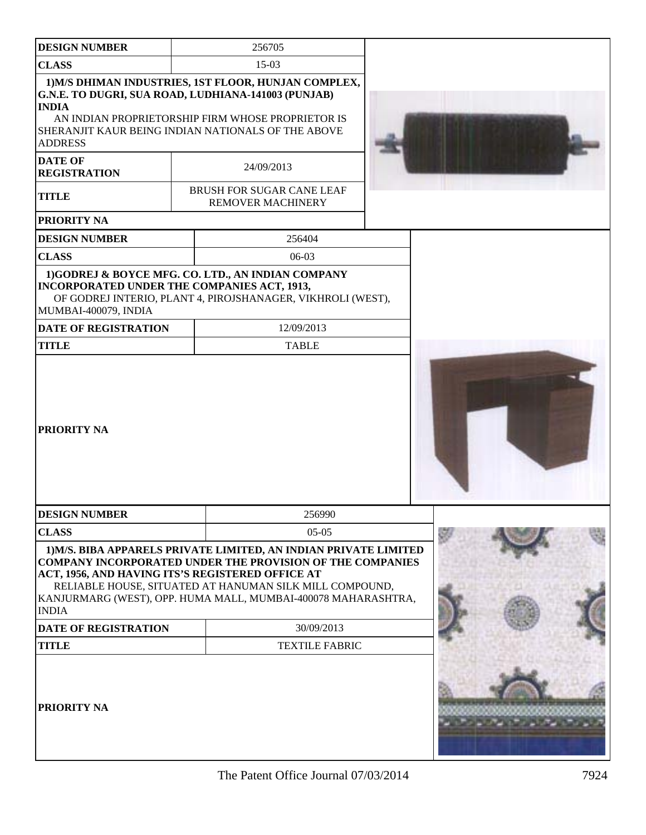| <b>DESIGN NUMBER</b>                  | 256705                                                                                                                                                                                                                                                                                                               |  |
|---------------------------------------|----------------------------------------------------------------------------------------------------------------------------------------------------------------------------------------------------------------------------------------------------------------------------------------------------------------------|--|
| <b>CLASS</b>                          | $15-03$                                                                                                                                                                                                                                                                                                              |  |
| <b>INDIA</b><br><b>ADDRESS</b>        | 1) M/S DHIMAN INDUSTRIES, 1ST FLOOR, HUNJAN COMPLEX,<br>G.N.E. TO DUGRI, SUA ROAD, LUDHIANA-141003 (PUNJAB)<br>AN INDIAN PROPRIETORSHIP FIRM WHOSE PROPRIETOR IS<br>SHERANJIT KAUR BEING INDIAN NATIONALS OF THE ABOVE                                                                                               |  |
| <b>DATE OF</b><br><b>REGISTRATION</b> | 24/09/2013                                                                                                                                                                                                                                                                                                           |  |
| <b>TITLE</b>                          | <b>BRUSH FOR SUGAR CANE LEAF</b><br><b>REMOVER MACHINERY</b>                                                                                                                                                                                                                                                         |  |
| <b>PRIORITY NA</b>                    |                                                                                                                                                                                                                                                                                                                      |  |
| <b>DESIGN NUMBER</b>                  | 256404                                                                                                                                                                                                                                                                                                               |  |
| <b>CLASS</b>                          | $06-03$                                                                                                                                                                                                                                                                                                              |  |
| MUMBAI-400079, INDIA                  | 1)GODREJ & BOYCE MFG. CO. LTD., AN INDIAN COMPANY<br>INCORPORATED UNDER THE COMPANIES ACT, 1913,<br>OF GODREJ INTERIO, PLANT 4, PIROJSHANAGER, VIKHROLI (WEST),                                                                                                                                                      |  |
| <b>DATE OF REGISTRATION</b>           | 12/09/2013                                                                                                                                                                                                                                                                                                           |  |
| <b>TITLE</b>                          | <b>TABLE</b>                                                                                                                                                                                                                                                                                                         |  |
| <b>PRIORITY NA</b>                    |                                                                                                                                                                                                                                                                                                                      |  |
| <b>DESIGN NUMBER</b>                  | 256990                                                                                                                                                                                                                                                                                                               |  |
| <b>CLASS</b>                          | $05-05$                                                                                                                                                                                                                                                                                                              |  |
| <b>INDIA</b>                          | 1) M/S. BIBA APPARELS PRIVATE LIMITED, AN INDIAN PRIVATE LIMITED<br><b>COMPANY INCORPORATED UNDER THE PROVISION OF THE COMPANIES</b><br>ACT, 1956, AND HAVING ITS'S REGISTERED OFFICE AT<br>RELIABLE HOUSE, SITUATED AT HANUMAN SILK MILL COMPOUND,<br>KANJURMARG (WEST), OPP. HUMA MALL, MUMBAI-400078 MAHARASHTRA, |  |
| <b>DATE OF REGISTRATION</b>           | 30/09/2013                                                                                                                                                                                                                                                                                                           |  |
| <b>TITLE</b>                          | <b>TEXTILE FABRIC</b>                                                                                                                                                                                                                                                                                                |  |
| <b>PRIORITY NA</b>                    |                                                                                                                                                                                                                                                                                                                      |  |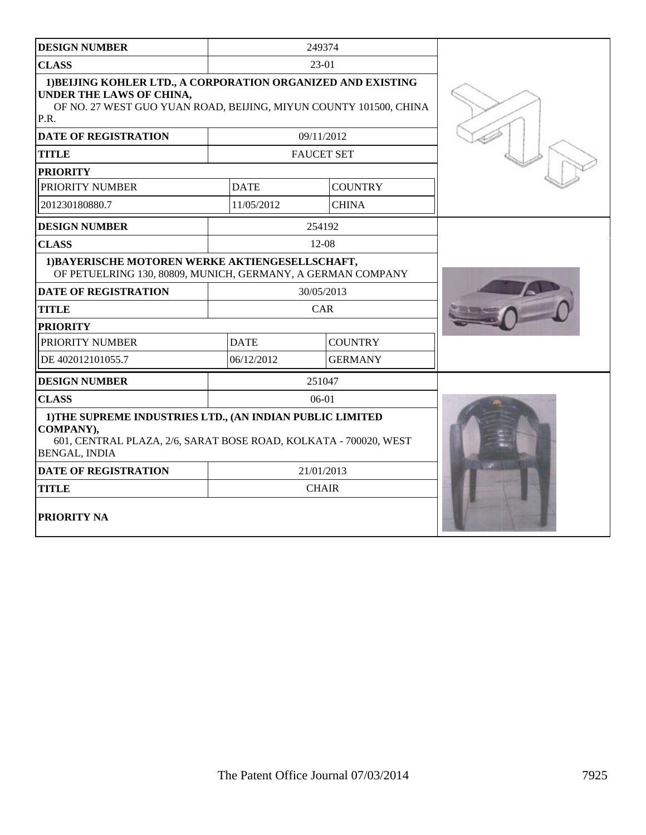| <b>DESIGN NUMBER</b>                                                                                                                                                  |             | 249374            |  |
|-----------------------------------------------------------------------------------------------------------------------------------------------------------------------|-------------|-------------------|--|
| <b>CLASS</b>                                                                                                                                                          |             | $23-01$           |  |
| 1) BELJING KOHLER LTD., A CORPORATION ORGANIZED AND EXISTING<br>UNDER THE LAWS OF CHINA,<br>OF NO. 27 WEST GUO YUAN ROAD, BEIJING, MIYUN COUNTY 101500, CHINA<br>P.R. |             |                   |  |
| <b>DATE OF REGISTRATION</b>                                                                                                                                           |             | 09/11/2012        |  |
| <b>TITLE</b>                                                                                                                                                          |             | <b>FAUCET SET</b> |  |
| <b>PRIORITY</b>                                                                                                                                                       |             |                   |  |
| PRIORITY NUMBER                                                                                                                                                       | <b>DATE</b> | <b>COUNTRY</b>    |  |
| 201230180880.7                                                                                                                                                        | 11/05/2012  | <b>CHINA</b>      |  |
| <b>DESIGN NUMBER</b>                                                                                                                                                  |             | 254192            |  |
| <b>CLASS</b>                                                                                                                                                          |             | 12-08             |  |
| 1) BAYERISCHE MOTOREN WERKE AKTIENGESELLSCHAFT,<br>OF PETUELRING 130, 80809, MUNICH, GERMANY, A GERMAN COMPANY                                                        |             |                   |  |
| <b>DATE OF REGISTRATION</b>                                                                                                                                           |             | 30/05/2013        |  |
| <b>TITLE</b>                                                                                                                                                          |             | <b>CAR</b>        |  |
| <b>PRIORITY</b>                                                                                                                                                       |             |                   |  |
| PRIORITY NUMBER                                                                                                                                                       | <b>DATE</b> | <b>COUNTRY</b>    |  |
| DE 402012101055.7                                                                                                                                                     | 06/12/2012  | <b>GERMANY</b>    |  |
| <b>DESIGN NUMBER</b>                                                                                                                                                  |             | 251047            |  |
| <b>CLASS</b>                                                                                                                                                          |             | $06-01$           |  |
| 1) THE SUPREME INDUSTRIES LTD., (AN INDIAN PUBLIC LIMITED<br>COMPANY),<br>601, CENTRAL PLAZA, 2/6, SARAT BOSE ROAD, KOLKATA - 700020, WEST<br><b>BENGAL, INDIA</b>    |             |                   |  |
| <b>DATE OF REGISTRATION</b>                                                                                                                                           |             | 21/01/2013        |  |
| <b>TITLE</b>                                                                                                                                                          |             | <b>CHAIR</b>      |  |
| <b>PRIORITY NA</b>                                                                                                                                                    |             |                   |  |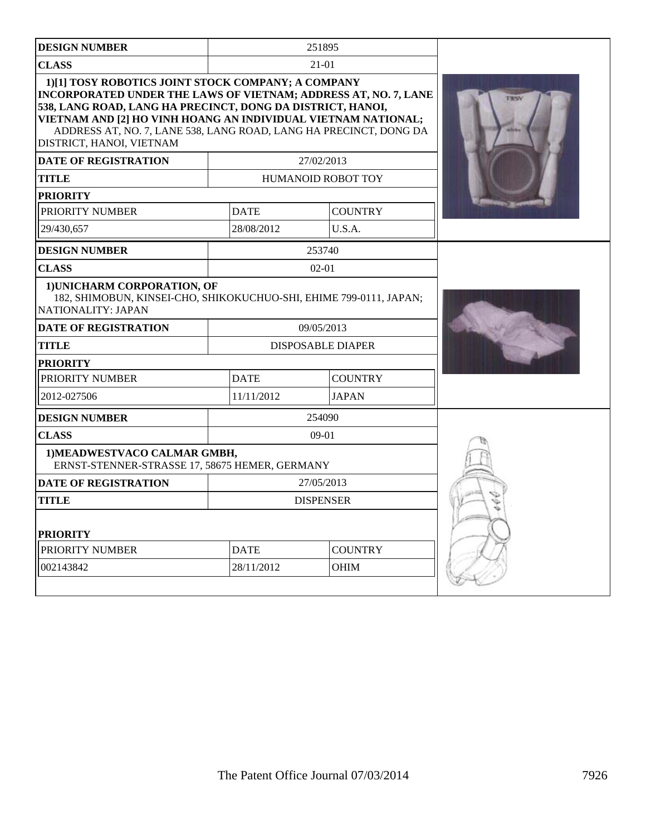| <b>DESIGN NUMBER</b>                                                                                                                                                                                                                                                                                                                                  |             | 251895                    |  |
|-------------------------------------------------------------------------------------------------------------------------------------------------------------------------------------------------------------------------------------------------------------------------------------------------------------------------------------------------------|-------------|---------------------------|--|
| <b>CLASS</b>                                                                                                                                                                                                                                                                                                                                          |             | $21 - 01$                 |  |
| 1)[1] TOSY ROBOTICS JOINT STOCK COMPANY; A COMPANY<br>INCORPORATED UNDER THE LAWS OF VIETNAM; ADDRESS AT, NO. 7, LANE<br>538, LANG ROAD, LANG HA PRECINCT, DONG DA DISTRICT, HANOI,<br>VIETNAM AND [2] HO VINH HOANG AN INDIVIDUAL VIETNAM NATIONAL;<br>ADDRESS AT, NO. 7, LANE 538, LANG ROAD, LANG HA PRECINCT, DONG DA<br>DISTRICT, HANOI, VIETNAM |             |                           |  |
| <b>DATE OF REGISTRATION</b>                                                                                                                                                                                                                                                                                                                           |             | 27/02/2013                |  |
| <b>TITLE</b>                                                                                                                                                                                                                                                                                                                                          |             | <b>HUMANOID ROBOT TOY</b> |  |
| <b>PRIORITY</b>                                                                                                                                                                                                                                                                                                                                       |             |                           |  |
| PRIORITY NUMBER                                                                                                                                                                                                                                                                                                                                       | <b>DATE</b> | <b>COUNTRY</b>            |  |
| 29/430,657                                                                                                                                                                                                                                                                                                                                            | 28/08/2012  | U.S.A.                    |  |
| <b>DESIGN NUMBER</b>                                                                                                                                                                                                                                                                                                                                  |             | 253740                    |  |
| <b>CLASS</b>                                                                                                                                                                                                                                                                                                                                          |             | $02 - 01$                 |  |
| 1) UNICHARM CORPORATION, OF<br>182, SHIMOBUN, KINSEI-CHO, SHIKOKUCHUO-SHI, EHIME 799-0111, JAPAN;<br>NATIONALITY: JAPAN                                                                                                                                                                                                                               |             |                           |  |
| <b>DATE OF REGISTRATION</b>                                                                                                                                                                                                                                                                                                                           |             | 09/05/2013                |  |
| <b>TITLE</b>                                                                                                                                                                                                                                                                                                                                          |             | <b>DISPOSABLE DIAPER</b>  |  |
| <b>PRIORITY</b>                                                                                                                                                                                                                                                                                                                                       |             |                           |  |
| PRIORITY NUMBER                                                                                                                                                                                                                                                                                                                                       | <b>DATE</b> | <b>COUNTRY</b>            |  |
| 2012-027506                                                                                                                                                                                                                                                                                                                                           | 11/11/2012  | <b>JAPAN</b>              |  |
| <b>DESIGN NUMBER</b>                                                                                                                                                                                                                                                                                                                                  |             | 254090                    |  |
| <b>CLASS</b>                                                                                                                                                                                                                                                                                                                                          |             | $09-01$                   |  |
| 1) MEADWESTVACO CALMAR GMBH,<br>ERNST-STENNER-STRASSE 17, 58675 HEMER, GERMANY                                                                                                                                                                                                                                                                        |             |                           |  |
| <b>DATE OF REGISTRATION</b>                                                                                                                                                                                                                                                                                                                           |             | 27/05/2013                |  |
| <b>TITLE</b>                                                                                                                                                                                                                                                                                                                                          |             | <b>DISPENSER</b>          |  |
| <b>PRIORITY</b>                                                                                                                                                                                                                                                                                                                                       |             |                           |  |
| PRIORITY NUMBER                                                                                                                                                                                                                                                                                                                                       | <b>DATE</b> | <b>COUNTRY</b>            |  |
| 002143842                                                                                                                                                                                                                                                                                                                                             | 28/11/2012  | <b>OHIM</b>               |  |
|                                                                                                                                                                                                                                                                                                                                                       |             |                           |  |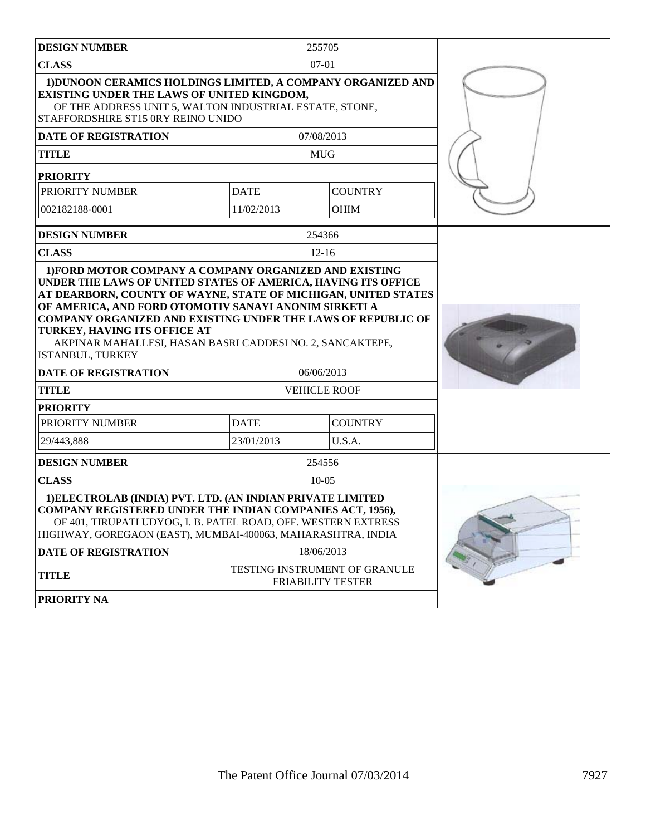| <b>DESIGN NUMBER</b>                                                                                                                                                                                                                                                                                     |             | 255705                                                    |  |
|----------------------------------------------------------------------------------------------------------------------------------------------------------------------------------------------------------------------------------------------------------------------------------------------------------|-------------|-----------------------------------------------------------|--|
| <b>CLASS</b>                                                                                                                                                                                                                                                                                             |             | $07-01$                                                   |  |
| 1) DUNOON CERAMICS HOLDINGS LIMITED, A COMPANY ORGANIZED AND<br>EXISTING UNDER THE LAWS OF UNITED KINGDOM,<br>OF THE ADDRESS UNIT 5, WALTON INDUSTRIAL ESTATE, STONE,<br>STAFFORDSHIRE ST15 0RY REINO UNIDO                                                                                              |             |                                                           |  |
| DATE OF REGISTRATION                                                                                                                                                                                                                                                                                     |             | 07/08/2013                                                |  |
| <b>TITLE</b>                                                                                                                                                                                                                                                                                             |             | <b>MUG</b>                                                |  |
| <b>PRIORITY</b>                                                                                                                                                                                                                                                                                          |             |                                                           |  |
| PRIORITY NUMBER                                                                                                                                                                                                                                                                                          | <b>DATE</b> | <b>COUNTRY</b>                                            |  |
| 002182188-0001                                                                                                                                                                                                                                                                                           | 11/02/2013  | <b>OHIM</b>                                               |  |
| <b>DESIGN NUMBER</b>                                                                                                                                                                                                                                                                                     |             | 254366                                                    |  |
| <b>CLASS</b>                                                                                                                                                                                                                                                                                             |             | $12 - 16$                                                 |  |
| AT DEARBORN, COUNTY OF WAYNE, STATE OF MICHIGAN, UNITED STATES<br>OF AMERICA, AND FORD OTOMOTIV SANAYI ANONIM SIRKETI A<br>COMPANY ORGANIZED AND EXISTING UNDER THE LAWS OF REPUBLIC OF<br>TURKEY, HAVING ITS OFFICE AT<br>AKPINAR MAHALLESI, HASAN BASRI CADDESI NO. 2, SANCAKTEPE,<br>ISTANBUL, TURKEY |             |                                                           |  |
| <b>DATE OF REGISTRATION</b>                                                                                                                                                                                                                                                                              |             | 06/06/2013                                                |  |
| <b>TITLE</b>                                                                                                                                                                                                                                                                                             |             | <b>VEHICLE ROOF</b>                                       |  |
| <b>PRIORITY</b>                                                                                                                                                                                                                                                                                          |             |                                                           |  |
| PRIORITY NUMBER                                                                                                                                                                                                                                                                                          | <b>DATE</b> | <b>COUNTRY</b>                                            |  |
| 29/443,888                                                                                                                                                                                                                                                                                               | 23/01/2013  | U.S.A.                                                    |  |
| <b>DESIGN NUMBER</b>                                                                                                                                                                                                                                                                                     |             | 254556                                                    |  |
| <b>CLASS</b>                                                                                                                                                                                                                                                                                             |             | $10 - 05$                                                 |  |
| 1) ELECTROLAB (INDIA) PVT. LTD. (AN INDIAN PRIVATE LIMITED<br><b>COMPANY REGISTERED UNDER THE INDIAN COMPANIES ACT, 1956),</b><br>OF 401, TIRUPATI UDYOG, I. B. PATEL ROAD, OFF. WESTERN EXTRESS<br>HIGHWAY, GOREGAON (EAST), MUMBAI-400063, MAHARASHTRA, INDIA                                          |             |                                                           |  |
| <b>DATE OF REGISTRATION</b>                                                                                                                                                                                                                                                                              |             | 18/06/2013                                                |  |
| <b>TITLE</b>                                                                                                                                                                                                                                                                                             |             | TESTING INSTRUMENT OF GRANULE<br><b>FRIABILITY TESTER</b> |  |
| <b>PRIORITY NA</b>                                                                                                                                                                                                                                                                                       |             |                                                           |  |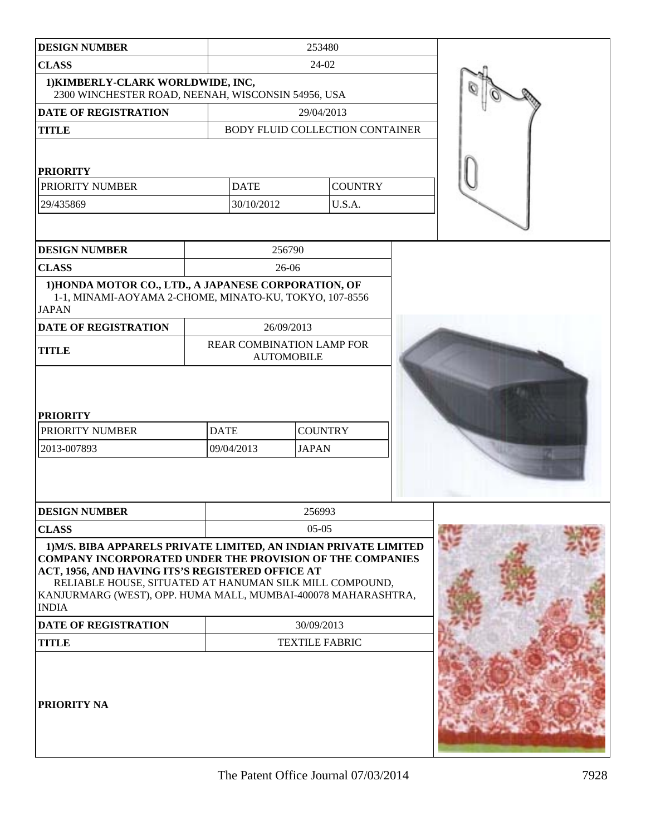| <b>DESIGN NUMBER</b>                                                                                                                                                                                                                                                                                                                 |                           | 253480                |                                 |  |
|--------------------------------------------------------------------------------------------------------------------------------------------------------------------------------------------------------------------------------------------------------------------------------------------------------------------------------------|---------------------------|-----------------------|---------------------------------|--|
| <b>CLASS</b>                                                                                                                                                                                                                                                                                                                         |                           | 24-02                 |                                 |  |
| 1) KIMBERLY-CLARK WORLDWIDE, INC,                                                                                                                                                                                                                                                                                                    |                           |                       |                                 |  |
| 2300 WINCHESTER ROAD, NEENAH, WISCONSIN 54956, USA                                                                                                                                                                                                                                                                                   |                           |                       |                                 |  |
| <b>DATE OF REGISTRATION</b>                                                                                                                                                                                                                                                                                                          |                           | 29/04/2013            |                                 |  |
| <b>TITLE</b>                                                                                                                                                                                                                                                                                                                         |                           |                       | BODY FLUID COLLECTION CONTAINER |  |
| <b>PRIORITY</b>                                                                                                                                                                                                                                                                                                                      |                           |                       |                                 |  |
| PRIORITY NUMBER                                                                                                                                                                                                                                                                                                                      | <b>DATE</b>               |                       | <b>COUNTRY</b>                  |  |
| 29/435869                                                                                                                                                                                                                                                                                                                            | 30/10/2012                |                       | U.S.A.                          |  |
|                                                                                                                                                                                                                                                                                                                                      |                           |                       |                                 |  |
| <b>DESIGN NUMBER</b>                                                                                                                                                                                                                                                                                                                 |                           | 256790                |                                 |  |
| <b>CLASS</b>                                                                                                                                                                                                                                                                                                                         |                           | $26-06$               |                                 |  |
| 1) HONDA MOTOR CO., LTD., A JAPANESE CORPORATION, OF<br>1-1, MINAMI-AOYAMA 2-CHOME, MINATO-KU, TOKYO, 107-8556<br><b>JAPAN</b>                                                                                                                                                                                                       |                           |                       |                                 |  |
| <b>DATE OF REGISTRATION</b>                                                                                                                                                                                                                                                                                                          |                           | 26/09/2013            |                                 |  |
| <b>TITLE</b>                                                                                                                                                                                                                                                                                                                         | REAR COMBINATION LAMP FOR | <b>AUTOMOBILE</b>     |                                 |  |
| <b>PRIORITY</b>                                                                                                                                                                                                                                                                                                                      |                           |                       |                                 |  |
| PRIORITY NUMBER                                                                                                                                                                                                                                                                                                                      | <b>DATE</b>               | <b>COUNTRY</b>        |                                 |  |
| 2013-007893                                                                                                                                                                                                                                                                                                                          | 09/04/2013                | <b>JAPAN</b>          |                                 |  |
|                                                                                                                                                                                                                                                                                                                                      |                           |                       |                                 |  |
| <b>DESIGN NUMBER</b>                                                                                                                                                                                                                                                                                                                 |                           | 256993                |                                 |  |
| <b>CLASS</b>                                                                                                                                                                                                                                                                                                                         |                           | $05-05$               |                                 |  |
| 1) M/S. BIBA APPARELS PRIVATE LIMITED, AN INDIAN PRIVATE LIMITED<br><b>COMPANY INCORPORATED UNDER THE PROVISION OF THE COMPANIES</b><br>ACT, 1956, AND HAVING ITS'S REGISTERED OFFICE AT<br>RELIABLE HOUSE, SITUATED AT HANUMAN SILK MILL COMPOUND,<br>KANJURMARG (WEST), OPP. HUMA MALL, MUMBAI-400078 MAHARASHTRA,<br><b>INDIA</b> |                           |                       |                                 |  |
| <b>DATE OF REGISTRATION</b>                                                                                                                                                                                                                                                                                                          |                           | 30/09/2013            |                                 |  |
| <b>TITLE</b>                                                                                                                                                                                                                                                                                                                         |                           | <b>TEXTILE FABRIC</b> |                                 |  |
| PRIORITY NA                                                                                                                                                                                                                                                                                                                          |                           |                       |                                 |  |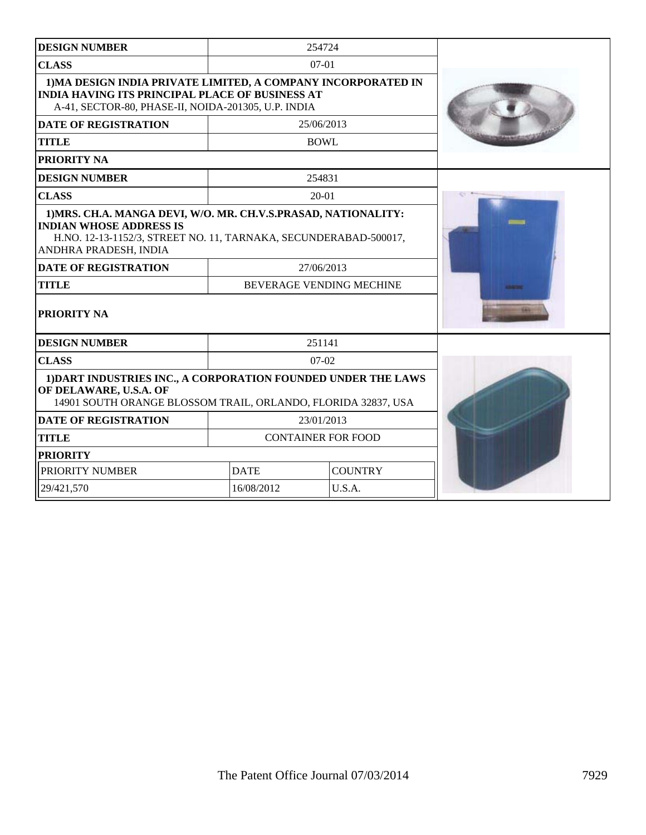| <b>DESIGN NUMBER</b>                                                                                                                                                                          |             | 254724                          |                    |
|-----------------------------------------------------------------------------------------------------------------------------------------------------------------------------------------------|-------------|---------------------------------|--------------------|
| <b>CLASS</b>                                                                                                                                                                                  |             | $07-01$                         |                    |
| 1) MA DESIGN INDIA PRIVATE LIMITED, A COMPANY INCORPORATED IN<br><b>INDIA HAVING ITS PRINCIPAL PLACE OF BUSINESS AT</b><br>A-41, SECTOR-80, PHASE-II, NOIDA-201305, U.P. INDIA                |             |                                 |                    |
| <b>DATE OF REGISTRATION</b>                                                                                                                                                                   |             | 25/06/2013                      |                    |
| <b>TITLE</b>                                                                                                                                                                                  | <b>BOWL</b> |                                 |                    |
| PRIORITY NA                                                                                                                                                                                   |             |                                 |                    |
| <b>DESIGN NUMBER</b>                                                                                                                                                                          |             | 254831                          |                    |
| <b>CLASS</b>                                                                                                                                                                                  |             | $20-01$                         |                    |
| 1) MRS. CH.A. MANGA DEVI, W/O. MR. CH.V.S.PRASAD, NATIONALITY:<br><b>INDIAN WHOSE ADDRESS IS</b><br>H.NO. 12-13-1152/3, STREET NO. 11, TARNAKA, SECUNDERABAD-500017,<br>ANDHRA PRADESH, INDIA |             |                                 |                    |
| <b>DATE OF REGISTRATION</b>                                                                                                                                                                   |             | 27/06/2013                      |                    |
| <b>TITLE</b>                                                                                                                                                                                  |             | <b>BEVERAGE VENDING MECHINE</b> | <b>Distriction</b> |
| PRIORITY NA                                                                                                                                                                                   |             |                                 |                    |
| <b>DESIGN NUMBER</b>                                                                                                                                                                          |             | 251141                          |                    |
| <b>CLASS</b>                                                                                                                                                                                  |             | $07 - 02$                       |                    |
| 1) DART INDUSTRIES INC., A CORPORATION FOUNDED UNDER THE LAWS<br>OF DELAWARE, U.S.A. OF<br>14901 SOUTH ORANGE BLOSSOM TRAIL, ORLANDO, FLORIDA 32837, USA                                      |             |                                 |                    |
| <b>DATE OF REGISTRATION</b>                                                                                                                                                                   |             | 23/01/2013                      |                    |
| <b>TITLE</b>                                                                                                                                                                                  |             | <b>CONTAINER FOR FOOD</b>       |                    |
| <b>PRIORITY</b>                                                                                                                                                                               |             |                                 |                    |
| PRIORITY NUMBER<br><b>DATE</b>                                                                                                                                                                |             | <b>COUNTRY</b>                  |                    |
| 29/421,570                                                                                                                                                                                    | 16/08/2012  | U.S.A.                          |                    |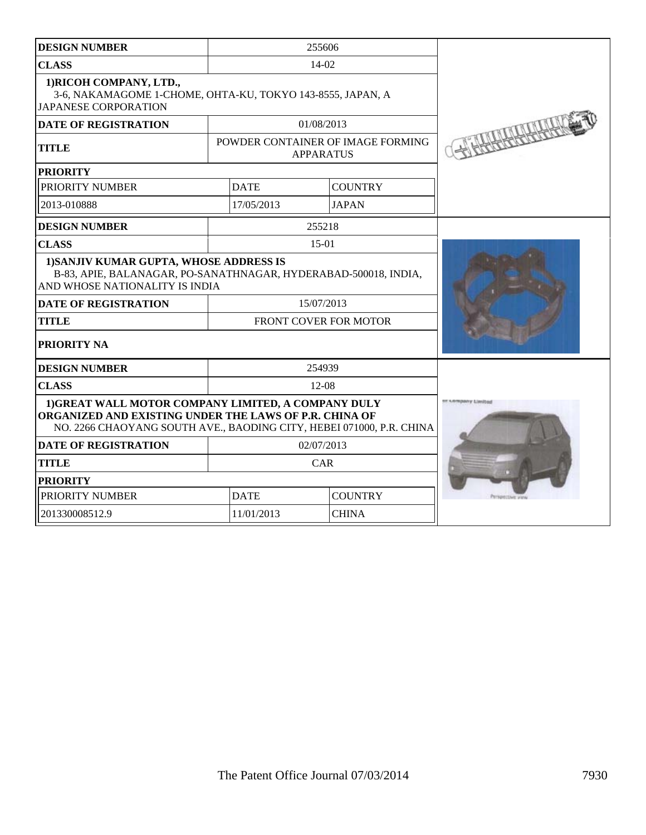| <b>DESIGN NUMBER</b>                                                                                                                                                                  | 255606                        |                  |                                   |  |
|---------------------------------------------------------------------------------------------------------------------------------------------------------------------------------------|-------------------------------|------------------|-----------------------------------|--|
| <b>CLASS</b>                                                                                                                                                                          | 14-02                         |                  |                                   |  |
| 1) RICOH COMPANY, LTD.,<br>3-6, NAKAMAGOME 1-CHOME, OHTA-KU, TOKYO 143-8555, JAPAN, A<br><b>JAPANESE CORPORATION</b>                                                                  |                               |                  |                                   |  |
| <b>DATE OF REGISTRATION</b>                                                                                                                                                           |                               | 01/08/2013       |                                   |  |
| <b>TITLE</b>                                                                                                                                                                          |                               | <b>APPARATUS</b> | POWDER CONTAINER OF IMAGE FORMING |  |
| <b>PRIORITY</b>                                                                                                                                                                       |                               |                  |                                   |  |
| PRIORITY NUMBER                                                                                                                                                                       | <b>DATE</b>                   |                  | <b>COUNTRY</b>                    |  |
| 2013-010888                                                                                                                                                                           |                               | 17/05/2013       | <b>JAPAN</b>                      |  |
| <b>DESIGN NUMBER</b>                                                                                                                                                                  |                               | 255218           |                                   |  |
| <b>CLASS</b>                                                                                                                                                                          |                               | $15-01$          |                                   |  |
| 1) SANJIV KUMAR GUPTA, WHOSE ADDRESS IS<br>B-83, APIE, BALANAGAR, PO-SANATHNAGAR, HYDERABAD-500018, INDIA,<br>AND WHOSE NATIONALITY IS INDIA                                          |                               |                  |                                   |  |
| <b>DATE OF REGISTRATION</b>                                                                                                                                                           |                               | 15/07/2013       |                                   |  |
| <b>TITLE</b>                                                                                                                                                                          | FRONT COVER FOR MOTOR         |                  |                                   |  |
| PRIORITY NA                                                                                                                                                                           |                               |                  |                                   |  |
| <b>DESIGN NUMBER</b>                                                                                                                                                                  |                               | 254939           |                                   |  |
| <b>CLASS</b>                                                                                                                                                                          |                               | $12 - 08$        |                                   |  |
| 1) GREAT WALL MOTOR COMPANY LIMITED, A COMPANY DULY<br>ORGANIZED AND EXISTING UNDER THE LAWS OF P.R. CHINA OF<br>NO. 2266 CHAOYANG SOUTH AVE., BAODING CITY, HEBEI 071000, P.R. CHINA | <b>IF LIDINGARY Links</b>     |                  |                                   |  |
| <b>DATE OF REGISTRATION</b>                                                                                                                                                           | 02/07/2013                    |                  |                                   |  |
| <b>TITLE</b>                                                                                                                                                                          | CAR                           |                  |                                   |  |
| <b>PRIORITY</b>                                                                                                                                                                       |                               |                  |                                   |  |
| PRIORITY NUMBER                                                                                                                                                                       | <b>COUNTRY</b><br><b>DATE</b> |                  |                                   |  |
| 201330008512.9                                                                                                                                                                        | 11/01/2013<br><b>CHINA</b>    |                  |                                   |  |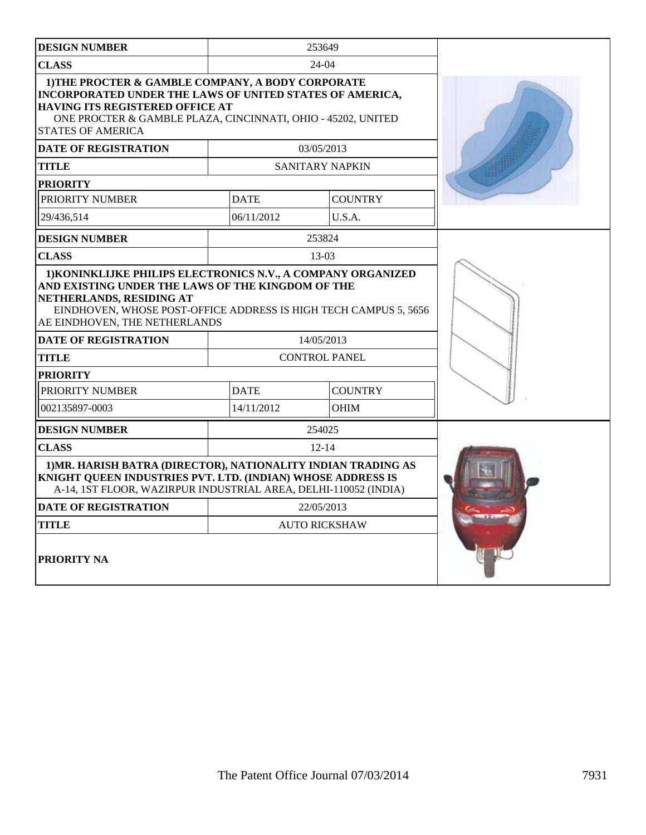| <b>DESIGN NUMBER</b>                                                                                                                                                                                                                         |             | 253649               |  |
|----------------------------------------------------------------------------------------------------------------------------------------------------------------------------------------------------------------------------------------------|-------------|----------------------|--|
| <b>CLASS</b>                                                                                                                                                                                                                                 |             | 24-04                |  |
| 1) THE PROCTER & GAMBLE COMPANY, A BODY CORPORATE<br>INCORPORATED UNDER THE LAWS OF UNITED STATES OF AMERICA,<br>HAVING ITS REGISTERED OFFICE AT<br>ONE PROCTER & GAMBLE PLAZA, CINCINNATI, OHIO - 45202, UNITED<br><b>STATES OF AMERICA</b> |             |                      |  |
| <b>DATE OF REGISTRATION</b>                                                                                                                                                                                                                  |             | 03/05/2013           |  |
| <b>TITLE</b>                                                                                                                                                                                                                                 |             | SANITARY NAPKIN      |  |
| <b>PRIORITY</b>                                                                                                                                                                                                                              |             |                      |  |
| PRIORITY NUMBER                                                                                                                                                                                                                              | <b>DATE</b> | <b>COUNTRY</b>       |  |
| 29/436.514                                                                                                                                                                                                                                   | 06/11/2012  | U.S.A.               |  |
| <b>DESIGN NUMBER</b>                                                                                                                                                                                                                         |             | 253824               |  |
| <b>CLASS</b>                                                                                                                                                                                                                                 |             | $13-03$              |  |
| AND EXISTING UNDER THE LAWS OF THE KINGDOM OF THE<br>NETHERLANDS, RESIDING AT<br>EINDHOVEN, WHOSE POST-OFFICE ADDRESS IS HIGH TECH CAMPUS 5, 5656<br>AE EINDHOVEN, THE NETHERLANDS                                                           |             |                      |  |
| <b>DATE OF REGISTRATION</b>                                                                                                                                                                                                                  |             | 14/05/2013           |  |
| <b>TITLE</b>                                                                                                                                                                                                                                 |             | <b>CONTROL PANEL</b> |  |
| <b>PRIORITY</b>                                                                                                                                                                                                                              |             |                      |  |
| PRIORITY NUMBER                                                                                                                                                                                                                              | <b>DATE</b> | <b>COUNTRY</b>       |  |
| 002135897-0003                                                                                                                                                                                                                               | 14/11/2012  | <b>OHIM</b>          |  |
| <b>DESIGN NUMBER</b>                                                                                                                                                                                                                         |             | 254025               |  |
| <b>CLASS</b>                                                                                                                                                                                                                                 |             | $12 - 14$            |  |
| 1) MR. HARISH BATRA (DIRECTOR), NATIONALITY INDIAN TRADING AS<br>KNIGHT QUEEN INDUSTRIES PVT. LTD. (INDIAN) WHOSE ADDRESS IS<br>A-14, 1ST FLOOR, WAZIRPUR INDUSTRIAL AREA, DELHI-110052 (INDIA)                                              |             |                      |  |
| <b>DATE OF REGISTRATION</b>                                                                                                                                                                                                                  |             | 22/05/2013           |  |
| <b>TITLE</b>                                                                                                                                                                                                                                 |             | <b>AUTO RICKSHAW</b> |  |
| <b>PRIORITY NA</b>                                                                                                                                                                                                                           |             |                      |  |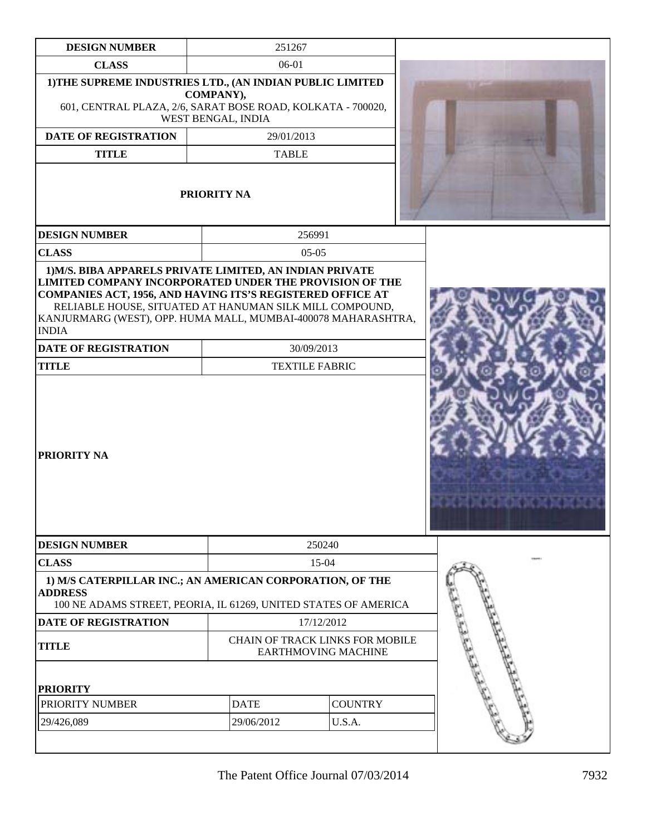| <b>DESIGN NUMBER</b>                                                                                                                                                                                                                                                     | 251267                          |                                                                      |                                              |  |
|--------------------------------------------------------------------------------------------------------------------------------------------------------------------------------------------------------------------------------------------------------------------------|---------------------------------|----------------------------------------------------------------------|----------------------------------------------|--|
| <b>CLASS</b>                                                                                                                                                                                                                                                             | 06-01                           |                                                                      |                                              |  |
| 1) THE SUPREME INDUSTRIES LTD., (AN INDIAN PUBLIC LIMITED<br>601, CENTRAL PLAZA, 2/6, SARAT BOSE ROAD, KOLKATA - 700020,                                                                                                                                                 | COMPANY),<br>WEST BENGAL, INDIA |                                                                      |                                              |  |
| <b>DATE OF REGISTRATION</b>                                                                                                                                                                                                                                              | 29/01/2013                      |                                                                      |                                              |  |
| <b>TITLE</b>                                                                                                                                                                                                                                                             | <b>TABLE</b>                    |                                                                      |                                              |  |
| PRIORITY NA                                                                                                                                                                                                                                                              |                                 |                                                                      |                                              |  |
| <b>DESIGN NUMBER</b>                                                                                                                                                                                                                                                     |                                 | 256991                                                               |                                              |  |
| <b>CLASS</b>                                                                                                                                                                                                                                                             |                                 | $05-05$                                                              |                                              |  |
| <b>LIMITED COMPANY INCORPORATED UNDER THE PROVISION OF THE</b><br>COMPANIES ACT, 1956, AND HAVING ITS'S REGISTERED OFFICE AT<br>RELIABLE HOUSE, SITUATED AT HANUMAN SILK MILL COMPOUND,<br>KANJURMARG (WEST), OPP. HUMA MALL, MUMBAI-400078 MAHARASHTRA,<br><b>INDIA</b> |                                 |                                                                      |                                              |  |
| <b>DATE OF REGISTRATION</b>                                                                                                                                                                                                                                              |                                 | 30/09/2013                                                           |                                              |  |
| <b>TITLE</b>                                                                                                                                                                                                                                                             |                                 | <b>TEXTILE FABRIC</b>                                                |                                              |  |
| PRIORITY NA                                                                                                                                                                                                                                                              |                                 |                                                                      | <u>LING IN DIE DE DIE DE DE DE DIE DE DE</u> |  |
| <b>DESIGN NUMBER</b>                                                                                                                                                                                                                                                     |                                 | 250240                                                               |                                              |  |
| <b>CLASS</b>                                                                                                                                                                                                                                                             |                                 | 15-04                                                                |                                              |  |
| 1) M/S CATERPILLAR INC.; AN AMERICAN CORPORATION, OF THE<br><b>ADDRESS</b><br>100 NE ADAMS STREET, PEORIA, IL 61269, UNITED STATES OF AMERICA                                                                                                                            |                                 |                                                                      |                                              |  |
| DATE OF REGISTRATION                                                                                                                                                                                                                                                     |                                 | 17/12/2012                                                           |                                              |  |
| <b>TITLE</b>                                                                                                                                                                                                                                                             |                                 | <b>CHAIN OF TRACK LINKS FOR MOBILE</b><br><b>EARTHMOVING MACHINE</b> |                                              |  |
| <b>PRIORITY</b>                                                                                                                                                                                                                                                          |                                 |                                                                      |                                              |  |
| PRIORITY NUMBER                                                                                                                                                                                                                                                          | <b>DATE</b>                     | <b>COUNTRY</b>                                                       |                                              |  |
| 29/426,089                                                                                                                                                                                                                                                               | 29/06/2012                      | U.S.A.                                                               |                                              |  |
|                                                                                                                                                                                                                                                                          |                                 |                                                                      |                                              |  |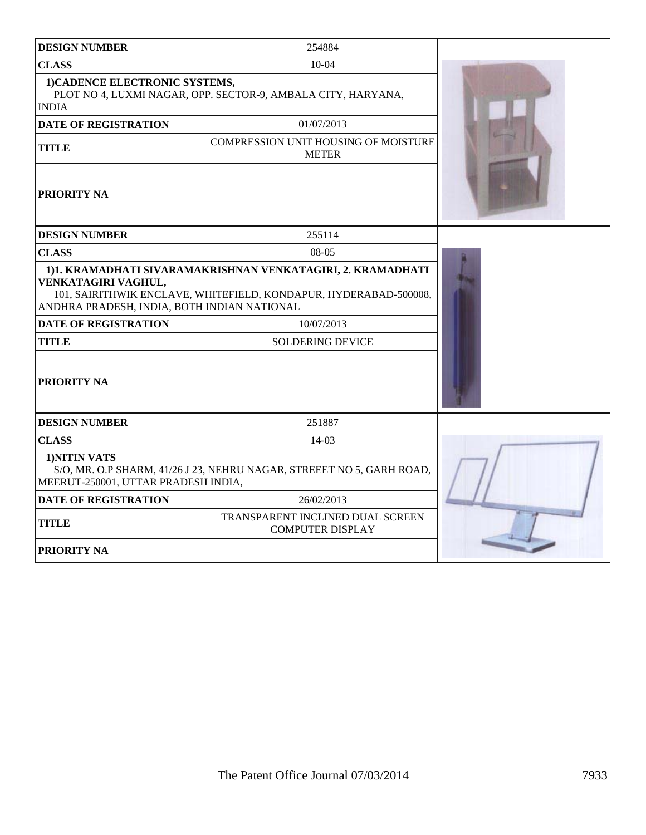| <b>DESIGN NUMBER</b>                                                                                                                                                                                  | 254884                                                       |  |  |  |
|-------------------------------------------------------------------------------------------------------------------------------------------------------------------------------------------------------|--------------------------------------------------------------|--|--|--|
| <b>CLASS</b>                                                                                                                                                                                          | $10 - 04$                                                    |  |  |  |
| 1) CADENCE ELECTRONIC SYSTEMS,<br><b>INDIA</b>                                                                                                                                                        | PLOT NO 4, LUXMI NAGAR, OPP. SECTOR-9, AMBALA CITY, HARYANA, |  |  |  |
| <b>DATE OF REGISTRATION</b>                                                                                                                                                                           | 01/07/2013                                                   |  |  |  |
| <b>TITLE</b>                                                                                                                                                                                          | COMPRESSION UNIT HOUSING OF MOISTURE<br><b>METER</b>         |  |  |  |
| <b>PRIORITY NA</b>                                                                                                                                                                                    |                                                              |  |  |  |
| <b>DESIGN NUMBER</b>                                                                                                                                                                                  | 255114                                                       |  |  |  |
| <b>CLASS</b>                                                                                                                                                                                          | $08-05$                                                      |  |  |  |
| 1)1. KRAMADHATI SIVARAMAKRISHNAN VENKATAGIRI, 2. KRAMADHATI<br>VENKATAGIRI VAGHUL,<br>101, SAIRITHWIK ENCLAVE, WHITEFIELD, KONDAPUR, HYDERABAD-500008,<br>ANDHRA PRADESH, INDIA, BOTH INDIAN NATIONAL |                                                              |  |  |  |
| <b>DATE OF REGISTRATION</b>                                                                                                                                                                           | 10/07/2013                                                   |  |  |  |
| <b>TITLE</b>                                                                                                                                                                                          | <b>SOLDERING DEVICE</b>                                      |  |  |  |
| PRIORITY NA                                                                                                                                                                                           |                                                              |  |  |  |
| <b>DESIGN NUMBER</b>                                                                                                                                                                                  | 251887                                                       |  |  |  |
| <b>CLASS</b>                                                                                                                                                                                          | 14-03                                                        |  |  |  |
| 1)NITIN VATS<br>S/O, MR. O.P SHARM, 41/26 J 23, NEHRU NAGAR, STREEET NO 5, GARH ROAD,<br>MEERUT-250001, UTTAR PRADESH INDIA,                                                                          |                                                              |  |  |  |
| <b>DATE OF REGISTRATION</b>                                                                                                                                                                           | 26/02/2013                                                   |  |  |  |
| <b>TITLE</b>                                                                                                                                                                                          |                                                              |  |  |  |
| PRIORITY NA                                                                                                                                                                                           |                                                              |  |  |  |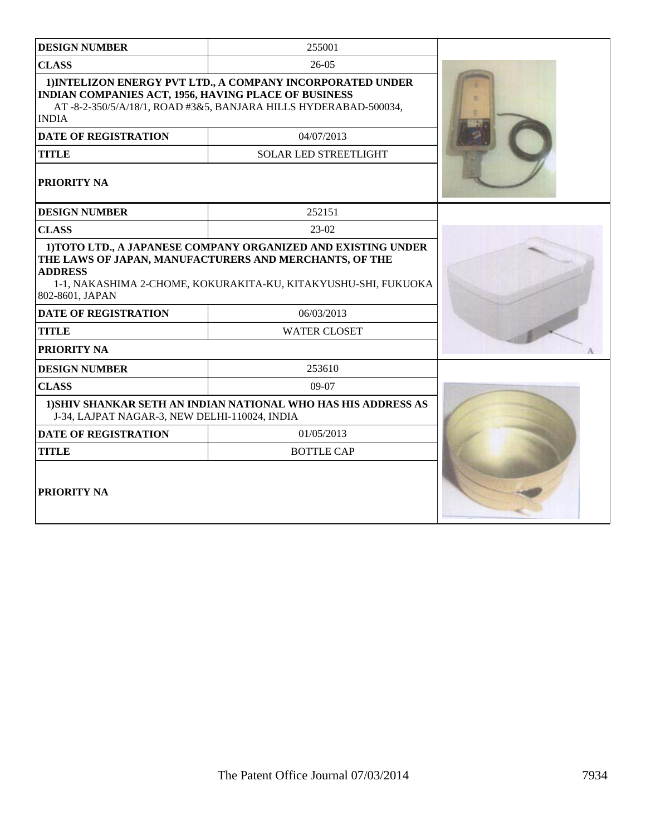| <b>DESIGN NUMBER</b>                                                                                                                                                                                                           | 255001                                                                                                                        |  |  |
|--------------------------------------------------------------------------------------------------------------------------------------------------------------------------------------------------------------------------------|-------------------------------------------------------------------------------------------------------------------------------|--|--|
| <b>CLASS</b>                                                                                                                                                                                                                   | $26-05$                                                                                                                       |  |  |
| INDIAN COMPANIES ACT, 1956, HAVING PLACE OF BUSINESS<br><b>INDIA</b>                                                                                                                                                           | 1) INTELIZON ENERGY PVT LTD., A COMPANY INCORPORATED UNDER<br>AT-8-2-350/5/A/18/1, ROAD #3&5, BANJARA HILLS HYDERABAD-500034, |  |  |
| <b>DATE OF REGISTRATION</b>                                                                                                                                                                                                    | 04/07/2013                                                                                                                    |  |  |
| <b>TITLE</b>                                                                                                                                                                                                                   | <b>SOLAR LED STREETLIGHT</b>                                                                                                  |  |  |
| <b>PRIORITY NA</b>                                                                                                                                                                                                             |                                                                                                                               |  |  |
| <b>DESIGN NUMBER</b>                                                                                                                                                                                                           | 252151                                                                                                                        |  |  |
| <b>CLASS</b>                                                                                                                                                                                                                   | $23-02$                                                                                                                       |  |  |
| 1) TOTO LTD., A JAPANESE COMPANY ORGANIZED AND EXISTING UNDER<br>THE LAWS OF JAPAN, MANUFACTURERS AND MERCHANTS, OF THE<br><b>ADDRESS</b><br>1-1, NAKASHIMA 2-CHOME, KOKURAKITA-KU, KITAKYUSHU-SHI, FUKUOKA<br>802-8601, JAPAN |                                                                                                                               |  |  |
| <b>DATE OF REGISTRATION</b>                                                                                                                                                                                                    | 06/03/2013                                                                                                                    |  |  |
| <b>TITLE</b>                                                                                                                                                                                                                   | <b>WATER CLOSET</b>                                                                                                           |  |  |
| <b>PRIORITY NA</b>                                                                                                                                                                                                             |                                                                                                                               |  |  |
| <b>DESIGN NUMBER</b>                                                                                                                                                                                                           | 253610                                                                                                                        |  |  |
| <b>CLASS</b>                                                                                                                                                                                                                   | 09-07                                                                                                                         |  |  |
| J-34, LAJPAT NAGAR-3, NEW DELHI-110024, INDIA                                                                                                                                                                                  | 1) SHIV SHANKAR SETH AN INDIAN NATIONAL WHO HAS HIS ADDRESS AS                                                                |  |  |
| <b>DATE OF REGISTRATION</b>                                                                                                                                                                                                    | 01/05/2013                                                                                                                    |  |  |
| <b>TITLE</b>                                                                                                                                                                                                                   | <b>BOTTLE CAP</b>                                                                                                             |  |  |
| <b>PRIORITY NA</b>                                                                                                                                                                                                             |                                                                                                                               |  |  |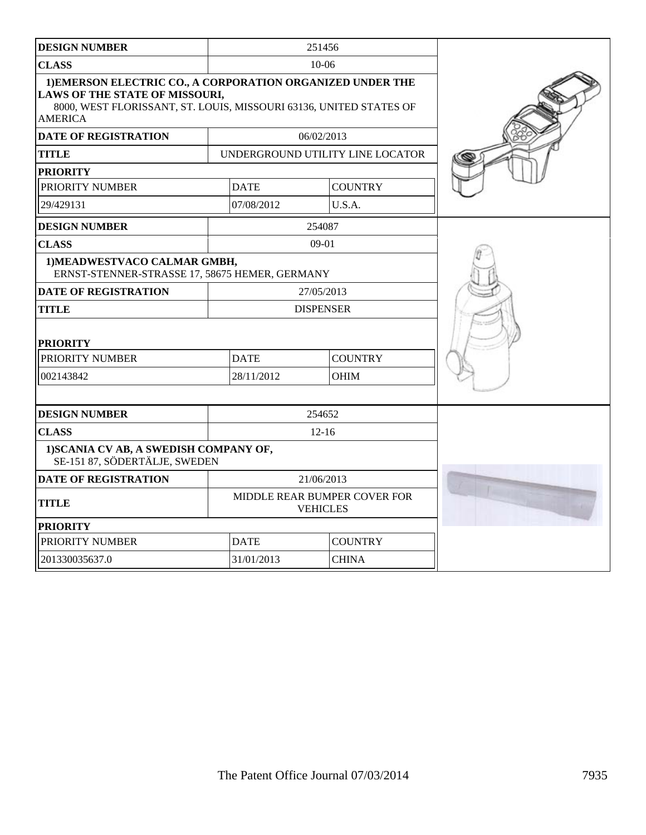| <b>DESIGN NUMBER</b>                                                                                                                                                                 |                               | 251456                                          |  |
|--------------------------------------------------------------------------------------------------------------------------------------------------------------------------------------|-------------------------------|-------------------------------------------------|--|
| <b>CLASS</b>                                                                                                                                                                         |                               | $10-06$                                         |  |
| 1) EMERSON ELECTRIC CO., A CORPORATION ORGANIZED UNDER THE<br>LAWS OF THE STATE OF MISSOURI,<br>8000, WEST FLORISSANT, ST. LOUIS, MISSOURI 63136, UNITED STATES OF<br><b>AMERICA</b> |                               |                                                 |  |
| <b>DATE OF REGISTRATION</b>                                                                                                                                                          |                               | 06/02/2013                                      |  |
| <b>TITLE</b>                                                                                                                                                                         |                               | UNDERGROUND UTILITY LINE LOCATOR                |  |
| <b>PRIORITY</b>                                                                                                                                                                      |                               |                                                 |  |
| PRIORITY NUMBER                                                                                                                                                                      | <b>DATE</b>                   | <b>COUNTRY</b>                                  |  |
| 29/429131                                                                                                                                                                            | 07/08/2012                    | U.S.A.                                          |  |
| <b>DESIGN NUMBER</b>                                                                                                                                                                 |                               | 254087                                          |  |
| <b>CLASS</b>                                                                                                                                                                         |                               | $09-01$                                         |  |
| 1) MEADWESTVACO CALMAR GMBH,<br>ERNST-STENNER-STRASSE 17, 58675 HEMER, GERMANY                                                                                                       |                               |                                                 |  |
| <b>DATE OF REGISTRATION</b>                                                                                                                                                          |                               | 27/05/2013                                      |  |
| <b>TITLE</b>                                                                                                                                                                         |                               | <b>DISPENSER</b>                                |  |
| <b>PRIORITY</b>                                                                                                                                                                      |                               |                                                 |  |
| PRIORITY NUMBER                                                                                                                                                                      | <b>DATE</b>                   | <b>COUNTRY</b>                                  |  |
| 002143842                                                                                                                                                                            | 28/11/2012                    | <b>OHIM</b>                                     |  |
|                                                                                                                                                                                      |                               |                                                 |  |
| <b>DESIGN NUMBER</b>                                                                                                                                                                 |                               | 254652                                          |  |
| <b>CLASS</b>                                                                                                                                                                         |                               | $12 - 16$                                       |  |
| 1) SCANIA CV AB, A SWEDISH COMPANY OF,<br>SE-151 87, SÖDERTÄLJE, SWEDEN                                                                                                              |                               |                                                 |  |
| <b>DATE OF REGISTRATION</b>                                                                                                                                                          |                               | 21/06/2013                                      |  |
| <b>TITLE</b>                                                                                                                                                                         |                               | MIDDLE REAR BUMPER COVER FOR<br><b>VEHICLES</b> |  |
| <b>PRIORITY</b>                                                                                                                                                                      |                               |                                                 |  |
| PRIORITY NUMBER                                                                                                                                                                      | <b>DATE</b><br><b>COUNTRY</b> |                                                 |  |
| 201330035637.0                                                                                                                                                                       | 31/01/2013<br><b>CHINA</b>    |                                                 |  |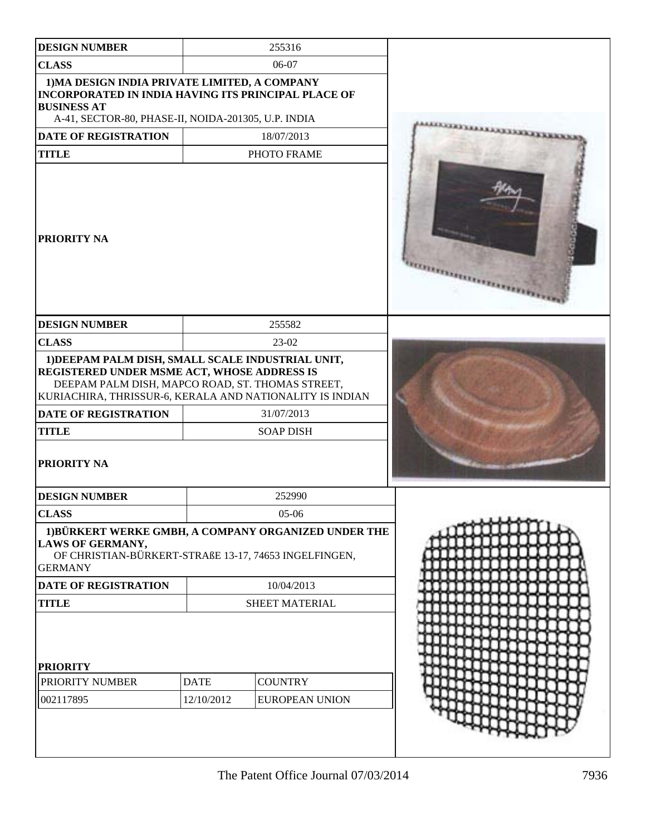| <b>DESIGN NUMBER</b>                                                                                                                                                                                                                                                           |                           | 255316                                  |  |
|--------------------------------------------------------------------------------------------------------------------------------------------------------------------------------------------------------------------------------------------------------------------------------|---------------------------|-----------------------------------------|--|
|                                                                                                                                                                                                                                                                                |                           |                                         |  |
| <b>CLASS</b>                                                                                                                                                                                                                                                                   |                           | 06-07                                   |  |
| 1) MA DESIGN INDIA PRIVATE LIMITED, A COMPANY<br><b>INCORPORATED IN INDIA HAVING ITS PRINCIPAL PLACE OF</b><br><b>BUSINESS AT</b><br>A-41, SECTOR-80, PHASE-II, NOIDA-201305, U.P. INDIA                                                                                       |                           |                                         |  |
| <b>DATE OF REGISTRATION</b>                                                                                                                                                                                                                                                    |                           | 18/07/2013                              |  |
| <b>TITLE</b>                                                                                                                                                                                                                                                                   |                           | PHOTO FRAME                             |  |
| PRIORITY NA                                                                                                                                                                                                                                                                    |                           |                                         |  |
| <b>DESIGN NUMBER</b>                                                                                                                                                                                                                                                           |                           | 255582                                  |  |
| <b>CLASS</b>                                                                                                                                                                                                                                                                   |                           | 23-02                                   |  |
| 1) DEEPAM PALM DISH, SMALL SCALE INDUSTRIAL UNIT,<br>REGISTERED UNDER MSME ACT, WHOSE ADDRESS IS<br>DEEPAM PALM DISH, MAPCO ROAD, ST. THOMAS STREET,<br>KURIACHIRA, THRISSUR-6, KERALA AND NATIONALITY IS INDIAN<br><b>DATE OF REGISTRATION</b><br><b>TITLE</b><br>PRIORITY NA |                           | 31/07/2013<br><b>SOAP DISH</b>          |  |
|                                                                                                                                                                                                                                                                                |                           |                                         |  |
| <b>DESIGN NUMBER</b>                                                                                                                                                                                                                                                           |                           | 252990                                  |  |
| <b>CLASS</b>                                                                                                                                                                                                                                                                   |                           | $05-06$                                 |  |
| 1) BÜRKERT WERKE GMBH, A COMPANY ORGANIZED UNDER THE<br><b>LAWS OF GERMANY,</b><br>OF CHRISTIAN-BÜRKERT-STRAßE 13-17, 74653 INGELFINGEN,<br><b>GERMANY</b>                                                                                                                     |                           |                                         |  |
| <b>DATE OF REGISTRATION</b>                                                                                                                                                                                                                                                    |                           | 10/04/2013                              |  |
| <b>TITLE</b>                                                                                                                                                                                                                                                                   |                           | SHEET MATERIAL                          |  |
| <b>PRIORITY</b><br>PRIORITY NUMBER<br>002117895                                                                                                                                                                                                                                | <b>DATE</b><br>12/10/2012 | <b>COUNTRY</b><br><b>EUROPEAN UNION</b> |  |
|                                                                                                                                                                                                                                                                                |                           |                                         |  |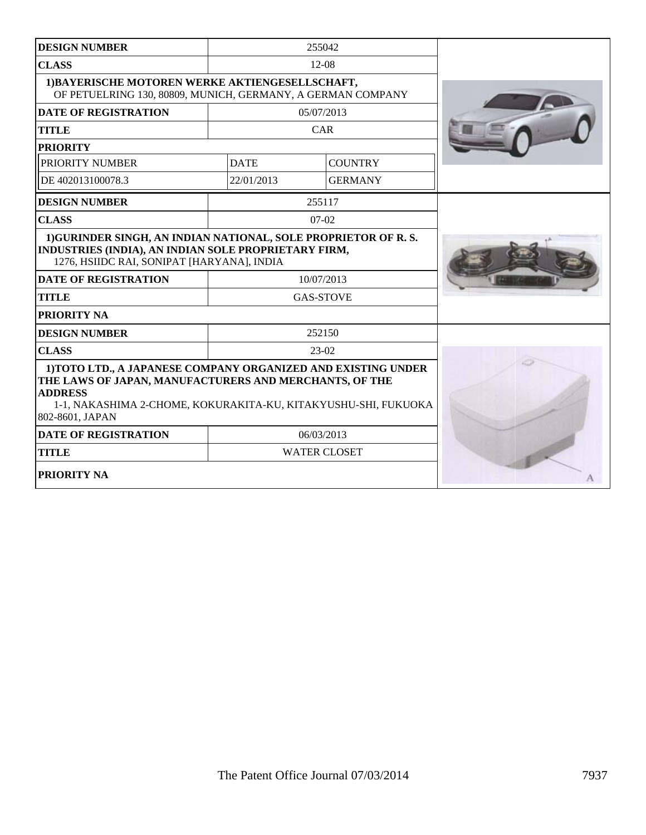| <b>DESIGN NUMBER</b>                                                                                                                                                                                                           |             | 255042              |  |
|--------------------------------------------------------------------------------------------------------------------------------------------------------------------------------------------------------------------------------|-------------|---------------------|--|
| <b>CLASS</b>                                                                                                                                                                                                                   |             | $12-08$             |  |
| 1) BAYERISCHE MOTOREN WERKE AKTIENGESELLSCHAFT,<br>OF PETUELRING 130, 80809, MUNICH, GERMANY, A GERMAN COMPANY                                                                                                                 |             |                     |  |
| <b>DATE OF REGISTRATION</b>                                                                                                                                                                                                    |             | 05/07/2013          |  |
| <b>TITLE</b>                                                                                                                                                                                                                   |             | CAR                 |  |
| <b>PRIORITY</b>                                                                                                                                                                                                                |             |                     |  |
| PRIORITY NUMBER                                                                                                                                                                                                                | <b>DATE</b> | <b>COUNTRY</b>      |  |
| DE 402013100078.3                                                                                                                                                                                                              | 22/01/2013  | <b>GERMANY</b>      |  |
| <b>DESIGN NUMBER</b>                                                                                                                                                                                                           |             | 255117              |  |
| <b>CLASS</b>                                                                                                                                                                                                                   |             | $07-02$             |  |
| 1) GURINDER SINGH, AN INDIAN NATIONAL, SOLE PROPRIETOR OF R.S.<br>INDUSTRIES (INDIA), AN INDIAN SOLE PROPRIETARY FIRM,<br>1276, HSIIDC RAI, SONIPAT [HARYANA], INDIA                                                           |             |                     |  |
| <b>DATE OF REGISTRATION</b>                                                                                                                                                                                                    |             | 10/07/2013          |  |
| <b>TITLE</b>                                                                                                                                                                                                                   |             | <b>GAS-STOVE</b>    |  |
| <b>PRIORITY NA</b>                                                                                                                                                                                                             |             |                     |  |
| <b>DESIGN NUMBER</b>                                                                                                                                                                                                           |             | 252150              |  |
| <b>CLASS</b>                                                                                                                                                                                                                   |             | $23-02$             |  |
| 1) TOTO LTD., A JAPANESE COMPANY ORGANIZED AND EXISTING UNDER<br>THE LAWS OF JAPAN, MANUFACTURERS AND MERCHANTS, OF THE<br><b>ADDRESS</b><br>1-1, NAKASHIMA 2-CHOME, KOKURAKITA-KU, KITAKYUSHU-SHI, FUKUOKA<br>802-8601, JAPAN |             |                     |  |
| <b>DATE OF REGISTRATION</b>                                                                                                                                                                                                    |             | 06/03/2013          |  |
| <b>TITLE</b>                                                                                                                                                                                                                   |             | <b>WATER CLOSET</b> |  |
| <b>PRIORITY NA</b>                                                                                                                                                                                                             |             |                     |  |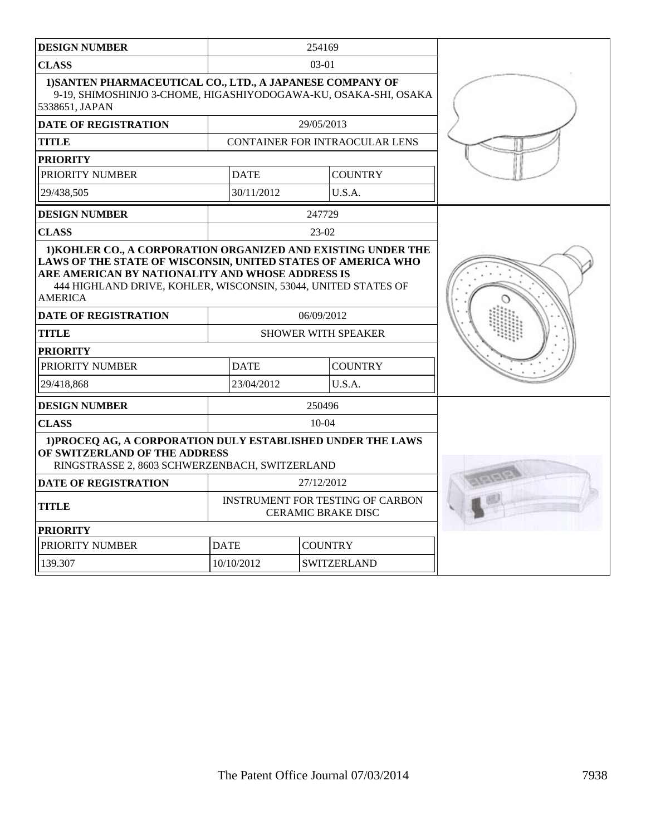| <b>DESIGN NUMBER</b>                                                                                                                                                  |                                                                                                                                                                                                                                                                                                      | 254169         |                                |  |
|-----------------------------------------------------------------------------------------------------------------------------------------------------------------------|------------------------------------------------------------------------------------------------------------------------------------------------------------------------------------------------------------------------------------------------------------------------------------------------------|----------------|--------------------------------|--|
| <b>CLASS</b>                                                                                                                                                          | $03-01$                                                                                                                                                                                                                                                                                              |                |                                |  |
| 1) SANTEN PHARMACEUTICAL CO., LTD., A JAPANESE COMPANY OF<br>9-19, SHIMOSHINJO 3-CHOME, HIGASHIYODOGAWA-KU, OSAKA-SHI, OSAKA<br>5338651, JAPAN                        |                                                                                                                                                                                                                                                                                                      |                |                                |  |
| <b>DATE OF REGISTRATION</b>                                                                                                                                           |                                                                                                                                                                                                                                                                                                      | 29/05/2013     |                                |  |
| <b>TITLE</b>                                                                                                                                                          |                                                                                                                                                                                                                                                                                                      |                | CONTAINER FOR INTRAOCULAR LENS |  |
| <b>PRIORITY</b>                                                                                                                                                       |                                                                                                                                                                                                                                                                                                      |                |                                |  |
| PRIORITY NUMBER                                                                                                                                                       | <b>DATE</b>                                                                                                                                                                                                                                                                                          |                | <b>COUNTRY</b>                 |  |
| 29/438.505                                                                                                                                                            | 30/11/2012                                                                                                                                                                                                                                                                                           |                | U.S.A.                         |  |
| <b>DESIGN NUMBER</b>                                                                                                                                                  |                                                                                                                                                                                                                                                                                                      | 247729         |                                |  |
| <b>CLASS</b>                                                                                                                                                          |                                                                                                                                                                                                                                                                                                      | $23-02$        |                                |  |
| ARE AMERICAN BY NATIONALITY AND WHOSE ADDRESS IS<br><b>AMERICA</b><br><b>DATE OF REGISTRATION</b><br><b>TITLE</b><br><b>PRIORITY</b><br>PRIORITY NUMBER<br>29/418.868 | 1) KOHLER CO., A CORPORATION ORGANIZED AND EXISTING UNDER THE<br>LAWS OF THE STATE OF WISCONSIN, UNITED STATES OF AMERICA WHO<br>444 HIGHLAND DRIVE, KOHLER, WISCONSIN, 53044, UNITED STATES OF<br>06/09/2012<br><b>SHOWER WITH SPEAKER</b><br><b>COUNTRY</b><br><b>DATE</b><br>23/04/2012<br>U.S.A. |                |                                |  |
| <b>DESIGN NUMBER</b>                                                                                                                                                  |                                                                                                                                                                                                                                                                                                      | 250496         |                                |  |
| <b>CLASS</b>                                                                                                                                                          |                                                                                                                                                                                                                                                                                                      | $10-04$        |                                |  |
| 1) PROCEO AG, A CORPORATION DULY ESTABLISHED UNDER THE LAWS<br>OF SWITZERLAND OF THE ADDRESS<br>RINGSTRASSE 2, 8603 SCHWERZENBACH, SWITZERLAND                        |                                                                                                                                                                                                                                                                                                      |                |                                |  |
| <b>DATE OF REGISTRATION</b>                                                                                                                                           |                                                                                                                                                                                                                                                                                                      | 27/12/2012     |                                |  |
| <b>TITLE</b>                                                                                                                                                          | <b>INSTRUMENT FOR TESTING OF CARBON</b><br><b>CERAMIC BRAKE DISC</b>                                                                                                                                                                                                                                 |                |                                |  |
| <b>PRIORITY</b>                                                                                                                                                       |                                                                                                                                                                                                                                                                                                      |                |                                |  |
| PRIORITY NUMBER                                                                                                                                                       | <b>DATE</b>                                                                                                                                                                                                                                                                                          | <b>COUNTRY</b> |                                |  |
| 139.307                                                                                                                                                               | 10/10/2012                                                                                                                                                                                                                                                                                           |                | <b>SWITZERLAND</b>             |  |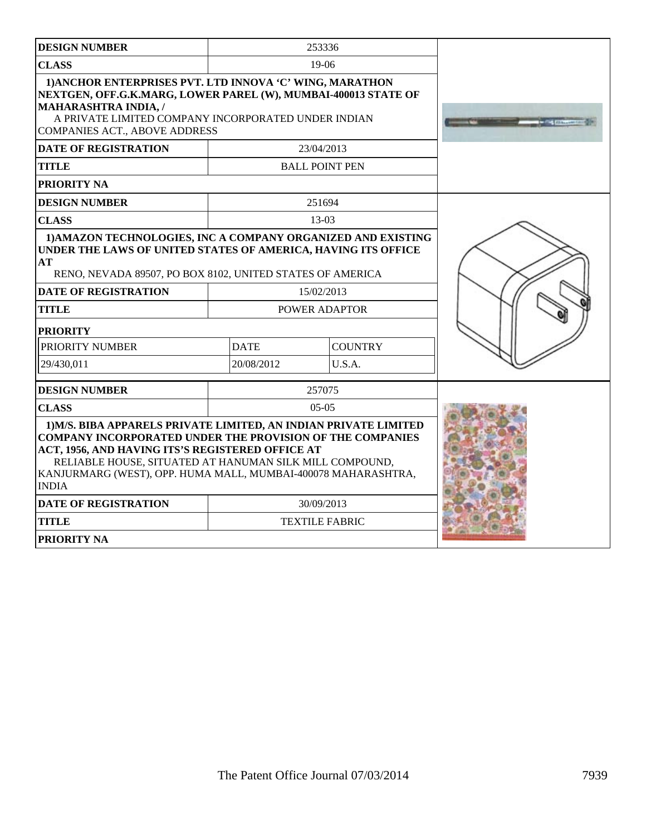| <b>DESIGN NUMBER</b>                                                                                                                                                                                                                                                                                                                                                |             | 253336                |  |
|---------------------------------------------------------------------------------------------------------------------------------------------------------------------------------------------------------------------------------------------------------------------------------------------------------------------------------------------------------------------|-------------|-----------------------|--|
| <b>CLASS</b>                                                                                                                                                                                                                                                                                                                                                        |             | $19-06$               |  |
| 1) ANCHOR ENTERPRISES PVT. LTD INNOVA 'C' WING, MARATHON<br>NEXTGEN, OFF.G.K.MARG, LOWER PAREL (W), MUMBAI-400013 STATE OF<br><b>MAHARASHTRA INDIA, /</b><br>A PRIVATE LIMITED COMPANY INCORPORATED UNDER INDIAN<br><b>COMPANIES ACT., ABOVE ADDRESS</b>                                                                                                            |             |                       |  |
| <b>DATE OF REGISTRATION</b>                                                                                                                                                                                                                                                                                                                                         |             | 23/04/2013            |  |
| <b>TITLE</b>                                                                                                                                                                                                                                                                                                                                                        |             | <b>BALL POINT PEN</b> |  |
| PRIORITY NA                                                                                                                                                                                                                                                                                                                                                         |             |                       |  |
| <b>DESIGN NUMBER</b>                                                                                                                                                                                                                                                                                                                                                |             | 251694                |  |
| <b>CLASS</b>                                                                                                                                                                                                                                                                                                                                                        |             | $13-03$               |  |
| 1) AMAZON TECHNOLOGIES, INC A COMPANY ORGANIZED AND EXISTING<br>UNDER THE LAWS OF UNITED STATES OF AMERICA, HAVING ITS OFFICE<br>AT<br>RENO, NEVADA 89507, PO BOX 8102, UNITED STATES OF AMERICA<br><b>DATE OF REGISTRATION</b>                                                                                                                                     |             |                       |  |
| <b>TITLE</b>                                                                                                                                                                                                                                                                                                                                                        |             | POWER ADAPTOR         |  |
| <b>PRIORITY</b>                                                                                                                                                                                                                                                                                                                                                     |             |                       |  |
| PRIORITY NUMBER                                                                                                                                                                                                                                                                                                                                                     | <b>DATE</b> | <b>COUNTRY</b>        |  |
| 29/430,011                                                                                                                                                                                                                                                                                                                                                          | 20/08/2012  | U.S.A.                |  |
| <b>DESIGN NUMBER</b>                                                                                                                                                                                                                                                                                                                                                |             | 257075                |  |
| <b>CLASS</b>                                                                                                                                                                                                                                                                                                                                                        |             | $0.5 - 0.5$           |  |
| 1) M/S. BIBA APPARELS PRIVATE LIMITED, AN INDIAN PRIVATE LIMITED<br><b>COMPANY INCORPORATED UNDER THE PROVISION OF THE COMPANIES</b><br>ACT, 1956, AND HAVING ITS'S REGISTERED OFFICE AT<br>RELIABLE HOUSE, SITUATED AT HANUMAN SILK MILL COMPOUND,<br>KANJURMARG (WEST), OPP. HUMA MALL, MUMBAI-400078 MAHARASHTRA,<br><b>INDIA</b><br><b>DATE OF REGISTRATION</b> |             |                       |  |
| <b>TITLE</b>                                                                                                                                                                                                                                                                                                                                                        |             | <b>TEXTILE FABRIC</b> |  |
| PRIORITY NA                                                                                                                                                                                                                                                                                                                                                         |             |                       |  |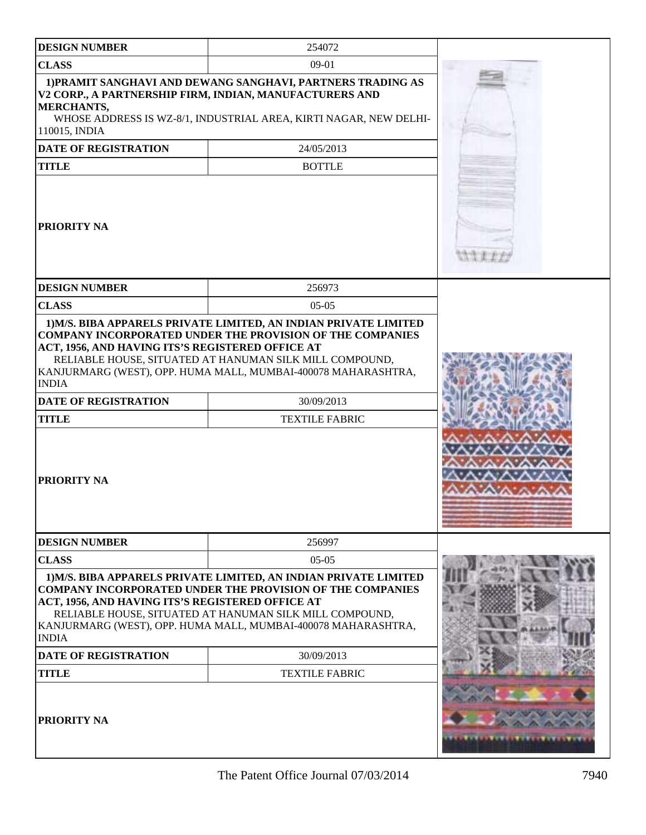| <b>DESIGN NUMBER</b>                                                                                                                                                                                                       | 254072                                                                                                                                                                                                                                                                                                  |  |
|----------------------------------------------------------------------------------------------------------------------------------------------------------------------------------------------------------------------------|---------------------------------------------------------------------------------------------------------------------------------------------------------------------------------------------------------------------------------------------------------------------------------------------------------|--|
| <b>CLASS</b>                                                                                                                                                                                                               | $09-01$                                                                                                                                                                                                                                                                                                 |  |
| 1) PRAMIT SANGHAVI AND DEWANG SANGHAVI, PARTNERS TRADING AS<br>V2 CORP., A PARTNERSHIP FIRM, INDIAN, MANUFACTURERS AND<br>MERCHANTS,<br>WHOSE ADDRESS IS WZ-8/1, INDUSTRIAL AREA, KIRTI NAGAR, NEW DELHI-<br>110015, INDIA |                                                                                                                                                                                                                                                                                                         |  |
| <b>DATE OF REGISTRATION</b>                                                                                                                                                                                                | 24/05/2013                                                                                                                                                                                                                                                                                              |  |
| <b>TITLE</b>                                                                                                                                                                                                               | <b>BOTTLE</b>                                                                                                                                                                                                                                                                                           |  |
| <b>PRIORITY NA</b>                                                                                                                                                                                                         |                                                                                                                                                                                                                                                                                                         |  |
| <b>DESIGN NUMBER</b>                                                                                                                                                                                                       | 256973                                                                                                                                                                                                                                                                                                  |  |
| <b>CLASS</b>                                                                                                                                                                                                               | $05-05$                                                                                                                                                                                                                                                                                                 |  |
| ACT, 1956, AND HAVING ITS'S REGISTERED OFFICE AT<br><b>INDIA</b><br><b>DATE OF REGISTRATION</b><br><b>TITLE</b><br><b>PRIORITY NA</b>                                                                                      | <b>COMPANY INCORPORATED UNDER THE PROVISION OF THE COMPANIES</b><br>RELIABLE HOUSE, SITUATED AT HANUMAN SILK MILL COMPOUND,<br>KANJURMARG (WEST), OPP. HUMA MALL, MUMBAI-400078 MAHARASHTRA,<br>30/09/2013<br><b>TEXTILE FABRIC</b>                                                                     |  |
| <b>DESIGN NUMBER</b>                                                                                                                                                                                                       | 256997                                                                                                                                                                                                                                                                                                  |  |
| <b>CLASS</b>                                                                                                                                                                                                               | $05-05$                                                                                                                                                                                                                                                                                                 |  |
| ACT, 1956, AND HAVING ITS'S REGISTERED OFFICE AT<br><b>INDIA</b><br><b>DATE OF REGISTRATION</b><br><b>TITLE</b><br><b>PRIORITY NA</b>                                                                                      | 1) M/S. BIBA APPARELS PRIVATE LIMITED, AN INDIAN PRIVATE LIMITED<br><b>COMPANY INCORPORATED UNDER THE PROVISION OF THE COMPANIES</b><br>RELIABLE HOUSE, SITUATED AT HANUMAN SILK MILL COMPOUND,<br>KANJURMARG (WEST), OPP. HUMA MALL, MUMBAI-400078 MAHARASHTRA,<br>30/09/2013<br><b>TEXTILE FABRIC</b> |  |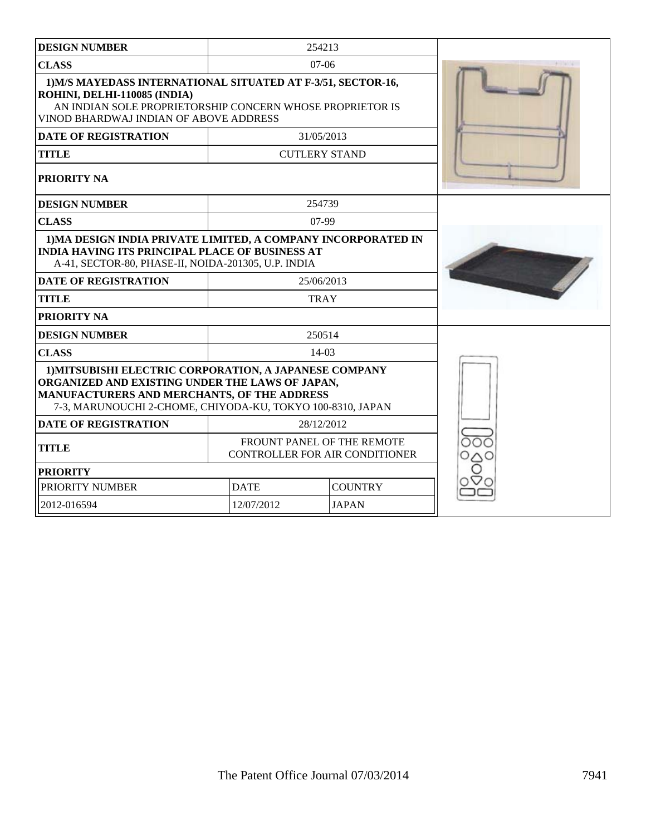| <b>DESIGN NUMBER</b>                                                                                                                                                                                                   |             | 254213                                                              |  |
|------------------------------------------------------------------------------------------------------------------------------------------------------------------------------------------------------------------------|-------------|---------------------------------------------------------------------|--|
| <b>CLASS</b>                                                                                                                                                                                                           |             | $07-06$                                                             |  |
| 1) M/S MAYEDASS INTERNATIONAL SITUATED AT F-3/51, SECTOR-16,<br>ROHINI, DELHI-110085 (INDIA)<br>AN INDIAN SOLE PROPRIETORSHIP CONCERN WHOSE PROPRIETOR IS<br>VINOD BHARDWAJ INDIAN OF ABOVE ADDRESS                    |             |                                                                     |  |
| <b>DATE OF REGISTRATION</b>                                                                                                                                                                                            |             | 31/05/2013                                                          |  |
| <b>TITLE</b>                                                                                                                                                                                                           |             | <b>CUTLERY STAND</b>                                                |  |
| PRIORITY NA                                                                                                                                                                                                            |             |                                                                     |  |
| <b>DESIGN NUMBER</b>                                                                                                                                                                                                   |             | 254739                                                              |  |
| <b>CLASS</b>                                                                                                                                                                                                           |             | $07-99$                                                             |  |
| 1) MA DESIGN INDIA PRIVATE LIMITED, A COMPANY INCORPORATED IN<br><b>INDIA HAVING ITS PRINCIPAL PLACE OF BUSINESS AT</b><br>A-41, SECTOR-80, PHASE-II, NOIDA-201305, U.P. INDIA<br><b>DATE OF REGISTRATION</b>          |             |                                                                     |  |
| <b>TITLE</b>                                                                                                                                                                                                           |             | 25/06/2013<br><b>TRAY</b>                                           |  |
| PRIORITY NA                                                                                                                                                                                                            |             |                                                                     |  |
| <b>DESIGN NUMBER</b>                                                                                                                                                                                                   |             |                                                                     |  |
| <b>CLASS</b>                                                                                                                                                                                                           |             | 250514<br>$14-03$                                                   |  |
| 1) MITSUBISHI ELECTRIC CORPORATION, A JAPANESE COMPANY<br>ORGANIZED AND EXISTING UNDER THE LAWS OF JAPAN,<br>MANUFACTURERS AND MERCHANTS, OF THE ADDRESS<br>7-3, MARUNOUCHI 2-CHOME, CHIYODA-KU, TOKYO 100-8310, JAPAN |             |                                                                     |  |
| <b>DATE OF REGISTRATION</b>                                                                                                                                                                                            |             | 28/12/2012                                                          |  |
| <b>TITLE</b>                                                                                                                                                                                                           |             | FROUNT PANEL OF THE REMOTE<br><b>CONTROLLER FOR AIR CONDITIONER</b> |  |
| <b>PRIORITY</b>                                                                                                                                                                                                        |             |                                                                     |  |
| PRIORITY NUMBER                                                                                                                                                                                                        | <b>DATE</b> | <b>COUNTRY</b>                                                      |  |
| 2012-016594                                                                                                                                                                                                            | 12/07/2012  | <b>JAPAN</b>                                                        |  |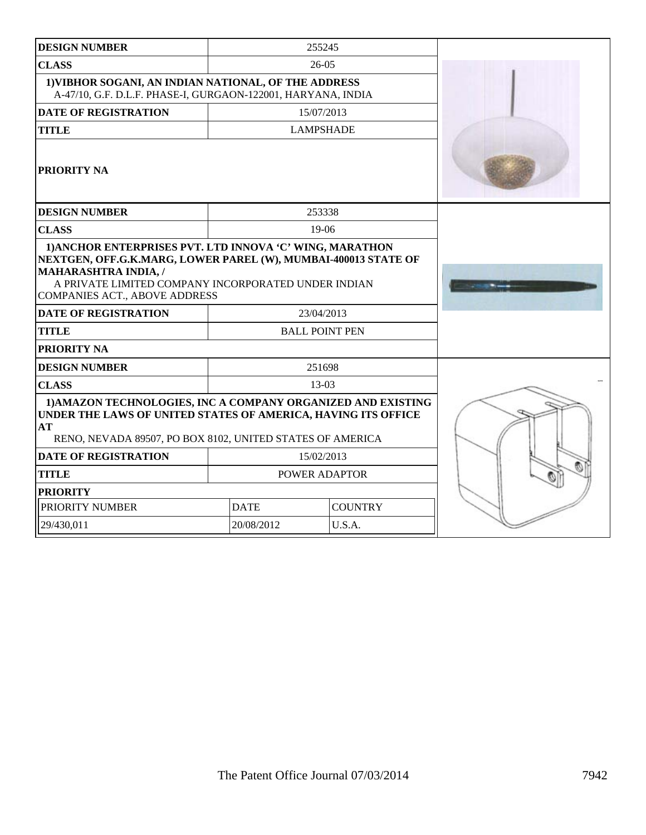| <b>DESIGN NUMBER</b>                                                                                                                                                                             |             | 255245                |  |
|--------------------------------------------------------------------------------------------------------------------------------------------------------------------------------------------------|-------------|-----------------------|--|
| <b>CLASS</b>                                                                                                                                                                                     |             | $26-05$               |  |
| 1) VIBHOR SOGANI, AN INDIAN NATIONAL, OF THE ADDRESS<br>A-47/10, G.F. D.L.F. PHASE-I, GURGAON-122001, HARYANA, INDIA                                                                             |             |                       |  |
| <b>DATE OF REGISTRATION</b>                                                                                                                                                                      |             | 15/07/2013            |  |
| <b>TITLE</b>                                                                                                                                                                                     |             | <b>LAMPSHADE</b>      |  |
| PRIORITY NA                                                                                                                                                                                      |             |                       |  |
| <b>DESIGN NUMBER</b>                                                                                                                                                                             |             | 253338                |  |
| <b>CLASS</b>                                                                                                                                                                                     |             | $19-06$               |  |
| NEXTGEN, OFF.G.K.MARG, LOWER PAREL (W), MUMBAI-400013 STATE OF<br><b>MAHARASHTRA INDIA, /</b><br>A PRIVATE LIMITED COMPANY INCORPORATED UNDER INDIAN<br><b>COMPANIES ACT., ABOVE ADDRESS</b>     |             |                       |  |
| <b>DATE OF REGISTRATION</b>                                                                                                                                                                      |             | 23/04/2013            |  |
| <b>TITLE</b>                                                                                                                                                                                     |             | <b>BALL POINT PEN</b> |  |
| PRIORITY NA                                                                                                                                                                                      |             |                       |  |
| <b>DESIGN NUMBER</b>                                                                                                                                                                             |             | 251698                |  |
| <b>CLASS</b>                                                                                                                                                                                     |             | $13-03$               |  |
| 1) AMAZON TECHNOLOGIES, INC A COMPANY ORGANIZED AND EXISTING<br>UNDER THE LAWS OF UNITED STATES OF AMERICA, HAVING ITS OFFICE<br>AТ<br>RENO, NEVADA 89507, PO BOX 8102, UNITED STATES OF AMERICA |             |                       |  |
| <b>DATE OF REGISTRATION</b>                                                                                                                                                                      |             | 15/02/2013            |  |
| <b>TITLE</b>                                                                                                                                                                                     |             | POWER ADAPTOR         |  |
| <b>PRIORITY</b>                                                                                                                                                                                  |             |                       |  |
| PRIORITY NUMBER                                                                                                                                                                                  | <b>DATE</b> | <b>COUNTRY</b>        |  |
| 29/430,011                                                                                                                                                                                       | 20/08/2012  | U.S.A.                |  |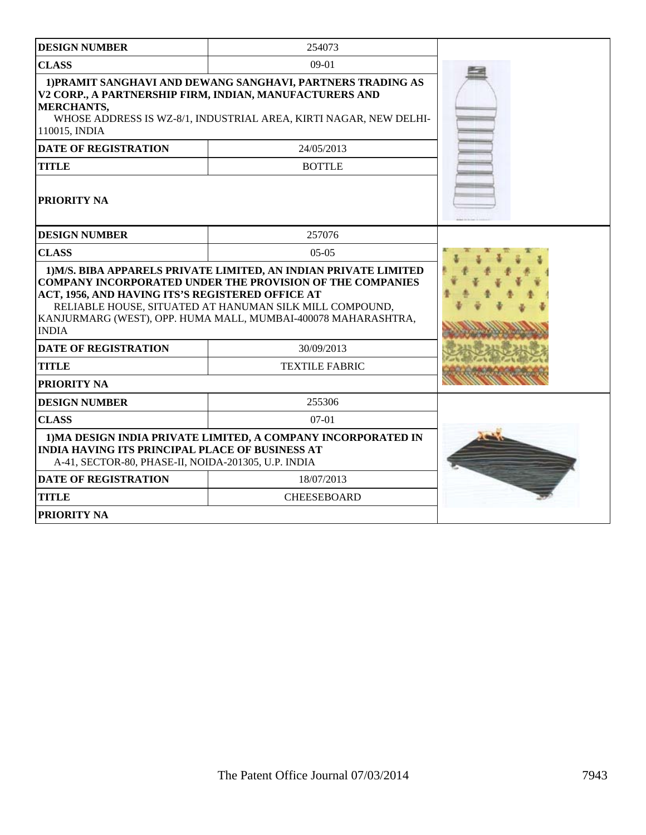| <b>DESIGN NUMBER</b>                                                                                                                                                                                                                                                                                                                 | 254073                |  |
|--------------------------------------------------------------------------------------------------------------------------------------------------------------------------------------------------------------------------------------------------------------------------------------------------------------------------------------|-----------------------|--|
| <b>CLASS</b>                                                                                                                                                                                                                                                                                                                         | $09-01$               |  |
| 1) PRAMIT SANGHAVI AND DEWANG SANGHAVI, PARTNERS TRADING AS<br>V2 CORP., A PARTNERSHIP FIRM, INDIAN, MANUFACTURERS AND<br><b>MERCHANTS,</b><br>WHOSE ADDRESS IS WZ-8/1, INDUSTRIAL AREA, KIRTI NAGAR, NEW DELHI-<br>110015, INDIA                                                                                                    |                       |  |
| <b>DATE OF REGISTRATION</b>                                                                                                                                                                                                                                                                                                          | 24/05/2013            |  |
| <b>TITLE</b>                                                                                                                                                                                                                                                                                                                         | <b>BOTTLE</b>         |  |
| PRIORITY NA                                                                                                                                                                                                                                                                                                                          |                       |  |
| <b>DESIGN NUMBER</b>                                                                                                                                                                                                                                                                                                                 | 257076                |  |
| <b>CLASS</b>                                                                                                                                                                                                                                                                                                                         |                       |  |
| 1) M/S. BIBA APPARELS PRIVATE LIMITED, AN INDIAN PRIVATE LIMITED<br><b>COMPANY INCORPORATED UNDER THE PROVISION OF THE COMPANIES</b><br>ACT, 1956, AND HAVING ITS'S REGISTERED OFFICE AT<br>RELIABLE HOUSE, SITUATED AT HANUMAN SILK MILL COMPOUND,<br>KANJURMARG (WEST), OPP. HUMA MALL, MUMBAI-400078 MAHARASHTRA,<br><b>INDIA</b> |                       |  |
| <b>DATE OF REGISTRATION</b>                                                                                                                                                                                                                                                                                                          |                       |  |
| <b>TITLE</b>                                                                                                                                                                                                                                                                                                                         | <b>TEXTILE FABRIC</b> |  |
| PRIORITY NA                                                                                                                                                                                                                                                                                                                          |                       |  |
| <b>DESIGN NUMBER</b>                                                                                                                                                                                                                                                                                                                 | 255306                |  |
| <b>CLASS</b>                                                                                                                                                                                                                                                                                                                         | $07-01$               |  |
| 1) MA DESIGN INDIA PRIVATE LIMITED, A COMPANY INCORPORATED IN<br><b>INDIA HAVING ITS PRINCIPAL PLACE OF BUSINESS AT</b><br>A-41, SECTOR-80, PHASE-II, NOIDA-201305, U.P. INDIA                                                                                                                                                       |                       |  |
| <b>DATE OF REGISTRATION</b>                                                                                                                                                                                                                                                                                                          | 18/07/2013            |  |
| <b>TITLE</b>                                                                                                                                                                                                                                                                                                                         | <b>CHEESEBOARD</b>    |  |
| PRIORITY NA                                                                                                                                                                                                                                                                                                                          |                       |  |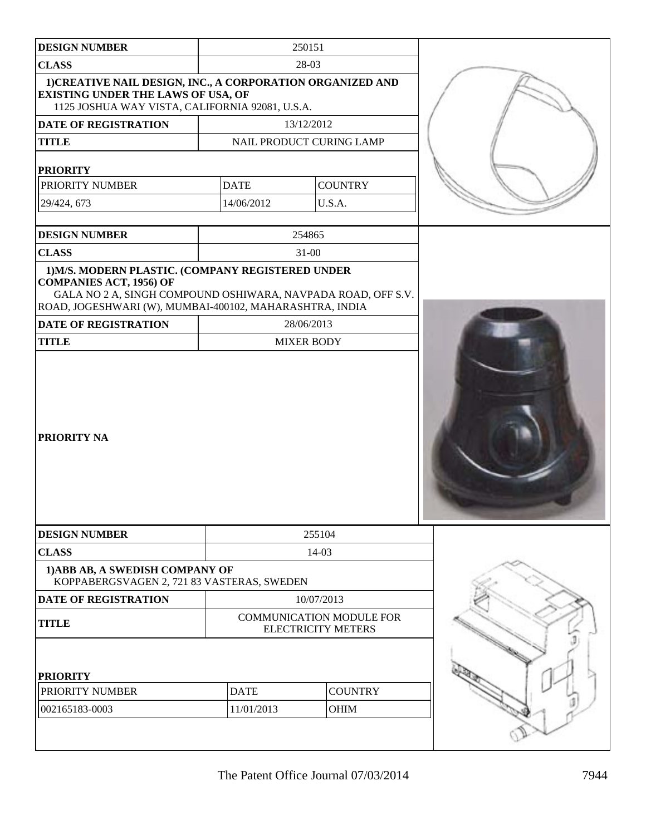| <b>DESIGN NUMBER</b>                                                                                                                                                                                           |             | 250151                                                       |  |
|----------------------------------------------------------------------------------------------------------------------------------------------------------------------------------------------------------------|-------------|--------------------------------------------------------------|--|
| <b>CLASS</b>                                                                                                                                                                                                   |             | 28-03                                                        |  |
| 1) CREATIVE NAIL DESIGN, INC., A CORPORATION ORGANIZED AND<br>EXISTING UNDER THE LAWS OF USA, OF<br>1125 JOSHUA WAY VISTA, CALIFORNIA 92081, U.S.A.                                                            |             |                                                              |  |
| <b>DATE OF REGISTRATION</b>                                                                                                                                                                                    |             | 13/12/2012                                                   |  |
| <b>TITLE</b>                                                                                                                                                                                                   |             | NAIL PRODUCT CURING LAMP                                     |  |
| <b>PRIORITY</b>                                                                                                                                                                                                |             |                                                              |  |
| PRIORITY NUMBER                                                                                                                                                                                                | <b>DATE</b> | <b>COUNTRY</b>                                               |  |
| 29/424, 673                                                                                                                                                                                                    | 14/06/2012  | U.S.A.                                                       |  |
|                                                                                                                                                                                                                |             |                                                              |  |
| <b>DESIGN NUMBER</b>                                                                                                                                                                                           |             | 254865                                                       |  |
| <b>CLASS</b>                                                                                                                                                                                                   |             | $31-00$                                                      |  |
| 1) M/S. MODERN PLASTIC. (COMPANY REGISTERED UNDER<br><b>COMPANIES ACT, 1956) OF</b><br>GALA NO 2 A, SINGH COMPOUND OSHIWARA, NAVPADA ROAD, OFF S.V.<br>ROAD, JOGESHWARI (W), MUMBAI-400102, MAHARASHTRA, INDIA |             |                                                              |  |
| <b>DATE OF REGISTRATION</b>                                                                                                                                                                                    |             | 28/06/2013                                                   |  |
| <b>TITLE</b>                                                                                                                                                                                                   |             | <b>MIXER BODY</b>                                            |  |
| PRIORITY NA                                                                                                                                                                                                    |             |                                                              |  |
| <b>DESIGN NUMBER</b>                                                                                                                                                                                           |             | 255104                                                       |  |
| <b>CLASS</b>                                                                                                                                                                                                   |             | $14 - 03$                                                    |  |
| 1) ABB AB, A SWEDISH COMPANY OF<br>KOPPABERGSVAGEN 2, 721 83 VASTERAS, SWEDEN                                                                                                                                  |             |                                                              |  |
| <b>DATE OF REGISTRATION</b>                                                                                                                                                                                    |             | 10/07/2013                                                   |  |
| <b>TITLE</b>                                                                                                                                                                                                   |             | <b>COMMUNICATION MODULE FOR</b><br><b>ELECTRICITY METERS</b> |  |
| <b>PRIORITY</b>                                                                                                                                                                                                |             |                                                              |  |
| PRIORITY NUMBER                                                                                                                                                                                                | <b>DATE</b> | <b>COUNTRY</b>                                               |  |
| 002165183-0003                                                                                                                                                                                                 | 11/01/2013  | OHIM                                                         |  |
|                                                                                                                                                                                                                |             |                                                              |  |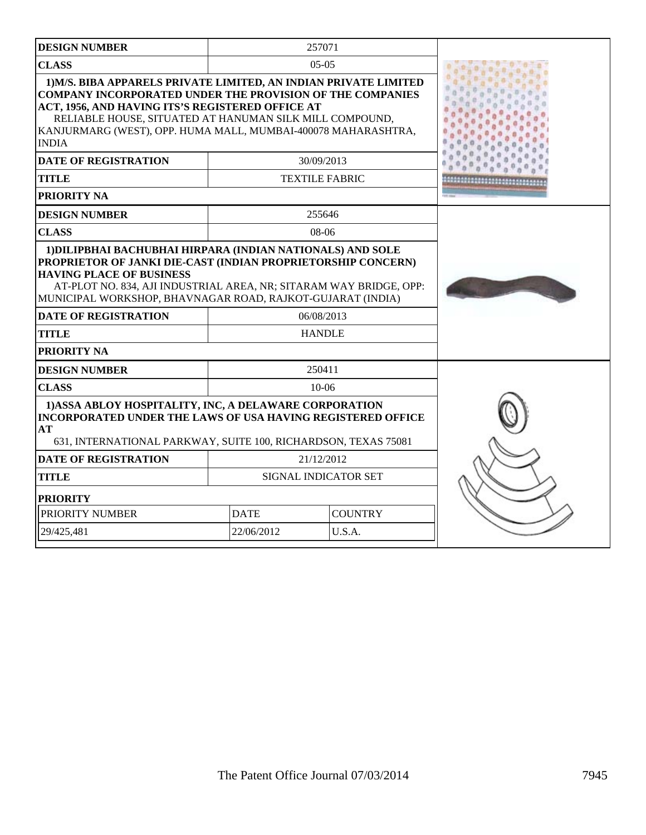| <b>DESIGN NUMBER</b>                                                                                                                                                                                                                                                                                                                             |             | 257071                |  |
|--------------------------------------------------------------------------------------------------------------------------------------------------------------------------------------------------------------------------------------------------------------------------------------------------------------------------------------------------|-------------|-----------------------|--|
| <b>CLASS</b>                                                                                                                                                                                                                                                                                                                                     |             | $05-05$               |  |
| 1) M/S. BIBA APPARELS PRIVATE LIMITED, AN INDIAN PRIVATE LIMITED<br><b>COMPANY INCORPORATED UNDER THE PROVISION OF THE COMPANIES</b><br>ACT, 1956, AND HAVING ITS'S REGISTERED OFFICE AT<br>RELIABLE HOUSE, SITUATED AT HANUMAN SILK MILL COMPOUND,<br>KANJURMARG (WEST), OPP. HUMA MALL, MUMBAI-400078 MAHARASHTRA,<br><b>INDIA</b>             |             |                       |  |
| <b>DATE OF REGISTRATION</b>                                                                                                                                                                                                                                                                                                                      |             | 30/09/2013            |  |
| <b>TITLE</b>                                                                                                                                                                                                                                                                                                                                     |             | <b>TEXTILE FABRIC</b> |  |
| <b>PRIORITY NA</b>                                                                                                                                                                                                                                                                                                                               |             |                       |  |
| <b>DESIGN NUMBER</b>                                                                                                                                                                                                                                                                                                                             |             | 255646                |  |
| <b>CLASS</b>                                                                                                                                                                                                                                                                                                                                     |             | $08-06$               |  |
| 1) DILIPBHAI BACHUBHAI HIRPARA (INDIAN NATIONALS) AND SOLE<br>PROPRIETOR OF JANKI DIE-CAST (INDIAN PROPRIETORSHIP CONCERN)<br><b>HAVING PLACE OF BUSINESS</b><br>AT-PLOT NO. 834, AJI INDUSTRIAL AREA, NR; SITARAM WAY BRIDGE, OPP:<br>MUNICIPAL WORKSHOP, BHAVNAGAR ROAD, RAJKOT-GUJARAT (INDIA)<br><b>DATE OF REGISTRATION</b><br><b>TITLE</b> |             |                       |  |
| PRIORITY NA                                                                                                                                                                                                                                                                                                                                      |             | 250411                |  |
| <b>DESIGN NUMBER</b><br><b>CLASS</b>                                                                                                                                                                                                                                                                                                             |             | $10-06$               |  |
| 1) ASSA ABLOY HOSPITALITY, INC, A DELAWARE CORPORATION<br><b>INCORPORATED UNDER THE LAWS OF USA HAVING REGISTERED OFFICE</b><br>AT<br>631, INTERNATIONAL PARKWAY, SUITE 100, RICHARDSON, TEXAS 75081                                                                                                                                             |             |                       |  |
| <b>DATE OF REGISTRATION</b>                                                                                                                                                                                                                                                                                                                      |             | 21/12/2012            |  |
| <b>TITLE</b>                                                                                                                                                                                                                                                                                                                                     |             | SIGNAL INDICATOR SET  |  |
| <b>PRIORITY</b>                                                                                                                                                                                                                                                                                                                                  |             |                       |  |
| PRIORITY NUMBER                                                                                                                                                                                                                                                                                                                                  | <b>DATE</b> | <b>COUNTRY</b>        |  |
| 29/425,481                                                                                                                                                                                                                                                                                                                                       | 22/06/2012  | U.S.A.                |  |
|                                                                                                                                                                                                                                                                                                                                                  |             |                       |  |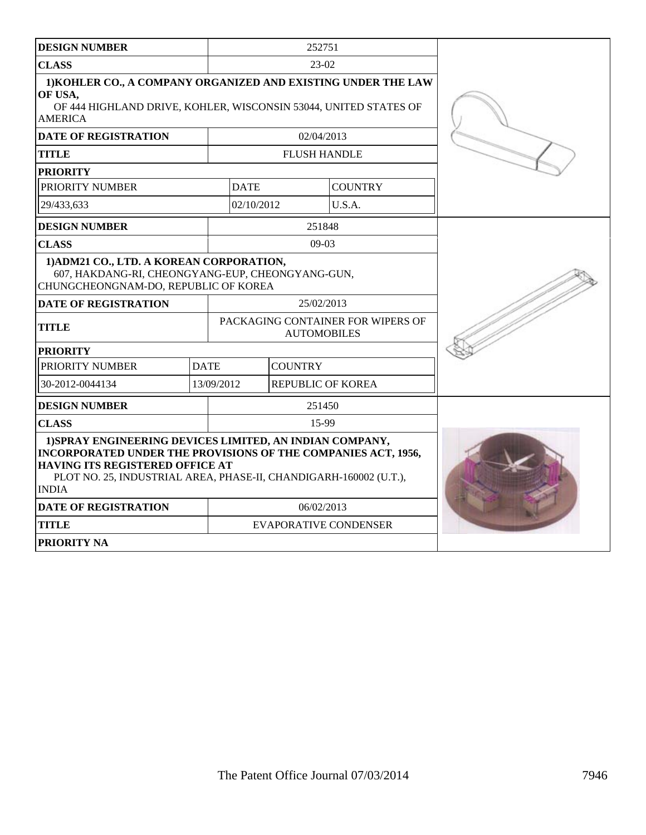| <b>DESIGN NUMBER</b>                                                                                                                                                                                                                              |             | 252751                                                  |                          |                              |  |
|---------------------------------------------------------------------------------------------------------------------------------------------------------------------------------------------------------------------------------------------------|-------------|---------------------------------------------------------|--------------------------|------------------------------|--|
| <b>CLASS</b>                                                                                                                                                                                                                                      |             | $23-02$                                                 |                          |                              |  |
| 1) KOHLER CO., A COMPANY ORGANIZED AND EXISTING UNDER THE LAW<br>OF USA,<br>OF 444 HIGHLAND DRIVE, KOHLER, WISCONSIN 53044, UNITED STATES OF<br><b>AMERICA</b>                                                                                    |             |                                                         |                          |                              |  |
| <b>DATE OF REGISTRATION</b>                                                                                                                                                                                                                       |             |                                                         | 02/04/2013               |                              |  |
| <b>TITLE</b>                                                                                                                                                                                                                                      |             |                                                         | <b>FLUSH HANDLE</b>      |                              |  |
| <b>PRIORITY</b>                                                                                                                                                                                                                                   |             |                                                         |                          |                              |  |
| PRIORITY NUMBER                                                                                                                                                                                                                                   |             | <b>DATE</b>                                             |                          | <b>COUNTRY</b>               |  |
| 29/433,633                                                                                                                                                                                                                                        |             | 02/10/2012                                              |                          | U.S.A.                       |  |
| <b>DESIGN NUMBER</b>                                                                                                                                                                                                                              |             |                                                         | 251848                   |                              |  |
| <b>CLASS</b>                                                                                                                                                                                                                                      |             |                                                         | $09-03$                  |                              |  |
| 1) ADM21 CO., LTD. A KOREAN CORPORATION,<br>607, HAKDANG-RI, CHEONGYANG-EUP, CHEONGYANG-GUN,<br>CHUNGCHEONGNAM-DO, REPUBLIC OF KOREA                                                                                                              |             |                                                         |                          |                              |  |
| <b>DATE OF REGISTRATION</b>                                                                                                                                                                                                                       |             | 25/02/2013                                              |                          |                              |  |
| <b>TITLE</b>                                                                                                                                                                                                                                      |             | PACKAGING CONTAINER FOR WIPERS OF<br><b>AUTOMOBILES</b> |                          |                              |  |
| <b>PRIORITY</b>                                                                                                                                                                                                                                   |             |                                                         |                          |                              |  |
| PRIORITY NUMBER                                                                                                                                                                                                                                   | <b>DATE</b> |                                                         | <b>COUNTRY</b>           |                              |  |
| 30-2012-0044134                                                                                                                                                                                                                                   | 13/09/2012  |                                                         | <b>REPUBLIC OF KOREA</b> |                              |  |
| <b>DESIGN NUMBER</b>                                                                                                                                                                                                                              |             |                                                         | 251450                   |                              |  |
| <b>CLASS</b>                                                                                                                                                                                                                                      |             | 15-99                                                   |                          |                              |  |
| 1) SPRAY ENGINEERING DEVICES LIMITED, AN INDIAN COMPANY,<br>INCORPORATED UNDER THE PROVISIONS OF THE COMPANIES ACT, 1956,<br>HAVING ITS REGISTERED OFFICE AT<br>PLOT NO. 25, INDUSTRIAL AREA, PHASE-II, CHANDIGARH-160002 (U.T.),<br><b>INDIA</b> |             |                                                         |                          |                              |  |
| <b>DATE OF REGISTRATION</b>                                                                                                                                                                                                                       |             | 06/02/2013                                              |                          |                              |  |
| <b>TITLE</b>                                                                                                                                                                                                                                      |             |                                                         |                          | <b>EVAPORATIVE CONDENSER</b> |  |
| <b>PRIORITY NA</b>                                                                                                                                                                                                                                |             |                                                         |                          |                              |  |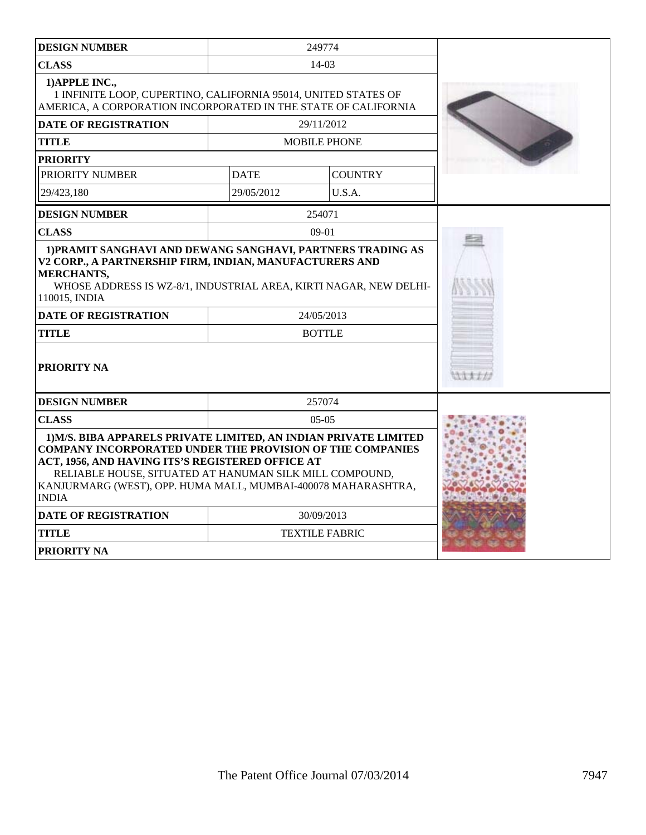| <b>DESIGN NUMBER</b>                                                                                                                                                                                                                                                                                                                 |             | 249774                |        |
|--------------------------------------------------------------------------------------------------------------------------------------------------------------------------------------------------------------------------------------------------------------------------------------------------------------------------------------|-------------|-----------------------|--------|
| <b>CLASS</b>                                                                                                                                                                                                                                                                                                                         |             | $14 - 03$             |        |
| 1) APPLE INC.,<br>1 INFINITE LOOP, CUPERTINO, CALIFORNIA 95014, UNITED STATES OF<br>AMERICA, A CORPORATION INCORPORATED IN THE STATE OF CALIFORNIA                                                                                                                                                                                   |             |                       |        |
| <b>DATE OF REGISTRATION</b>                                                                                                                                                                                                                                                                                                          |             | 29/11/2012            |        |
| <b>TITLE</b>                                                                                                                                                                                                                                                                                                                         |             | <b>MOBILE PHONE</b>   |        |
| <b>PRIORITY</b>                                                                                                                                                                                                                                                                                                                      |             |                       |        |
| PRIORITY NUMBER                                                                                                                                                                                                                                                                                                                      | <b>DATE</b> | <b>COUNTRY</b>        |        |
| 29/423,180                                                                                                                                                                                                                                                                                                                           | 29/05/2012  | U.S.A.                |        |
| <b>DESIGN NUMBER</b>                                                                                                                                                                                                                                                                                                                 |             | 254071                |        |
| <b>CLASS</b>                                                                                                                                                                                                                                                                                                                         |             | $09-01$               |        |
| V2 CORP., A PARTNERSHIP FIRM, INDIAN, MANUFACTURERS AND<br><b>MERCHANTS,</b><br>WHOSE ADDRESS IS WZ-8/1, INDUSTRIAL AREA, KIRTI NAGAR, NEW DELHI-<br>110015, INDIA                                                                                                                                                                   |             |                       |        |
| <b>DATE OF REGISTRATION</b>                                                                                                                                                                                                                                                                                                          |             | 24/05/2013            |        |
| <b>TITLE</b>                                                                                                                                                                                                                                                                                                                         |             | <b>BOTTLE</b>         |        |
| <b>PRIORITY NA</b>                                                                                                                                                                                                                                                                                                                   |             |                       | 111177 |
| <b>DESIGN NUMBER</b>                                                                                                                                                                                                                                                                                                                 |             | 257074                |        |
| <b>CLASS</b>                                                                                                                                                                                                                                                                                                                         |             | $05-05$               |        |
| 1) M/S. BIBA APPARELS PRIVATE LIMITED, AN INDIAN PRIVATE LIMITED<br><b>COMPANY INCORPORATED UNDER THE PROVISION OF THE COMPANIES</b><br>ACT, 1956, AND HAVING ITS'S REGISTERED OFFICE AT<br>RELIABLE HOUSE, SITUATED AT HANUMAN SILK MILL COMPOUND,<br>KANJURMARG (WEST), OPP. HUMA MALL, MUMBAI-400078 MAHARASHTRA,<br><b>INDIA</b> |             |                       |        |
| <b>DATE OF REGISTRATION</b>                                                                                                                                                                                                                                                                                                          |             | 30/09/2013            |        |
| <b>TITLE</b>                                                                                                                                                                                                                                                                                                                         |             | <b>TEXTILE FABRIC</b> |        |
| <b>PRIORITY NA</b>                                                                                                                                                                                                                                                                                                                   |             |                       |        |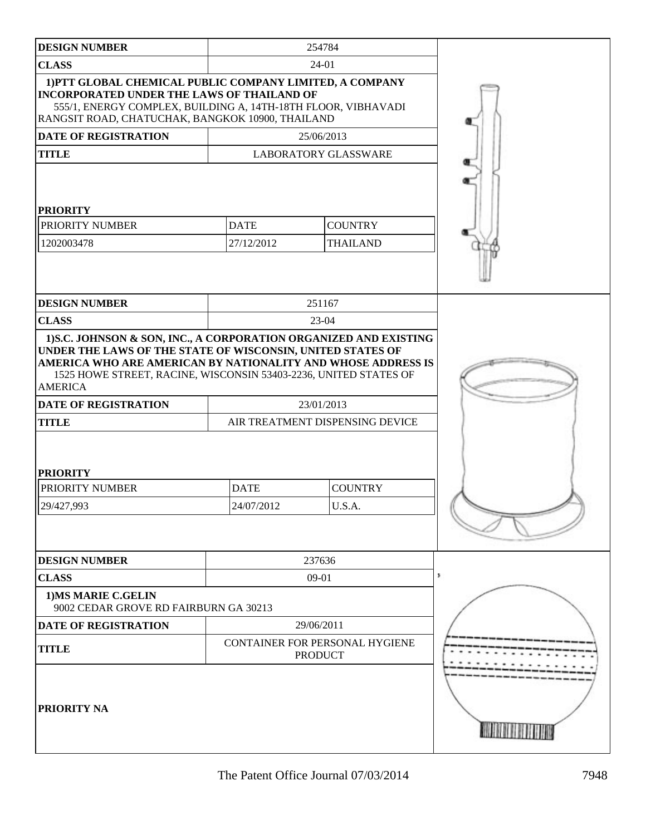| <b>DESIGN NUMBER</b>                                                                                                                                                                                                                                                        |                               | 254784                                           |   |
|-----------------------------------------------------------------------------------------------------------------------------------------------------------------------------------------------------------------------------------------------------------------------------|-------------------------------|--------------------------------------------------|---|
| <b>CLASS</b>                                                                                                                                                                                                                                                                |                               | 24-01                                            |   |
| 1) PTT GLOBAL CHEMICAL PUBLIC COMPANY LIMITED, A COMPANY<br><b>INCORPORATED UNDER THE LAWS OF THAILAND OF</b><br>555/1, ENERGY COMPLEX, BUILDING A, 14TH-18TH FLOOR, VIBHAVADI<br>RANGSIT ROAD, CHATUCHAK, BANGKOK 10900, THAILAND                                          |                               |                                                  |   |
| <b>DATE OF REGISTRATION</b>                                                                                                                                                                                                                                                 |                               | 25/06/2013                                       |   |
| <b>TITLE</b>                                                                                                                                                                                                                                                                |                               | <b>LABORATORY GLASSWARE</b>                      |   |
| <b>PRIORITY</b><br>PRIORITY NUMBER                                                                                                                                                                                                                                          | <b>DATE</b>                   | <b>COUNTRY</b>                                   |   |
| 1202003478                                                                                                                                                                                                                                                                  | 27/12/2012                    | <b>THAILAND</b>                                  |   |
|                                                                                                                                                                                                                                                                             |                               |                                                  |   |
| <b>DESIGN NUMBER</b>                                                                                                                                                                                                                                                        |                               | 251167                                           |   |
| <b>CLASS</b>                                                                                                                                                                                                                                                                |                               | $23-04$                                          |   |
| UNDER THE LAWS OF THE STATE OF WISCONSIN, UNITED STATES OF<br>AMERICA WHO ARE AMERICAN BY NATIONALITY AND WHOSE ADDRESS IS<br>1525 HOWE STREET, RACINE, WISCONSIN 53403-2236, UNITED STATES OF<br><b>AMERICA</b><br>DATE OF REGISTRATION<br><b>TITLE</b><br><b>PRIORITY</b> |                               | 23/01/2013<br>AIR TREATMENT DISPENSING DEVICE    |   |
| PRIORITY NUMBER                                                                                                                                                                                                                                                             | <b>DATE</b><br><b>COUNTRY</b> |                                                  |   |
| 29/427,993                                                                                                                                                                                                                                                                  | U.S.A.<br>24/07/2012          |                                                  |   |
|                                                                                                                                                                                                                                                                             |                               |                                                  |   |
| <b>DESIGN NUMBER</b>                                                                                                                                                                                                                                                        |                               | 237636                                           |   |
| <b>CLASS</b>                                                                                                                                                                                                                                                                |                               | $09-01$                                          | 5 |
| 1) MS MARIE C.GELIN<br>9002 CEDAR GROVE RD FAIRBURN GA 30213                                                                                                                                                                                                                |                               |                                                  |   |
| DATE OF REGISTRATION                                                                                                                                                                                                                                                        |                               | 29/06/2011                                       |   |
| <b>TITLE</b>                                                                                                                                                                                                                                                                |                               | CONTAINER FOR PERSONAL HYGIENE<br><b>PRODUCT</b> |   |
| <b>PRIORITY NA</b>                                                                                                                                                                                                                                                          |                               |                                                  |   |